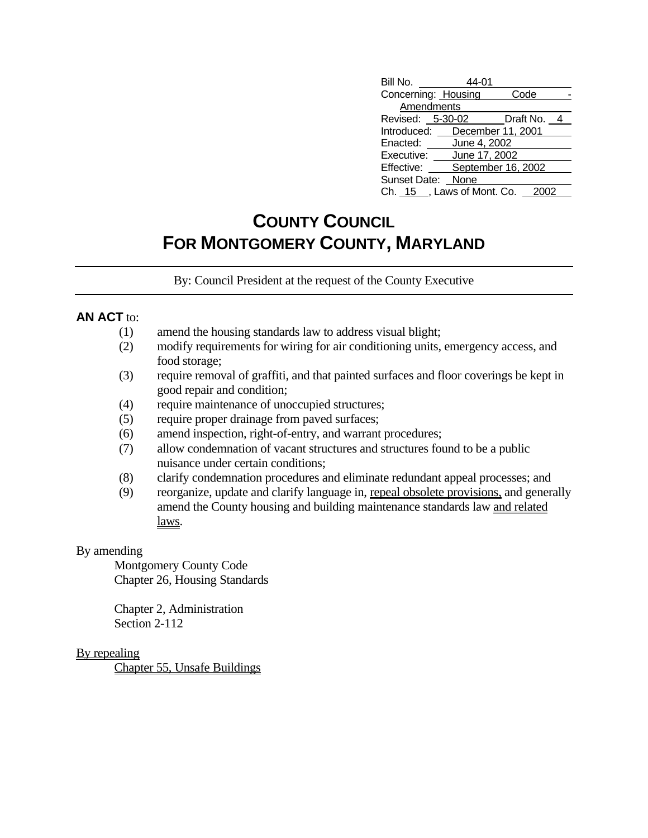| Bill No.                        | 44-01        |                    |  |
|---------------------------------|--------------|--------------------|--|
| Concerning: Housing             |              | Code               |  |
| Amendments                      |              |                    |  |
| Revised: 5-30-02 Draft No. 4    |              |                    |  |
| Introduced: December 11, 2001   |              |                    |  |
| Enacted:                        | June 4, 2002 |                    |  |
| Executive: June 17, 2002        |              |                    |  |
| Effective:                      |              | September 16, 2002 |  |
| Sunset Date: None               |              |                    |  |
| Ch. 15 , Laws of Mont. Co. 2002 |              |                    |  |

# **COUNTY COUNCIL FOR MONTGOMERY COUNTY, MARYLAND**

By: Council President at the request of the County Executive

## **AN ACT** to:

- (1) amend the housing standards law to address visual blight;
- (2) modify requirements for wiring for air conditioning units, emergency access, and food storage;
- (3) require removal of graffiti, and that painted surfaces and floor coverings be kept in good repair and condition;
- (4) require maintenance of unoccupied structures;
- (5) require proper drainage from paved surfaces;
- (6) amend inspection, right-of-entry, and warrant procedures;
- (7) allow condemnation of vacant structures and structures found to be a public nuisance under certain conditions;
- (8) clarify condemnation procedures and eliminate redundant appeal processes; and
- (9) reorganize, update and clarify language in, repeal obsolete provisions, and generally amend the County housing and building maintenance standards law and related laws.

### By amending

 Montgomery County Code Chapter 26, Housing Standards

 Chapter 2, Administration Section 2-112

### By repealing

Chapter 55, Unsafe Buildings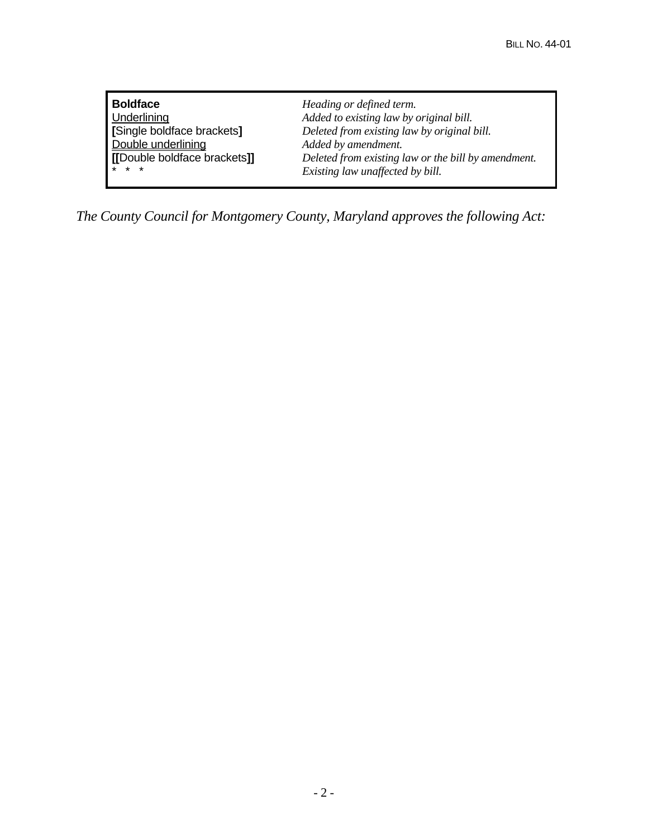**Boldface** *Heading or defined term.* Added to existing law by original bill. **[**Single boldface brackets**]** *Deleted from existing law by original bill.* Added by amendment. **[[**Double boldface brackets**]]** *Deleted from existing law or the bill by amendment.*  $Existing$  law unaffected by bill.

*The County Council for Montgomery County, Maryland approves the following Act:*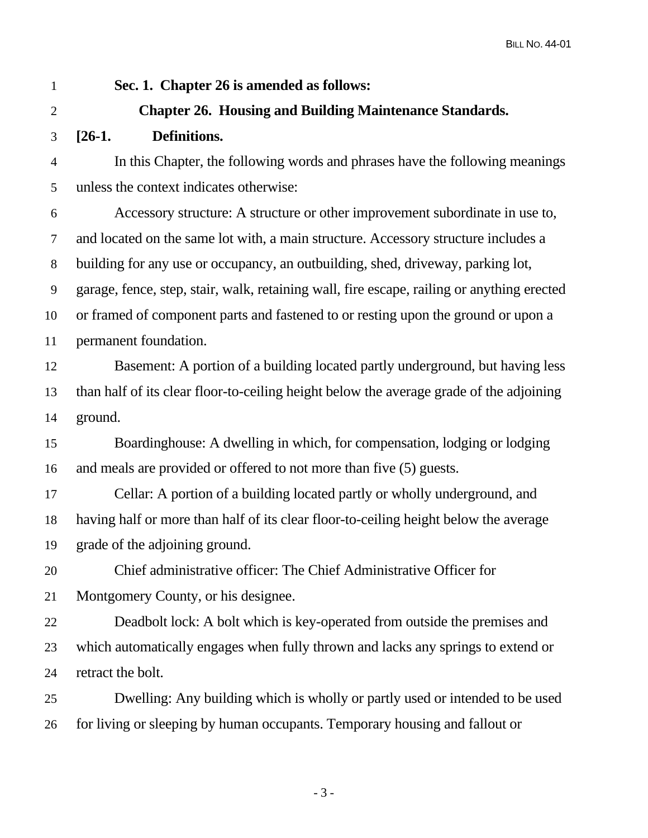## 1 **Sec. 1. Chapter 26 is amended as follows:**

## 2 **Chapter 26. Housing and Building Maintenance Standards.**

3 **[26-1. Definitions.** 

4 In this Chapter, the following words and phrases have the following meanings 5 unless the context indicates otherwise:

6 Accessory structure: A structure or other improvement subordinate in use to, 7 and located on the same lot with, a main structure. Accessory structure includes a 8 building for any use or occupancy, an outbuilding, shed, driveway, parking lot, 9 garage, fence, step, stair, walk, retaining wall, fire escape, railing or anything erected 10 or framed of component parts and fastened to or resting upon the ground or upon a 11 permanent foundation.

12 Basement: A portion of a building located partly underground, but having less 13 than half of its clear floor-to-ceiling height below the average grade of the adjoining 14 ground.

15 Boardinghouse: A dwelling in which, for compensation, lodging or lodging 16 and meals are provided or offered to not more than five (5) guests.

17 Cellar: A portion of a building located partly or wholly underground, and 18 having half or more than half of its clear floor-to-ceiling height below the average 19 grade of the adjoining ground.

20 Chief administrative officer: The Chief Administrative Officer for 21 Montgomery County, or his designee.

22 Deadbolt lock: A bolt which is key-operated from outside the premises and 23 which automatically engages when fully thrown and lacks any springs to extend or 24 retract the bolt.

25 Dwelling: Any building which is wholly or partly used or intended to be used 26 for living or sleeping by human occupants. Temporary housing and fallout or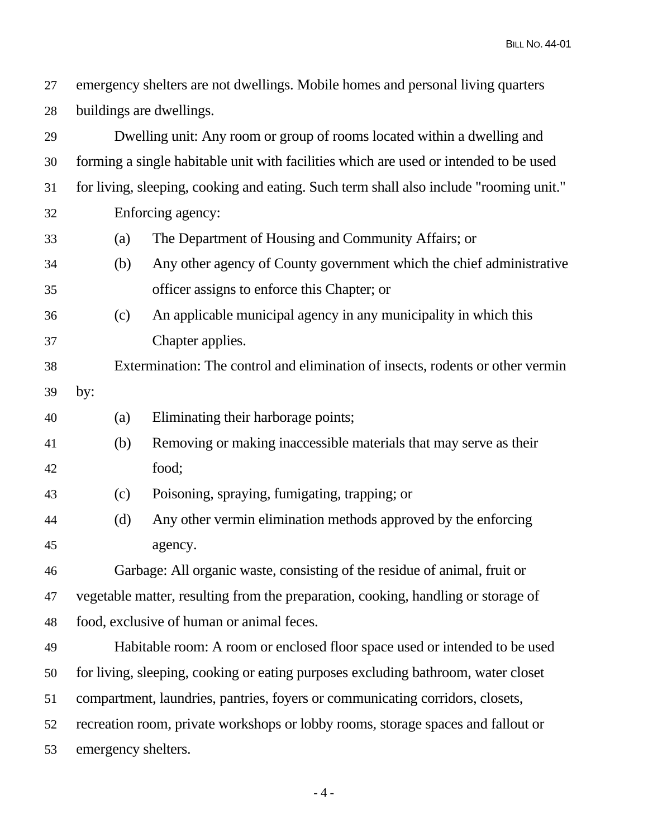27 emergency shelters are not dwellings. Mobile homes and personal living quarters 28 buildings are dwellings.

29 Dwelling unit: Any room or group of rooms located within a dwelling and 30 forming a single habitable unit with facilities which are used or intended to be used 31 for living, sleeping, cooking and eating. Such term shall also include "rooming unit." 32 Enforcing agency: 33 (a) The Department of Housing and Community Affairs; or 34 (b) Any other agency of County government which the chief administrative 35 officer assigns to enforce this Chapter; or 36 (c) An applicable municipal agency in any municipality in which this 37 Chapter applies. 38 Extermination: The control and elimination of insects, rodents or other vermin 39 by: 40 (a) Eliminating their harborage points; 41 (b) Removing or making inaccessible materials that may serve as their 42 food; 43 (c) Poisoning, spraying, fumigating, trapping; or 44 (d) Any other vermin elimination methods approved by the enforcing 45 agency.

46 Garbage: All organic waste, consisting of the residue of animal, fruit or 47 vegetable matter, resulting from the preparation, cooking, handling or storage of 48 food, exclusive of human or animal feces.

49 Habitable room: A room or enclosed floor space used or intended to be used 50 for living, sleeping, cooking or eating purposes excluding bathroom, water closet 51 compartment, laundries, pantries, foyers or communicating corridors, closets, 52 recreation room, private workshops or lobby rooms, storage spaces and fallout or 53 emergency shelters.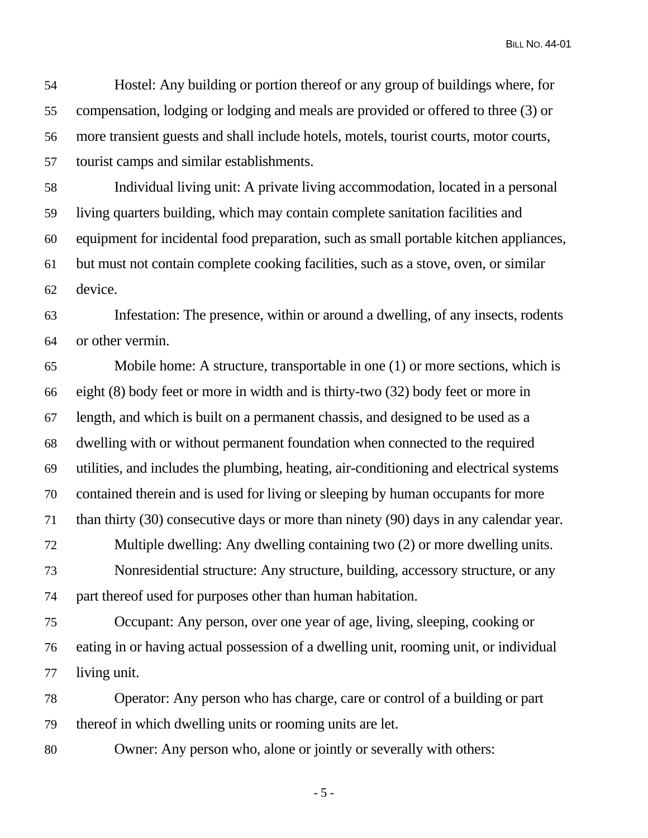54 Hostel: Any building or portion thereof or any group of buildings where, for 55 compensation, lodging or lodging and meals are provided or offered to three (3) or 56 more transient guests and shall include hotels, motels, tourist courts, motor courts, 57 tourist camps and similar establishments.

58 Individual living unit: A private living accommodation, located in a personal 59 living quarters building, which may contain complete sanitation facilities and 60 equipment for incidental food preparation, such as small portable kitchen appliances, 61 but must not contain complete cooking facilities, such as a stove, oven, or similar 62 device.

63 Infestation: The presence, within or around a dwelling, of any insects, rodents 64 or other vermin.

65 Mobile home: A structure, transportable in one (1) or more sections, which is 66 eight (8) body feet or more in width and is thirty-two (32) body feet or more in 67 length, and which is built on a permanent chassis, and designed to be used as a 68 dwelling with or without permanent foundation when connected to the required 69 utilities, and includes the plumbing, heating, air-conditioning and electrical systems 70 contained therein and is used for living or sleeping by human occupants for more 71 than thirty (30) consecutive days or more than ninety (90) days in any calendar year. 72 Multiple dwelling: Any dwelling containing two (2) or more dwelling units. 73 Nonresidential structure: Any structure, building, accessory structure, or any 74 part thereof used for purposes other than human habitation.

75 Occupant: Any person, over one year of age, living, sleeping, cooking or 76 eating in or having actual possession of a dwelling unit, rooming unit, or individual 77 living unit.

78 Operator: Any person who has charge, care or control of a building or part 79 thereof in which dwelling units or rooming units are let.

80 Owner: Any person who, alone or jointly or severally with others:

 $-5 -$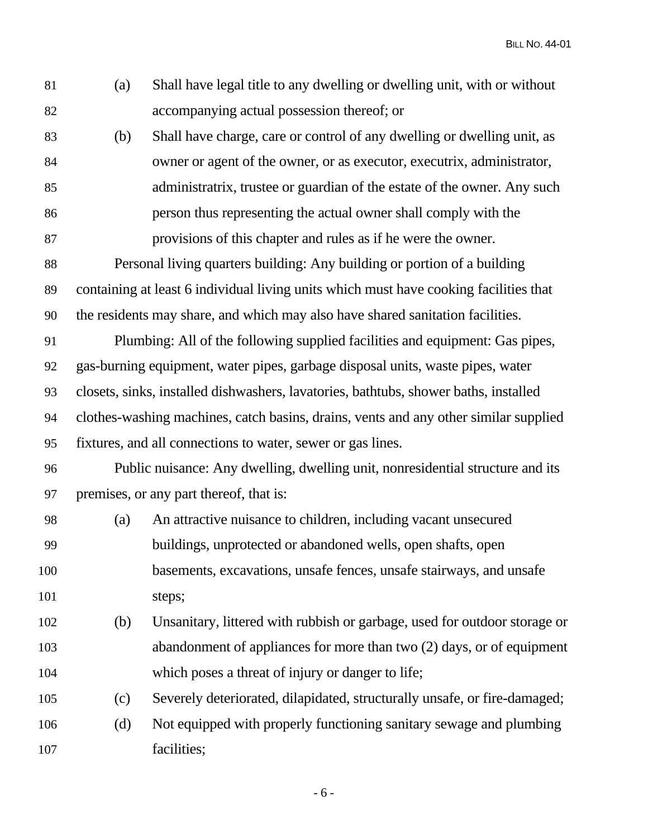| 81  | (a) | Shall have legal title to any dwelling or dwelling unit, with or without              |
|-----|-----|---------------------------------------------------------------------------------------|
| 82  |     | accompanying actual possession thereof; or                                            |
| 83  | (b) | Shall have charge, care or control of any dwelling or dwelling unit, as               |
| 84  |     | owner or agent of the owner, or as executor, executrix, administrator,                |
| 85  |     | administratrix, trustee or guardian of the estate of the owner. Any such              |
| 86  |     | person thus representing the actual owner shall comply with the                       |
| 87  |     | provisions of this chapter and rules as if he were the owner.                         |
| 88  |     | Personal living quarters building: Any building or portion of a building              |
| 89  |     | containing at least 6 individual living units which must have cooking facilities that |
| 90  |     | the residents may share, and which may also have shared sanitation facilities.        |
| 91  |     | Plumbing: All of the following supplied facilities and equipment: Gas pipes,          |
| 92  |     | gas-burning equipment, water pipes, garbage disposal units, waste pipes, water        |
| 93  |     | closets, sinks, installed dishwashers, lavatories, bathtubs, shower baths, installed  |
| 94  |     | clothes-washing machines, catch basins, drains, vents and any other similar supplied  |
| 95  |     | fixtures, and all connections to water, sewer or gas lines.                           |
| 96  |     | Public nuisance: Any dwelling, dwelling unit, nonresidential structure and its        |
| 97  |     | premises, or any part thereof, that is:                                               |
| 98  | (a) | An attractive nuisance to children, including vacant unsecured                        |
| 99  |     | buildings, unprotected or abandoned wells, open shafts, open                          |
| 100 |     | basements, excavations, unsafe fences, unsafe stairways, and unsafe                   |
| 101 |     | steps;                                                                                |
| 102 | (b) | Unsanitary, littered with rubbish or garbage, used for outdoor storage or             |
| 103 |     | abandonment of appliances for more than two (2) days, or of equipment                 |
| 104 |     | which poses a threat of injury or danger to life;                                     |
| 105 | (c) | Severely deteriorated, dilapidated, structurally unsafe, or fire-damaged;             |
| 106 | (d) | Not equipped with properly functioning sanitary sewage and plumbing                   |
| 107 |     | facilities;                                                                           |
|     |     |                                                                                       |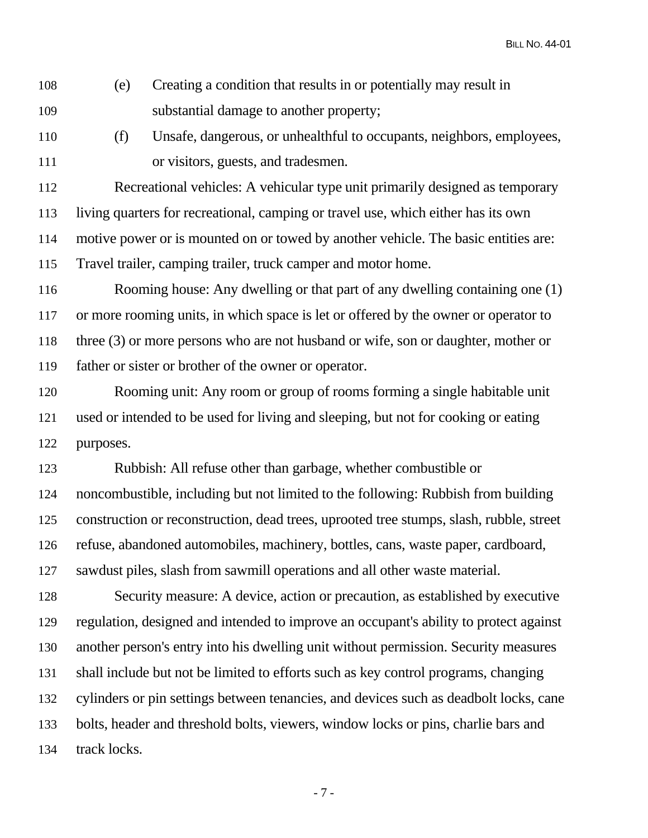108 (e) Creating a condition that results in or potentially may result in 109 substantial damage to another property;

110 (f) Unsafe, dangerous, or unhealthful to occupants, neighbors, employees, 111 or visitors, guests, and tradesmen.

112 Recreational vehicles: A vehicular type unit primarily designed as temporary 113 living quarters for recreational, camping or travel use, which either has its own 114 motive power or is mounted on or towed by another vehicle. The basic entities are: 115 Travel trailer, camping trailer, truck camper and motor home.

116 Rooming house: Any dwelling or that part of any dwelling containing one (1) 117 or more rooming units, in which space is let or offered by the owner or operator to 118 three (3) or more persons who are not husband or wife, son or daughter, mother or 119 father or sister or brother of the owner or operator.

120 Rooming unit: Any room or group of rooms forming a single habitable unit 121 used or intended to be used for living and sleeping, but not for cooking or eating 122 purposes.

123 Rubbish: All refuse other than garbage, whether combustible or 124 noncombustible, including but not limited to the following: Rubbish from building 125 construction or reconstruction, dead trees, uprooted tree stumps, slash, rubble, street 126 refuse, abandoned automobiles, machinery, bottles, cans, waste paper, cardboard, 127 sawdust piles, slash from sawmill operations and all other waste material.

128 Security measure: A device, action or precaution, as established by executive 129 regulation, designed and intended to improve an occupant's ability to protect against 130 another person's entry into his dwelling unit without permission. Security measures 131 shall include but not be limited to efforts such as key control programs, changing 132 cylinders or pin settings between tenancies, and devices such as deadbolt locks, cane 133 bolts, header and threshold bolts, viewers, window locks or pins, charlie bars and 134 track locks.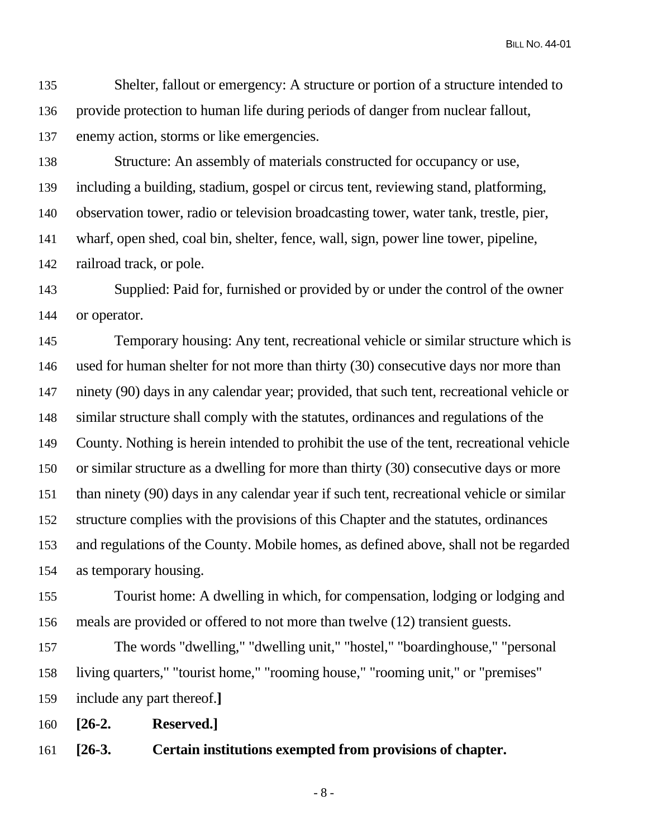135 Shelter, fallout or emergency: A structure or portion of a structure intended to 136 provide protection to human life during periods of danger from nuclear fallout, 137 enemy action, storms or like emergencies.

138 Structure: An assembly of materials constructed for occupancy or use, 139 including a building, stadium, gospel or circus tent, reviewing stand, platforming, 140 observation tower, radio or television broadcasting tower, water tank, trestle, pier, 141 wharf, open shed, coal bin, shelter, fence, wall, sign, power line tower, pipeline, 142 railroad track, or pole.

143 Supplied: Paid for, furnished or provided by or under the control of the owner 144 or operator.

145 Temporary housing: Any tent, recreational vehicle or similar structure which is 146 used for human shelter for not more than thirty (30) consecutive days nor more than 147 ninety (90) days in any calendar year; provided, that such tent, recreational vehicle or 148 similar structure shall comply with the statutes, ordinances and regulations of the 149 County. Nothing is herein intended to prohibit the use of the tent, recreational vehicle 150 or similar structure as a dwelling for more than thirty (30) consecutive days or more 151 than ninety (90) days in any calendar year if such tent, recreational vehicle or similar 152 structure complies with the provisions of this Chapter and the statutes, ordinances 153 and regulations of the County. Mobile homes, as defined above, shall not be regarded 154 as temporary housing.

155 Tourist home: A dwelling in which, for compensation, lodging or lodging and 156 meals are provided or offered to not more than twelve (12) transient guests.

157 The words "dwelling," "dwelling unit," "hostel," "boardinghouse," "personal 158 living quarters," "tourist home," "rooming house," "rooming unit," or "premises" 159 include any part thereof.**]**

160 **[26-2. Reserved.]**

161 **[26-3. Certain institutions exempted from provisions of chapter.** 

- 8 -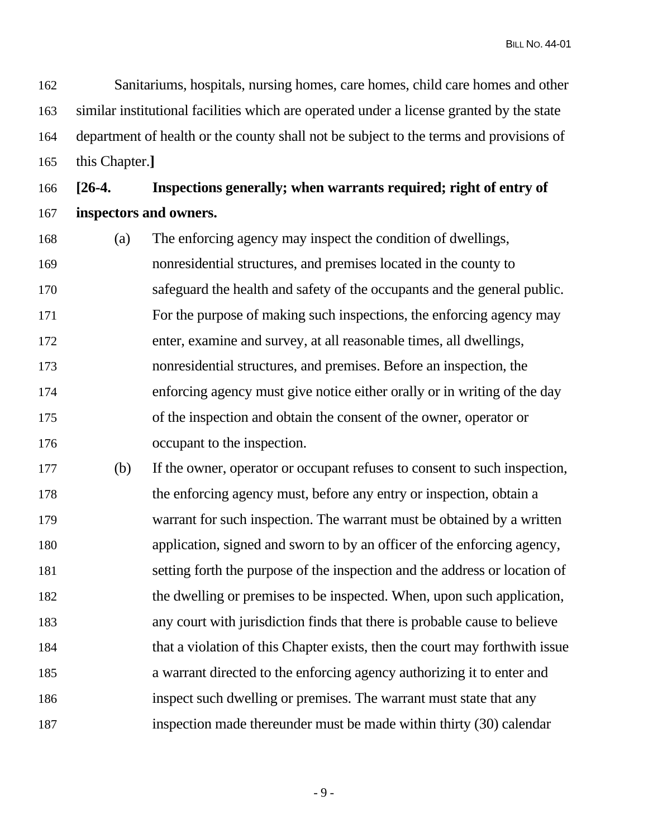162 Sanitariums, hospitals, nursing homes, care homes, child care homes and other 163 similar institutional facilities which are operated under a license granted by the state 164 department of health or the county shall not be subject to the terms and provisions of 165 this Chapter.**]**

166 **[26-4. Inspections generally; when warrants required; right of entry of**  167 **inspectors and owners.** 

- 168 (a) The enforcing agency may inspect the condition of dwellings, 169 nonresidential structures, and premises located in the county to 170 safeguard the health and safety of the occupants and the general public. 171 For the purpose of making such inspections, the enforcing agency may 172 enter, examine and survey, at all reasonable times, all dwellings, 173 nonresidential structures, and premises. Before an inspection, the 174 enforcing agency must give notice either orally or in writing of the day 175 of the inspection and obtain the consent of the owner, operator or 176 occupant to the inspection.
- 177 (b) If the owner, operator or occupant refuses to consent to such inspection, 178 the enforcing agency must, before any entry or inspection, obtain a 179 warrant for such inspection. The warrant must be obtained by a written 180 application, signed and sworn to by an officer of the enforcing agency, 181 setting forth the purpose of the inspection and the address or location of 182 the dwelling or premises to be inspected. When, upon such application, 183 any court with jurisdiction finds that there is probable cause to believe 184 that a violation of this Chapter exists, then the court may forthwith issue 185 a warrant directed to the enforcing agency authorizing it to enter and 186 inspect such dwelling or premises. The warrant must state that any 187 inspection made thereunder must be made within thirty (30) calendar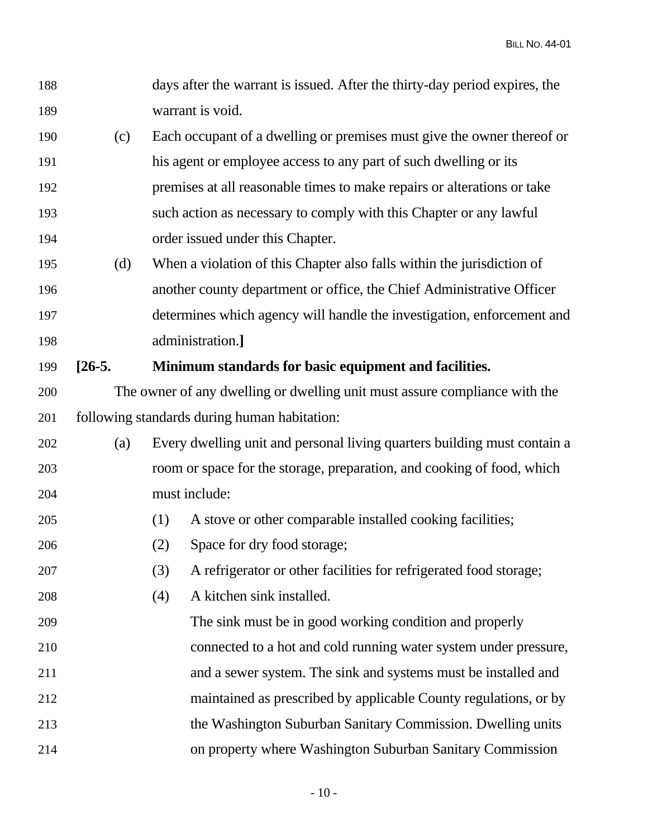| 188 |          |     | days after the warrant is issued. After the thirty-day period expires, the |
|-----|----------|-----|----------------------------------------------------------------------------|
| 189 |          |     | warrant is void.                                                           |
| 190 | (c)      |     | Each occupant of a dwelling or premises must give the owner thereof or     |
| 191 |          |     | his agent or employee access to any part of such dwelling or its           |
| 192 |          |     | premises at all reasonable times to make repairs or alterations or take    |
| 193 |          |     | such action as necessary to comply with this Chapter or any lawful         |
| 194 |          |     | order issued under this Chapter.                                           |
| 195 | (d)      |     | When a violation of this Chapter also falls within the jurisdiction of     |
| 196 |          |     | another county department or office, the Chief Administrative Officer      |
| 197 |          |     | determines which agency will handle the investigation, enforcement and     |
| 198 |          |     | administration.]                                                           |
| 199 | $[26-5]$ |     | Minimum standards for basic equipment and facilities.                      |
| 200 |          |     | The owner of any dwelling or dwelling unit must assure compliance with the |
| 201 |          |     | following standards during human habitation:                               |
| 202 | (a)      |     | Every dwelling unit and personal living quarters building must contain a   |
| 203 |          |     | room or space for the storage, preparation, and cooking of food, which     |
| 204 |          |     | must include:                                                              |
| 205 |          | (1) | A stove or other comparable installed cooking facilities;                  |
| 206 |          | (2) | Space for dry food storage;                                                |
| 207 |          | (3) | A refrigerator or other facilities for refrigerated food storage;          |
| 208 |          | (4) | A kitchen sink installed.                                                  |
| 209 |          |     | The sink must be in good working condition and properly                    |
| 210 |          |     | connected to a hot and cold running water system under pressure,           |
| 211 |          |     | and a sewer system. The sink and systems must be installed and             |
| 212 |          |     | maintained as prescribed by applicable County regulations, or by           |
| 213 |          |     | the Washington Suburban Sanitary Commission. Dwelling units                |
| 214 |          |     | on property where Washington Suburban Sanitary Commission                  |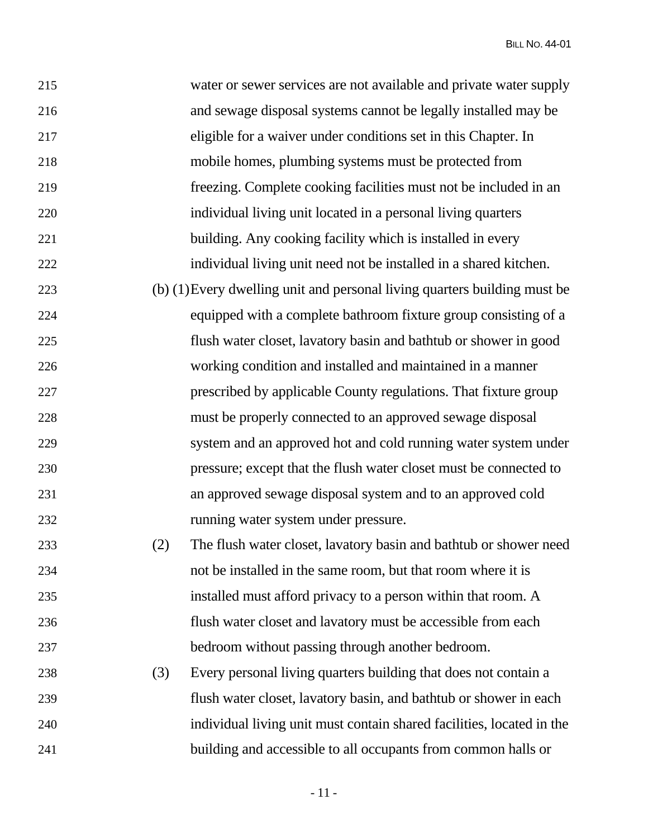| 215 |     | water or sewer services are not available and private water supply        |
|-----|-----|---------------------------------------------------------------------------|
| 216 |     | and sewage disposal systems cannot be legally installed may be            |
| 217 |     | eligible for a waiver under conditions set in this Chapter. In            |
| 218 |     | mobile homes, plumbing systems must be protected from                     |
| 219 |     | freezing. Complete cooking facilities must not be included in an          |
| 220 |     | individual living unit located in a personal living quarters              |
| 221 |     | building. Any cooking facility which is installed in every                |
| 222 |     | individual living unit need not be installed in a shared kitchen.         |
| 223 |     | (b) (1) Every dwelling unit and personal living quarters building must be |
| 224 |     | equipped with a complete bathroom fixture group consisting of a           |
| 225 |     | flush water closet, lavatory basin and bathtub or shower in good          |
| 226 |     | working condition and installed and maintained in a manner                |
| 227 |     | prescribed by applicable County regulations. That fixture group           |
| 228 |     | must be properly connected to an approved sewage disposal                 |
| 229 |     | system and an approved hot and cold running water system under            |
| 230 |     | pressure; except that the flush water closet must be connected to         |
| 231 |     | an approved sewage disposal system and to an approved cold                |
| 232 |     | running water system under pressure.                                      |
| 233 | (2) | The flush water closet, lavatory basin and bathtub or shower need         |
| 234 |     | not be installed in the same room, but that room where it is              |
| 235 |     | installed must afford privacy to a person within that room. A             |
| 236 |     | flush water closet and lavatory must be accessible from each              |
| 237 |     | bedroom without passing through another bedroom.                          |
| 238 | (3) | Every personal living quarters building that does not contain a           |
| 239 |     | flush water closet, lavatory basin, and bathtub or shower in each         |
| 240 |     | individual living unit must contain shared facilities, located in the     |
| 241 |     | building and accessible to all occupants from common halls or             |

- 11 -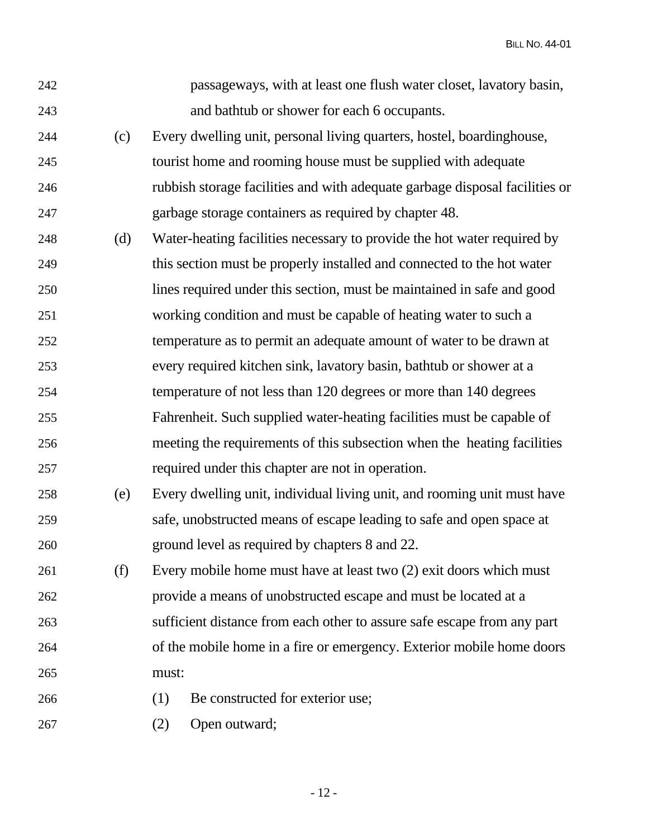| 242 |     | passageways, with at least one flush water closet, lavatory basin,          |
|-----|-----|-----------------------------------------------------------------------------|
| 243 |     | and bathtub or shower for each 6 occupants.                                 |
| 244 | (c) | Every dwelling unit, personal living quarters, hostel, boardinghouse,       |
| 245 |     | tourist home and rooming house must be supplied with adequate               |
| 246 |     | rubbish storage facilities and with adequate garbage disposal facilities or |
| 247 |     | garbage storage containers as required by chapter 48.                       |
| 248 | (d) | Water-heating facilities necessary to provide the hot water required by     |
| 249 |     | this section must be properly installed and connected to the hot water      |
| 250 |     | lines required under this section, must be maintained in safe and good      |
| 251 |     | working condition and must be capable of heating water to such a            |
| 252 |     | temperature as to permit an adequate amount of water to be drawn at         |
| 253 |     | every required kitchen sink, lavatory basin, bathtub or shower at a         |
| 254 |     | temperature of not less than 120 degrees or more than 140 degrees           |
| 255 |     | Fahrenheit. Such supplied water-heating facilities must be capable of       |
| 256 |     | meeting the requirements of this subsection when the heating facilities     |
| 257 |     | required under this chapter are not in operation.                           |
| 258 | (e) | Every dwelling unit, individual living unit, and rooming unit must have     |
| 259 |     | safe, unobstructed means of escape leading to safe and open space at        |
| 260 |     | ground level as required by chapters 8 and 22.                              |
| 261 | (f) | Every mobile home must have at least two (2) exit doors which must          |
| 262 |     | provide a means of unobstructed escape and must be located at a             |
| 263 |     | sufficient distance from each other to assure safe escape from any part     |
| 264 |     | of the mobile home in a fire or emergency. Exterior mobile home doors       |
| 265 |     | must:                                                                       |
| 266 |     | (1)<br>Be constructed for exterior use;                                     |
| 267 |     | Open outward;<br>(2)                                                        |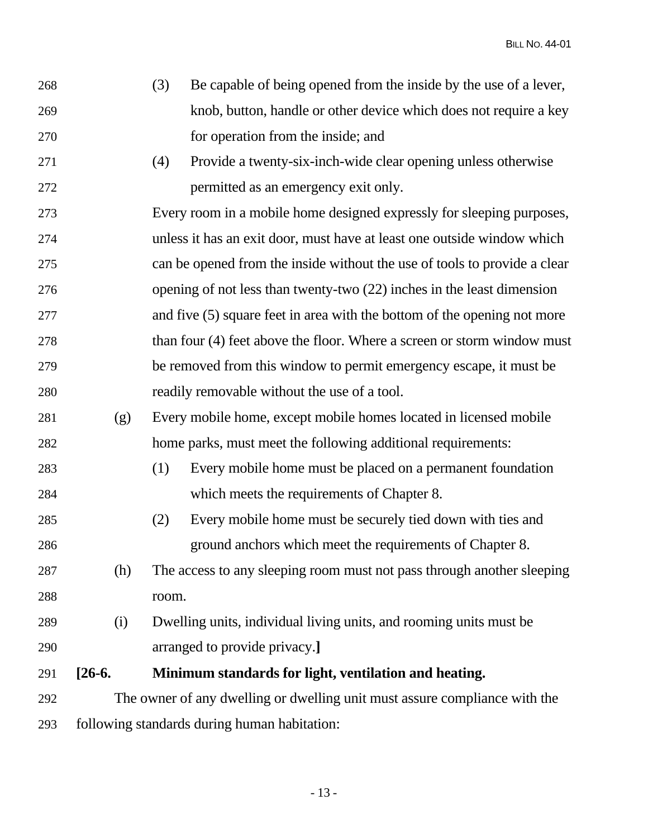| 268 |                                                                            | (3)   | Be capable of being opened from the inside by the use of a lever,          |
|-----|----------------------------------------------------------------------------|-------|----------------------------------------------------------------------------|
| 269 |                                                                            |       | knob, button, handle or other device which does not require a key          |
| 270 |                                                                            |       | for operation from the inside; and                                         |
| 271 |                                                                            | (4)   | Provide a twenty-six-inch-wide clear opening unless otherwise              |
| 272 |                                                                            |       | permitted as an emergency exit only.                                       |
| 273 |                                                                            |       | Every room in a mobile home designed expressly for sleeping purposes,      |
| 274 |                                                                            |       | unless it has an exit door, must have at least one outside window which    |
| 275 |                                                                            |       | can be opened from the inside without the use of tools to provide a clear  |
| 276 |                                                                            |       | opening of not less than twenty-two (22) inches in the least dimension     |
| 277 |                                                                            |       | and five $(5)$ square feet in area with the bottom of the opening not more |
| 278 |                                                                            |       | than four (4) feet above the floor. Where a screen or storm window must    |
| 279 |                                                                            |       | be removed from this window to permit emergency escape, it must be         |
| 280 |                                                                            |       | readily removable without the use of a tool.                               |
| 281 | (g)                                                                        |       | Every mobile home, except mobile homes located in licensed mobile          |
| 282 |                                                                            |       | home parks, must meet the following additional requirements:               |
| 283 |                                                                            | (1)   | Every mobile home must be placed on a permanent foundation                 |
| 284 |                                                                            |       | which meets the requirements of Chapter 8.                                 |
| 285 |                                                                            | (2)   | Every mobile home must be securely tied down with ties and                 |
| 286 |                                                                            |       | ground anchors which meet the requirements of Chapter 8.                   |
| 287 | (h)                                                                        |       | The access to any sleeping room must not pass through another sleeping     |
| 288 |                                                                            | room. |                                                                            |
| 289 | (i)                                                                        |       | Dwelling units, individual living units, and rooming units must be         |
| 290 |                                                                            |       | arranged to provide privacy.]                                              |
| 291 | $[26-6]$                                                                   |       | Minimum standards for light, ventilation and heating.                      |
| 292 | The owner of any dwelling or dwelling unit must assure compliance with the |       |                                                                            |
| 293 | following standards during human habitation:                               |       |                                                                            |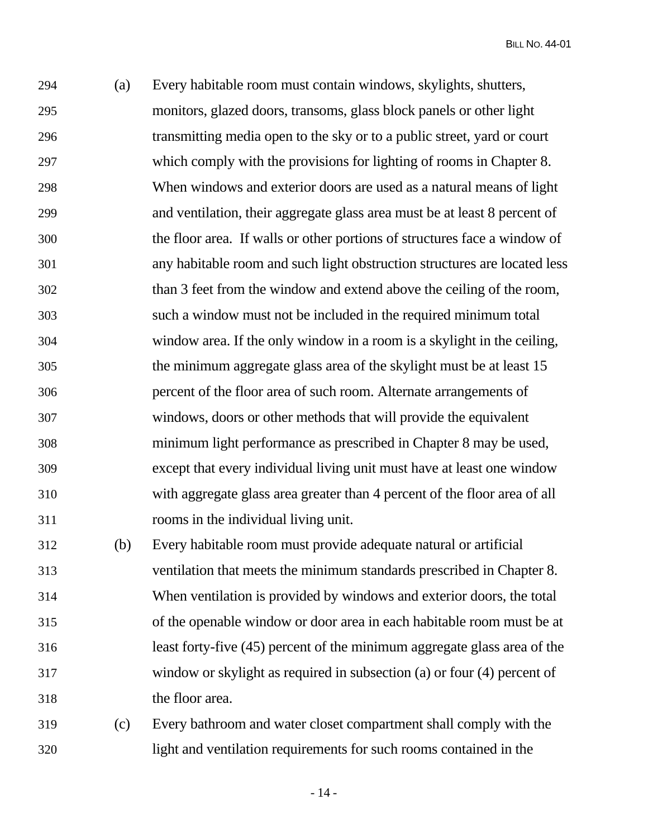294 (a) Every habitable room must contain windows, skylights, shutters, 295 monitors, glazed doors, transoms, glass block panels or other light 296 transmitting media open to the sky or to a public street, yard or court 297 which comply with the provisions for lighting of rooms in Chapter 8. 298 When windows and exterior doors are used as a natural means of light 299 and ventilation, their aggregate glass area must be at least 8 percent of 300 the floor area. If walls or other portions of structures face a window of 301 any habitable room and such light obstruction structures are located less 302 than 3 feet from the window and extend above the ceiling of the room, 303 such a window must not be included in the required minimum total 304 window area. If the only window in a room is a skylight in the ceiling, 305 the minimum aggregate glass area of the skylight must be at least 15 306 percent of the floor area of such room. Alternate arrangements of 307 windows, doors or other methods that will provide the equivalent 308 minimum light performance as prescribed in Chapter 8 may be used, 309 except that every individual living unit must have at least one window 310 with aggregate glass area greater than 4 percent of the floor area of all 311 rooms in the individual living unit. 312 (b) Every habitable room must provide adequate natural or artificial

313 ventilation that meets the minimum standards prescribed in Chapter 8. 314 When ventilation is provided by windows and exterior doors, the total 315 of the openable window or door area in each habitable room must be at 316 least forty-five (45) percent of the minimum aggregate glass area of the 317 window or skylight as required in subsection (a) or four (4) percent of 318 the floor area.

319 (c) Every bathroom and water closet compartment shall comply with the 320 light and ventilation requirements for such rooms contained in the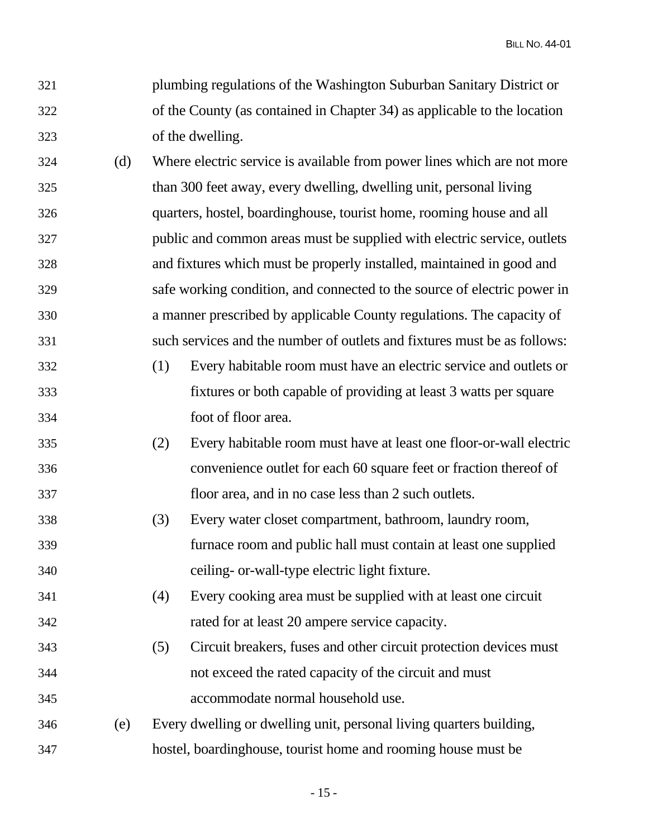321 plumbing regulations of the Washington Suburban Sanitary District or 322 of the County (as contained in Chapter 34) as applicable to the location 323 of the dwelling.

- 324 (d) Where electric service is available from power lines which are not more 325 than 300 feet away, every dwelling, dwelling unit, personal living 326 quarters, hostel, boardinghouse, tourist home, rooming house and all 327 public and common areas must be supplied with electric service, outlets 328 and fixtures which must be properly installed, maintained in good and 329 safe working condition, and connected to the source of electric power in 330 a manner prescribed by applicable County regulations. The capacity of 331 such services and the number of outlets and fixtures must be as follows:
- 332 (1) Every habitable room must have an electric service and outlets or 333 fixtures or both capable of providing at least 3 watts per square 334 foot of floor area.
- 335 (2) Every habitable room must have at least one floor-or-wall electric 336 convenience outlet for each 60 square feet or fraction thereof of 337 floor area, and in no case less than 2 such outlets.
- 338 (3) Every water closet compartment, bathroom, laundry room, 339 furnace room and public hall must contain at least one supplied 340 ceiling- or-wall-type electric light fixture.
- 341 (4) Every cooking area must be supplied with at least one circuit 342 rated for at least 20 ampere service capacity.
- 343 (5) Circuit breakers, fuses and other circuit protection devices must 344 not exceed the rated capacity of the circuit and must 345 accommodate normal household use.
- 346 (e) Every dwelling or dwelling unit, personal living quarters building, 347 hostel, boardinghouse, tourist home and rooming house must be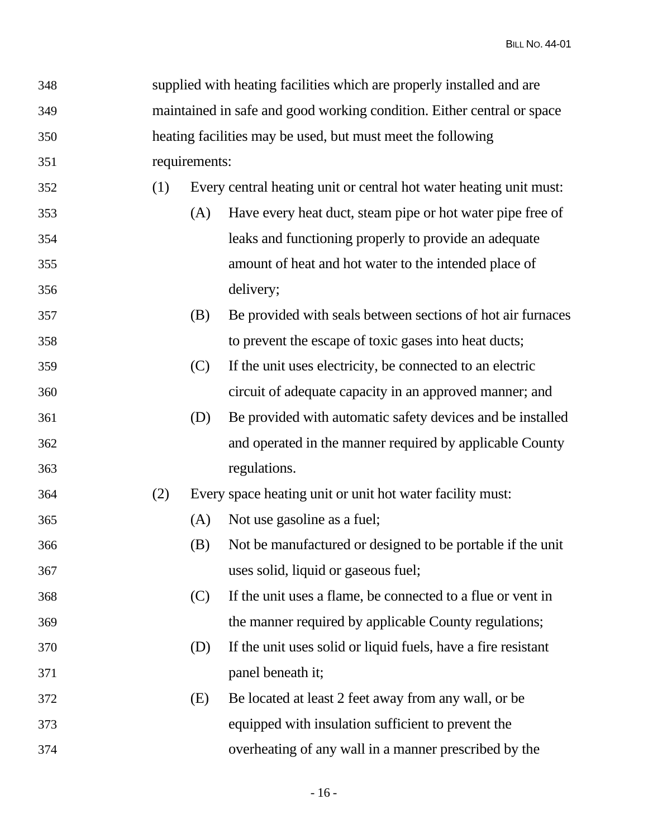| 348 |     |               | supplied with heating facilities which are properly installed and are  |
|-----|-----|---------------|------------------------------------------------------------------------|
| 349 |     |               | maintained in safe and good working condition. Either central or space |
| 350 |     |               | heating facilities may be used, but must meet the following            |
| 351 |     | requirements: |                                                                        |
| 352 | (1) |               | Every central heating unit or central hot water heating unit must:     |
| 353 |     | (A)           | Have every heat duct, steam pipe or hot water pipe free of             |
| 354 |     |               | leaks and functioning properly to provide an adequate                  |
| 355 |     |               | amount of heat and hot water to the intended place of                  |
| 356 |     |               | delivery;                                                              |
| 357 |     | (B)           | Be provided with seals between sections of hot air furnaces            |
| 358 |     |               | to prevent the escape of toxic gases into heat ducts;                  |
| 359 |     | (C)           | If the unit uses electricity, be connected to an electric              |
| 360 |     |               | circuit of adequate capacity in an approved manner; and                |
| 361 |     | (D)           | Be provided with automatic safety devices and be installed             |
| 362 |     |               | and operated in the manner required by applicable County               |
| 363 |     |               | regulations.                                                           |
| 364 | (2) |               | Every space heating unit or unit hot water facility must:              |
| 365 |     | (A)           | Not use gasoline as a fuel;                                            |
| 366 |     | (B)           | Not be manufactured or designed to be portable if the unit             |
| 367 |     |               | uses solid, liquid or gaseous fuel;                                    |
| 368 |     | (C)           | If the unit uses a flame, be connected to a flue or vent in            |
| 369 |     |               | the manner required by applicable County regulations;                  |
| 370 |     | (D)           | If the unit uses solid or liquid fuels, have a fire resistant          |
| 371 |     |               | panel beneath it;                                                      |
| 372 |     | (E)           | Be located at least 2 feet away from any wall, or be                   |
| 373 |     |               | equipped with insulation sufficient to prevent the                     |
| 374 |     |               | overheating of any wall in a manner prescribed by the                  |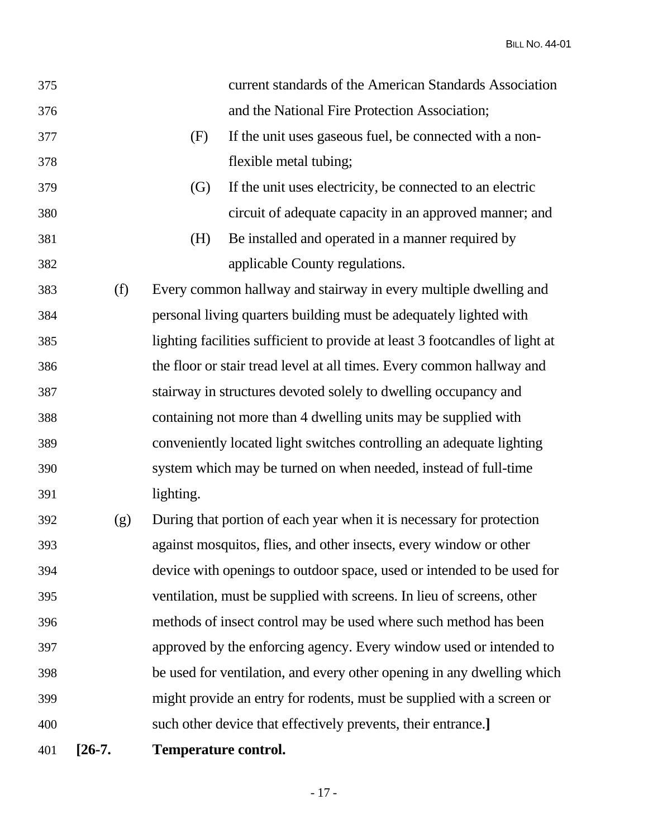| 375 |          |                             | current standards of the American Standards Association                      |
|-----|----------|-----------------------------|------------------------------------------------------------------------------|
| 376 |          |                             | and the National Fire Protection Association;                                |
| 377 |          | (F)                         | If the unit uses gaseous fuel, be connected with a non-                      |
| 378 |          |                             | flexible metal tubing;                                                       |
| 379 |          | $\left( G\right)$           | If the unit uses electricity, be connected to an electric                    |
| 380 |          |                             | circuit of adequate capacity in an approved manner; and                      |
| 381 |          | (H)                         | Be installed and operated in a manner required by                            |
| 382 |          |                             | applicable County regulations.                                               |
| 383 | (f)      |                             | Every common hallway and stairway in every multiple dwelling and             |
| 384 |          |                             | personal living quarters building must be adequately lighted with            |
| 385 |          |                             | lighting facilities sufficient to provide at least 3 footcandles of light at |
| 386 |          |                             | the floor or stair tread level at all times. Every common hallway and        |
| 387 |          |                             | stairway in structures devoted solely to dwelling occupancy and              |
| 388 |          |                             | containing not more than 4 dwelling units may be supplied with               |
| 389 |          |                             | conveniently located light switches controlling an adequate lighting         |
| 390 |          |                             | system which may be turned on when needed, instead of full-time              |
| 391 |          | lighting.                   |                                                                              |
| 392 | (g)      |                             | During that portion of each year when it is necessary for protection         |
| 393 |          |                             | against mosquitos, flies, and other insects, every window or other           |
| 394 |          |                             | device with openings to outdoor space, used or intended to be used for       |
| 395 |          |                             | ventilation, must be supplied with screens. In lieu of screens, other        |
| 396 |          |                             | methods of insect control may be used where such method has been             |
| 397 |          |                             | approved by the enforcing agency. Every window used or intended to           |
| 398 |          |                             | be used for ventilation, and every other opening in any dwelling which       |
| 399 |          |                             | might provide an entry for rodents, must be supplied with a screen or        |
| 400 |          |                             | such other device that effectively prevents, their entrance.]                |
| 401 | $[26-7]$ | <b>Temperature control.</b> |                                                                              |

- 17 -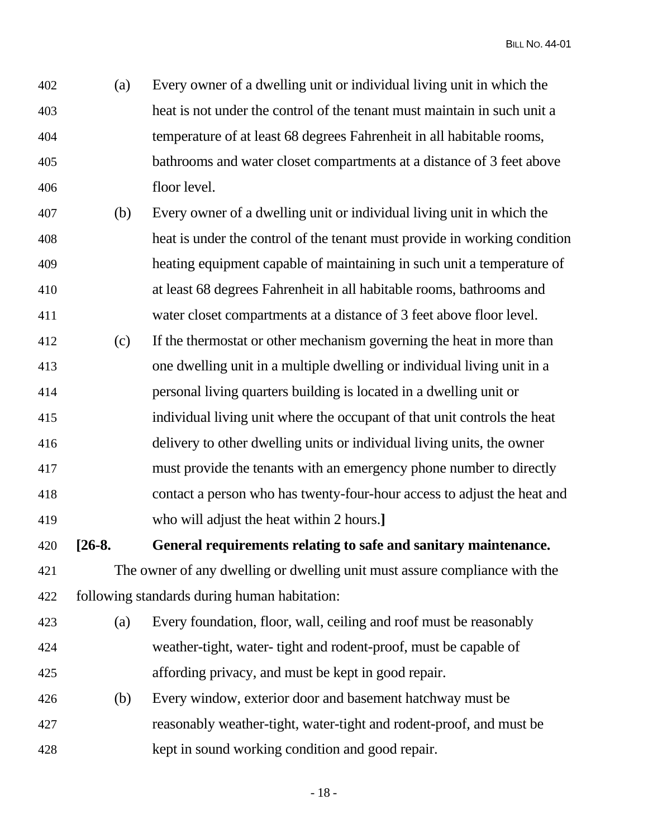402 (a) Every owner of a dwelling unit or individual living unit in which the 403 heat is not under the control of the tenant must maintain in such unit a 404 temperature of at least 68 degrees Fahrenheit in all habitable rooms, 405 bathrooms and water closet compartments at a distance of 3 feet above 406 floor level.

- 407 (b) Every owner of a dwelling unit or individual living unit in which the 408 heat is under the control of the tenant must provide in working condition 409 heating equipment capable of maintaining in such unit a temperature of 410 at least 68 degrees Fahrenheit in all habitable rooms, bathrooms and 411 water closet compartments at a distance of 3 feet above floor level.
- 412 (c) If the thermostat or other mechanism governing the heat in more than 413 one dwelling unit in a multiple dwelling or individual living unit in a 414 personal living quarters building is located in a dwelling unit or 415 individual living unit where the occupant of that unit controls the heat 416 delivery to other dwelling units or individual living units, the owner 417 must provide the tenants with an emergency phone number to directly 418 contact a person who has twenty-four-hour access to adjust the heat and 419 who will adjust the heat within 2 hours.**]**

420 **[26-8. General requirements relating to safe and sanitary maintenance.** 

- 421 The owner of any dwelling or dwelling unit must assure compliance with the 422 following standards during human habitation:
- 423 (a) Every foundation, floor, wall, ceiling and roof must be reasonably 424 weather-tight, water- tight and rodent-proof, must be capable of 425 affording privacy, and must be kept in good repair.
- 426 (b) Every window, exterior door and basement hatchway must be 427 reasonably weather-tight, water-tight and rodent-proof, and must be 428 kept in sound working condition and good repair.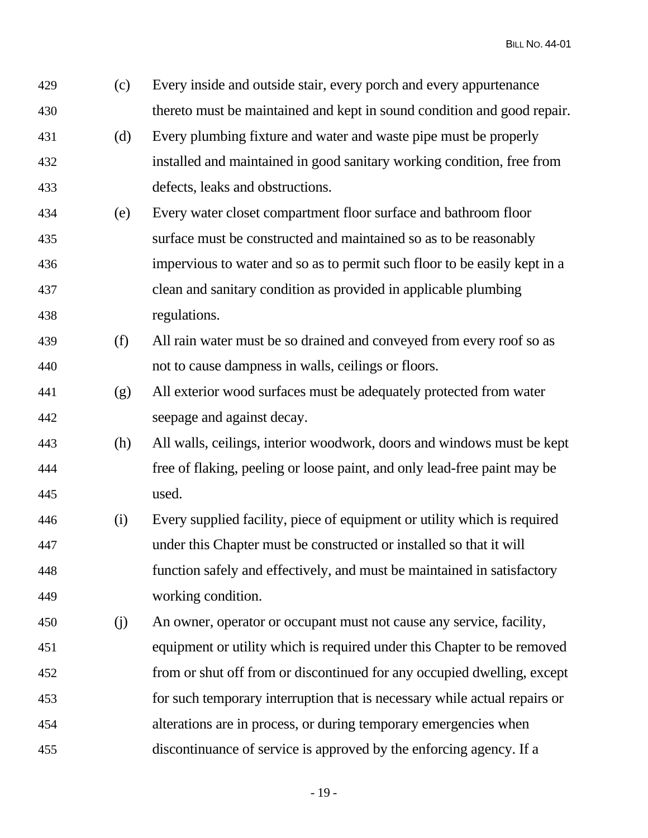| 429 | (c) | Every inside and outside stair, every porch and every appurtenance        |
|-----|-----|---------------------------------------------------------------------------|
| 430 |     | thereto must be maintained and kept in sound condition and good repair.   |
| 431 | (d) | Every plumbing fixture and water and waste pipe must be properly          |
| 432 |     | installed and maintained in good sanitary working condition, free from    |
| 433 |     | defects, leaks and obstructions.                                          |
| 434 | (e) | Every water closet compartment floor surface and bathroom floor           |
| 435 |     | surface must be constructed and maintained so as to be reasonably         |
| 436 |     | impervious to water and so as to permit such floor to be easily kept in a |
| 437 |     | clean and sanitary condition as provided in applicable plumbing           |
| 438 |     | regulations.                                                              |
| 439 | (f) | All rain water must be so drained and conveyed from every roof so as      |
| 440 |     | not to cause dampness in walls, ceilings or floors.                       |
| 441 | (g) | All exterior wood surfaces must be adequately protected from water        |
| 442 |     | seepage and against decay.                                                |
| 443 | (h) | All walls, ceilings, interior woodwork, doors and windows must be kept    |
| 444 |     | free of flaking, peeling or loose paint, and only lead-free paint may be  |
| 445 |     | used.                                                                     |
| 446 | (i) | Every supplied facility, piece of equipment or utility which is required  |
| 447 |     | under this Chapter must be constructed or installed so that it will       |
| 448 |     | function safely and effectively, and must be maintained in satisfactory   |
| 449 |     | working condition.                                                        |
| 450 | (j) | An owner, operator or occupant must not cause any service, facility,      |
| 451 |     | equipment or utility which is required under this Chapter to be removed   |
| 452 |     | from or shut off from or discontinued for any occupied dwelling, except   |
| 453 |     | for such temporary interruption that is necessary while actual repairs or |
| 454 |     | alterations are in process, or during temporary emergencies when          |
| 455 |     | discontinuance of service is approved by the enforcing agency. If a       |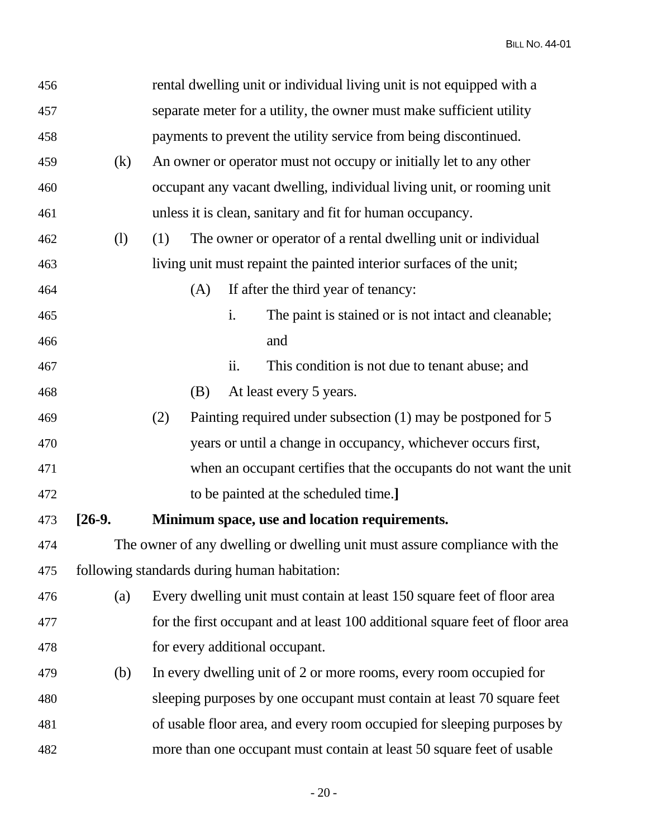| 456 |            | rental dwelling unit or individual living unit is not equipped with a        |
|-----|------------|------------------------------------------------------------------------------|
| 457 |            | separate meter for a utility, the owner must make sufficient utility         |
| 458 |            | payments to prevent the utility service from being discontinued.             |
| 459 | (k)        | An owner or operator must not occupy or initially let to any other           |
| 460 |            | occupant any vacant dwelling, individual living unit, or rooming unit        |
| 461 |            | unless it is clean, sanitary and fit for human occupancy.                    |
| 462 | (1)        | The owner or operator of a rental dwelling unit or individual<br>(1)         |
| 463 |            | living unit must repaint the painted interior surfaces of the unit;          |
| 464 |            | If after the third year of tenancy:<br>(A)                                   |
| 465 |            | i.<br>The paint is stained or is not intact and cleanable;                   |
| 466 |            | and                                                                          |
| 467 |            | This condition is not due to tenant abuse; and<br>ii.                        |
| 468 |            | At least every 5 years.<br>(B)                                               |
| 469 |            | (2)<br>Painting required under subsection (1) may be postponed for 5         |
| 470 |            | years or until a change in occupancy, whichever occurs first,                |
| 471 |            | when an occupant certifies that the occupants do not want the unit           |
| 472 |            | to be painted at the scheduled time.]                                        |
| 473 | $[26-9]$ . | Minimum space, use and location requirements.                                |
| 474 |            | The owner of any dwelling or dwelling unit must assure compliance with the   |
| 475 |            | following standards during human habitation:                                 |
| 476 | (a)        | Every dwelling unit must contain at least 150 square feet of floor area      |
| 477 |            | for the first occupant and at least 100 additional square feet of floor area |
| 478 |            | for every additional occupant.                                               |
| 479 | (b)        | In every dwelling unit of 2 or more rooms, every room occupied for           |
| 480 |            | sleeping purposes by one occupant must contain at least 70 square feet       |
| 481 |            | of usable floor area, and every room occupied for sleeping purposes by       |
| 482 |            | more than one occupant must contain at least 50 square feet of usable        |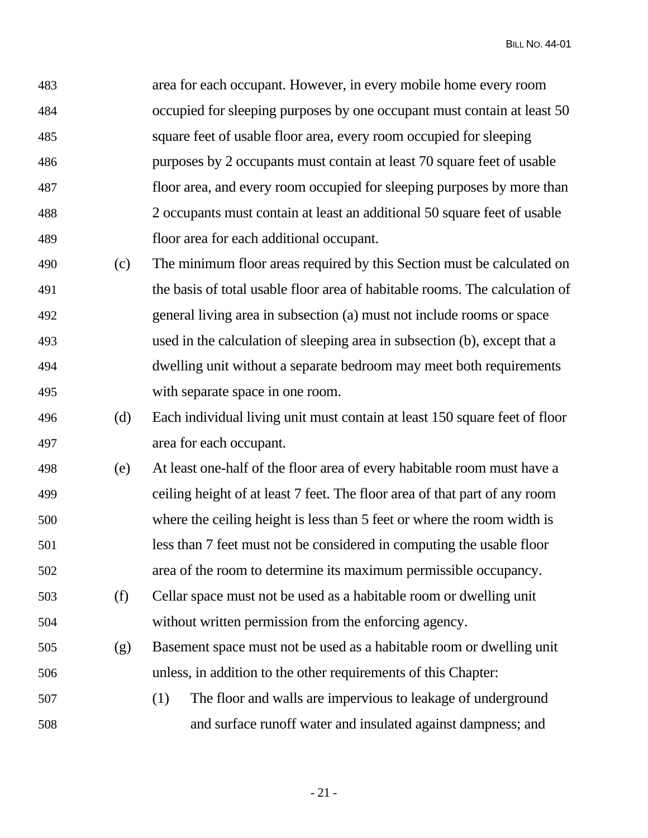483 area for each occupant. However, in every mobile home every room 484 occupied for sleeping purposes by one occupant must contain at least 50 485 square feet of usable floor area, every room occupied for sleeping 486 purposes by 2 occupants must contain at least 70 square feet of usable 487 floor area, and every room occupied for sleeping purposes by more than 488 2 occupants must contain at least an additional 50 square feet of usable 489 floor area for each additional occupant.

- 490 (c) The minimum floor areas required by this Section must be calculated on 491 the basis of total usable floor area of habitable rooms. The calculation of 492 general living area in subsection (a) must not include rooms or space 493 used in the calculation of sleeping area in subsection (b), except that a 494 dwelling unit without a separate bedroom may meet both requirements 495 with separate space in one room.
- 496 (d) Each individual living unit must contain at least 150 square feet of floor 497 area for each occupant.
- 498 (e) At least one-half of the floor area of every habitable room must have a 499 ceiling height of at least 7 feet. The floor area of that part of any room 500 where the ceiling height is less than 5 feet or where the room width is 501 less than 7 feet must not be considered in computing the usable floor 502 area of the room to determine its maximum permissible occupancy.
- 503 (f) Cellar space must not be used as a habitable room or dwelling unit 504 without written permission from the enforcing agency.
- 505 (g) Basement space must not be used as a habitable room or dwelling unit 506 unless, in addition to the other requirements of this Chapter:
- 507 (1) The floor and walls are impervious to leakage of underground 508 and surface runoff water and insulated against dampness; and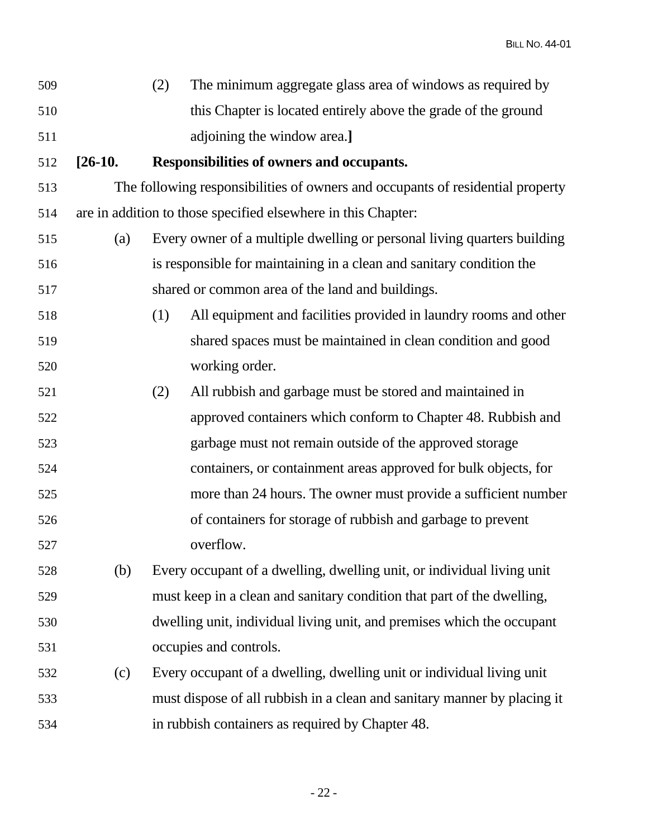| 509 | The minimum aggregate glass area of windows as required by     |
|-----|----------------------------------------------------------------|
| 510 | this Chapter is located entirely above the grade of the ground |
| 511 | adjoining the window area.                                     |

## 512 **[26-10. Responsibilities of owners and occupants.**

513 The following responsibilities of owners and occupants of residential property 514 are in addition to those specified elsewhere in this Chapter:

- 515 (a) Every owner of a multiple dwelling or personal living quarters building 516 is responsible for maintaining in a clean and sanitary condition the 517 shared or common area of the land and buildings.
- 518 (1) All equipment and facilities provided in laundry rooms and other 519 shared spaces must be maintained in clean condition and good 520 working order.
- 521 (2) All rubbish and garbage must be stored and maintained in 522 approved containers which conform to Chapter 48. Rubbish and 523 garbage must not remain outside of the approved storage 524 containers, or containment areas approved for bulk objects, for 525 more than 24 hours. The owner must provide a sufficient number 526 of containers for storage of rubbish and garbage to prevent 527 overflow.
- 528 (b) Every occupant of a dwelling, dwelling unit, or individual living unit 529 must keep in a clean and sanitary condition that part of the dwelling, 530 dwelling unit, individual living unit, and premises which the occupant 531 occupies and controls.
- 532 (c) Every occupant of a dwelling, dwelling unit or individual living unit 533 must dispose of all rubbish in a clean and sanitary manner by placing it 534 in rubbish containers as required by Chapter 48.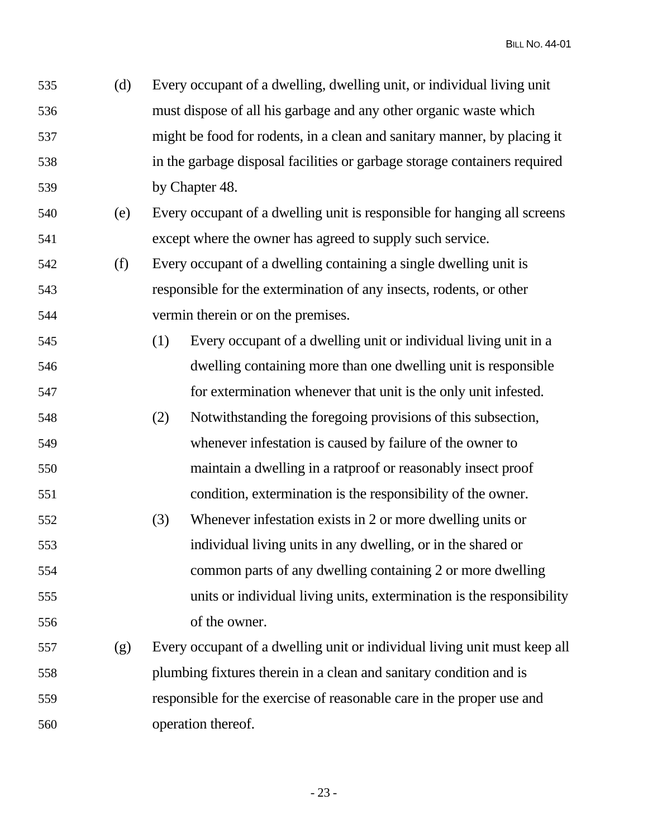535 (d) Every occupant of a dwelling, dwelling unit, or individual living unit 536 must dispose of all his garbage and any other organic waste which 537 might be food for rodents, in a clean and sanitary manner, by placing it 538 in the garbage disposal facilities or garbage storage containers required 539 by Chapter 48.

- 540 (e) Every occupant of a dwelling unit is responsible for hanging all screens 541 except where the owner has agreed to supply such service.
- 542 (f) Every occupant of a dwelling containing a single dwelling unit is 543 responsible for the extermination of any insects, rodents, or other 544 vermin therein or on the premises.
- 545 (1) Every occupant of a dwelling unit or individual living unit in a 546 dwelling containing more than one dwelling unit is responsible 547 for extermination whenever that unit is the only unit infested.
- 548 (2) Notwithstanding the foregoing provisions of this subsection, 549 whenever infestation is caused by failure of the owner to 550 maintain a dwelling in a ratproof or reasonably insect proof 551 condition, extermination is the responsibility of the owner.
- 552 (3) Whenever infestation exists in 2 or more dwelling units or 553 individual living units in any dwelling, or in the shared or 554 common parts of any dwelling containing 2 or more dwelling 555 units or individual living units, extermination is the responsibility 556 of the owner.
- 557 (g) Every occupant of a dwelling unit or individual living unit must keep all 558 plumbing fixtures therein in a clean and sanitary condition and is 559 responsible for the exercise of reasonable care in the proper use and 560 operation thereof.

- 23 -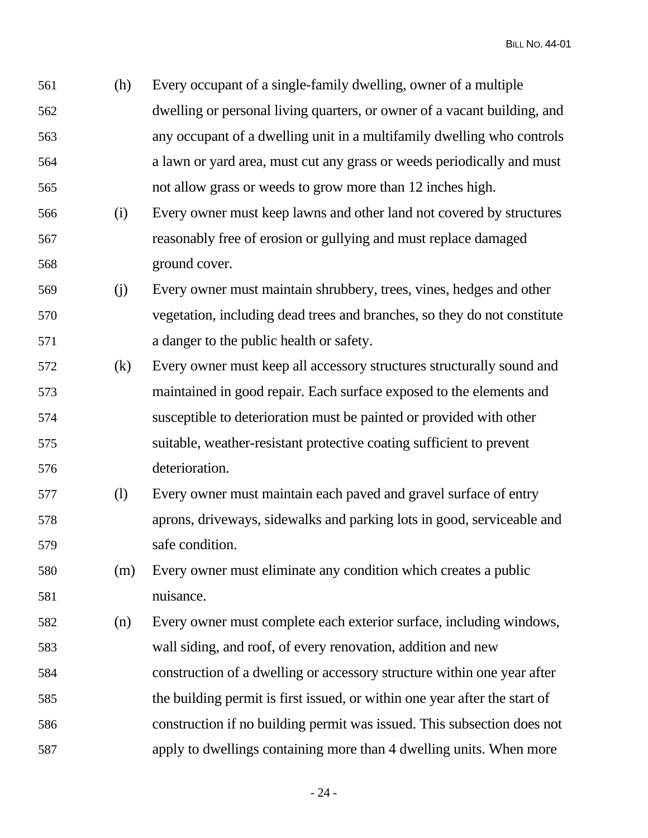561 (h) Every occupant of a single-family dwelling, owner of a multiple 562 dwelling or personal living quarters, or owner of a vacant building, and 563 any occupant of a dwelling unit in a multifamily dwelling who controls 564 a lawn or yard area, must cut any grass or weeds periodically and must 565 not allow grass or weeds to grow more than 12 inches high.

- 566 (i) Every owner must keep lawns and other land not covered by structures 567 reasonably free of erosion or gullying and must replace damaged 568 ground cover.
- 569 (j) Every owner must maintain shrubbery, trees, vines, hedges and other 570 vegetation, including dead trees and branches, so they do not constitute 571 a danger to the public health or safety.
- 572 (k) Every owner must keep all accessory structures structurally sound and 573 maintained in good repair. Each surface exposed to the elements and 574 susceptible to deterioration must be painted or provided with other 575 suitable, weather-resistant protective coating sufficient to prevent 576 deterioration.
- 577 (l) Every owner must maintain each paved and gravel surface of entry 578 aprons, driveways, sidewalks and parking lots in good, serviceable and 579 safe condition.
- 580 (m) Every owner must eliminate any condition which creates a public 581 nuisance.
- 582 (n) Every owner must complete each exterior surface, including windows, 583 wall siding, and roof, of every renovation, addition and new 584 construction of a dwelling or accessory structure within one year after 585 the building permit is first issued, or within one year after the start of 586 construction if no building permit was issued. This subsection does not 587 apply to dwellings containing more than 4 dwelling units. When more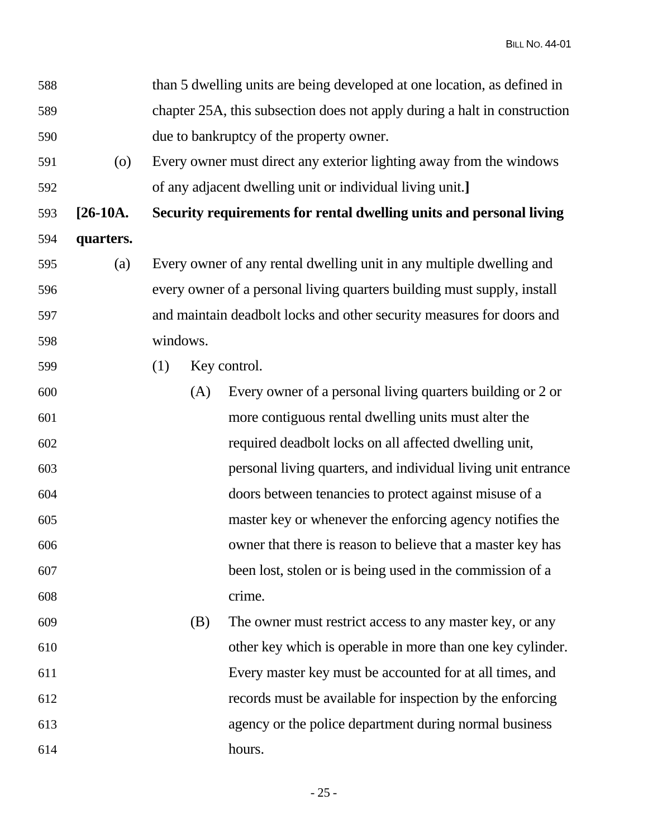| 588 |                    |          |     | than 5 dwelling units are being developed at one location, as defined in  |
|-----|--------------------|----------|-----|---------------------------------------------------------------------------|
| 589 |                    |          |     | chapter 25A, this subsection does not apply during a halt in construction |
| 590 |                    |          |     | due to bankruptcy of the property owner.                                  |
| 591 | $\left( 0 \right)$ |          |     | Every owner must direct any exterior lighting away from the windows       |
| 592 |                    |          |     | of any adjacent dwelling unit or individual living unit.]                 |
| 593 | $[26-10A]$         |          |     | Security requirements for rental dwelling units and personal living       |
| 594 | quarters.          |          |     |                                                                           |
| 595 | (a)                |          |     | Every owner of any rental dwelling unit in any multiple dwelling and      |
| 596 |                    |          |     | every owner of a personal living quarters building must supply, install   |
| 597 |                    |          |     | and maintain deadbolt locks and other security measures for doors and     |
| 598 |                    | windows. |     |                                                                           |
| 599 |                    | (1)      |     | Key control.                                                              |
| 600 |                    |          | (A) | Every owner of a personal living quarters building or 2 or                |
| 601 |                    |          |     | more contiguous rental dwelling units must alter the                      |
| 602 |                    |          |     | required deadbolt locks on all affected dwelling unit,                    |
| 603 |                    |          |     | personal living quarters, and individual living unit entrance             |
| 604 |                    |          |     | doors between tenancies to protect against misuse of a                    |
| 605 |                    |          |     | master key or whenever the enforcing agency notifies the                  |
| 606 |                    |          |     | owner that there is reason to believe that a master key has               |
| 607 |                    |          |     | been lost, stolen or is being used in the commission of a                 |
| 608 |                    |          |     | crime.                                                                    |
| 609 |                    |          | (B) | The owner must restrict access to any master key, or any                  |
| 610 |                    |          |     | other key which is operable in more than one key cylinder.                |
| 611 |                    |          |     | Every master key must be accounted for at all times, and                  |
| 612 |                    |          |     | records must be available for inspection by the enforcing                 |
| 613 |                    |          |     | agency or the police department during normal business                    |
| 614 |                    |          |     | hours.                                                                    |

- 25 -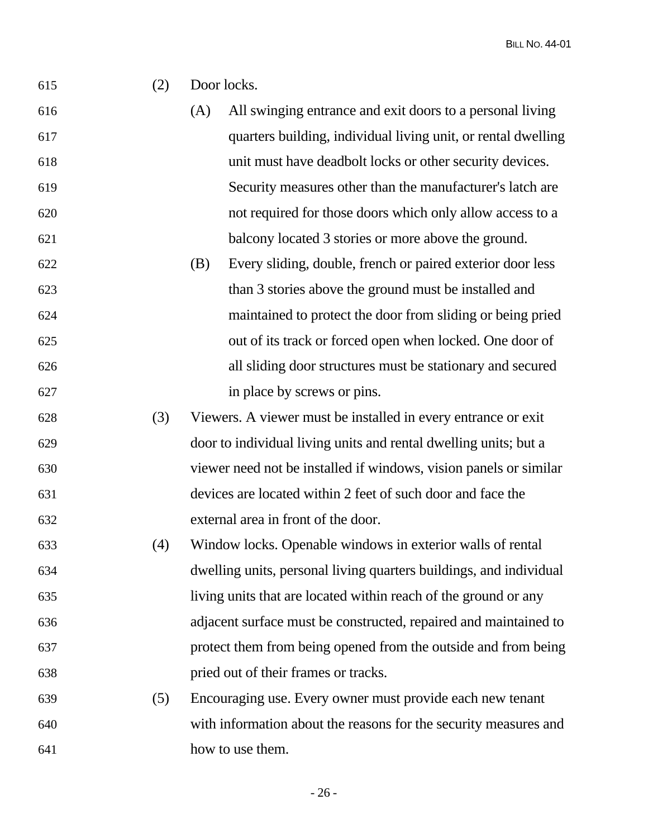| 615 | (2) | Door locks. |                                                                    |
|-----|-----|-------------|--------------------------------------------------------------------|
| 616 |     | (A)         | All swinging entrance and exit doors to a personal living          |
| 617 |     |             | quarters building, individual living unit, or rental dwelling      |
| 618 |     |             | unit must have deadbolt locks or other security devices.           |
| 619 |     |             | Security measures other than the manufacturer's latch are          |
| 620 |     |             | not required for those doors which only allow access to a          |
| 621 |     |             | balcony located 3 stories or more above the ground.                |
| 622 |     | (B)         | Every sliding, double, french or paired exterior door less         |
| 623 |     |             | than 3 stories above the ground must be installed and              |
| 624 |     |             | maintained to protect the door from sliding or being pried         |
| 625 |     |             | out of its track or forced open when locked. One door of           |
| 626 |     |             | all sliding door structures must be stationary and secured         |
| 627 |     |             | in place by screws or pins.                                        |
| 628 | (3) |             | Viewers. A viewer must be installed in every entrance or exit      |
| 629 |     |             | door to individual living units and rental dwelling units; but a   |
| 630 |     |             | viewer need not be installed if windows, vision panels or similar  |
| 631 |     |             | devices are located within 2 feet of such door and face the        |
| 632 |     |             | external area in front of the door.                                |
| 633 | (4) |             | Window locks. Openable windows in exterior walls of rental         |
| 634 |     |             | dwelling units, personal living quarters buildings, and individual |
| 635 |     |             | living units that are located within reach of the ground or any    |
| 636 |     |             | adjacent surface must be constructed, repaired and maintained to   |
| 637 |     |             | protect them from being opened from the outside and from being     |
| 638 |     |             | pried out of their frames or tracks.                               |
| 639 | (5) |             | Encouraging use. Every owner must provide each new tenant          |
| 640 |     |             | with information about the reasons for the security measures and   |
| 641 |     |             | how to use them.                                                   |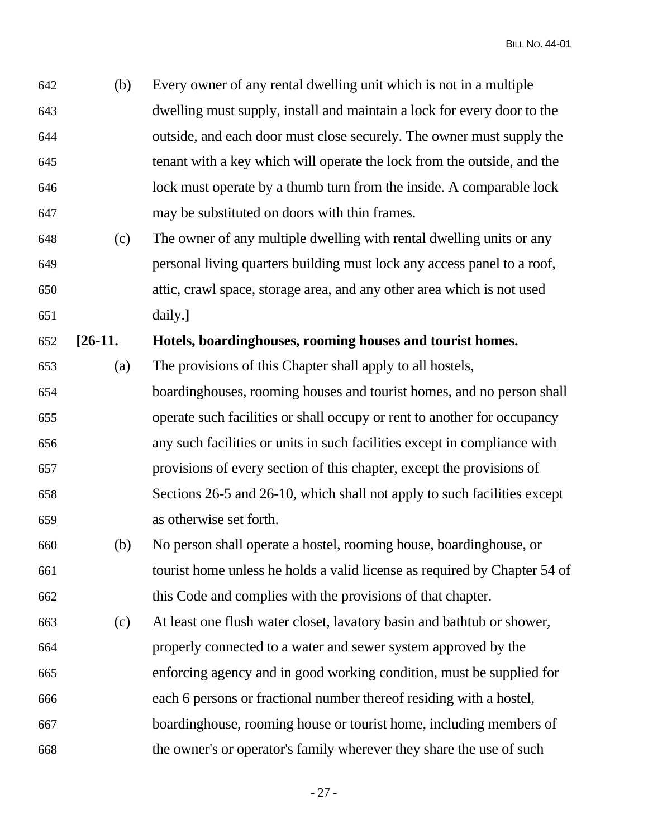642 (b) Every owner of any rental dwelling unit which is not in a multiple 643 dwelling must supply, install and maintain a lock for every door to the 644 outside, and each door must close securely. The owner must supply the 645 tenant with a key which will operate the lock from the outside, and the 646 lock must operate by a thumb turn from the inside. A comparable lock 647 may be substituted on doors with thin frames.

648 (c) The owner of any multiple dwelling with rental dwelling units or any 649 personal living quarters building must lock any access panel to a roof, 650 attic, crawl space, storage area, and any other area which is not used 651 daily.**]**

652 **[26-11. Hotels, boardinghouses, rooming houses and tourist homes.** 

653 (a) The provisions of this Chapter shall apply to all hostels,

- 654 boardinghouses, rooming houses and tourist homes, and no person shall 655 operate such facilities or shall occupy or rent to another for occupancy 656 any such facilities or units in such facilities except in compliance with 657 provisions of every section of this chapter, except the provisions of 658 Sections 26-5 and 26-10, which shall not apply to such facilities except 659 as otherwise set forth.
- 660 (b) No person shall operate a hostel, rooming house, boardinghouse, or 661 tourist home unless he holds a valid license as required by Chapter 54 of 662 this Code and complies with the provisions of that chapter.
- 663 (c) At least one flush water closet, lavatory basin and bathtub or shower, 664 properly connected to a water and sewer system approved by the 665 enforcing agency and in good working condition, must be supplied for 666 each 6 persons or fractional number thereof residing with a hostel, 667 boardinghouse, rooming house or tourist home, including members of 668 the owner's or operator's family wherever they share the use of such

- 27 -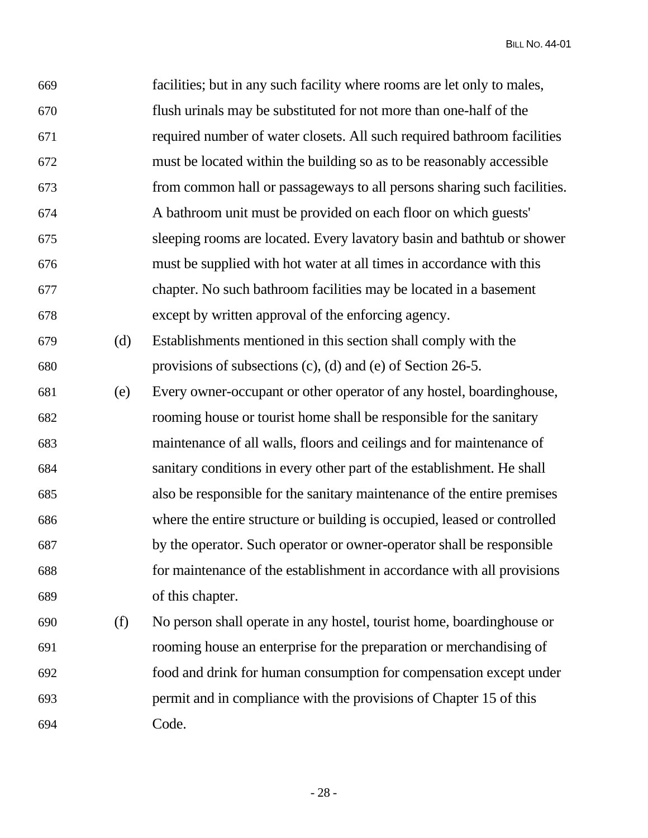| 669 |     | facilities; but in any such facility where rooms are let only to males,  |
|-----|-----|--------------------------------------------------------------------------|
| 670 |     | flush urinals may be substituted for not more than one-half of the       |
| 671 |     | required number of water closets. All such required bathroom facilities  |
| 672 |     | must be located within the building so as to be reasonably accessible    |
| 673 |     | from common hall or passageways to all persons sharing such facilities.  |
| 674 |     | A bathroom unit must be provided on each floor on which guests'          |
| 675 |     | sleeping rooms are located. Every lavatory basin and bathtub or shower   |
| 676 |     | must be supplied with hot water at all times in accordance with this     |
| 677 |     | chapter. No such bathroom facilities may be located in a basement        |
| 678 |     | except by written approval of the enforcing agency.                      |
| 679 | (d) | Establishments mentioned in this section shall comply with the           |
| 680 |     | provisions of subsections $(c)$ , $(d)$ and $(e)$ of Section 26-5.       |
| 681 | (e) | Every owner-occupant or other operator of any hostel, boardinghouse,     |
| 682 |     | rooming house or tourist home shall be responsible for the sanitary      |
| 683 |     | maintenance of all walls, floors and ceilings and for maintenance of     |
| 684 |     | sanitary conditions in every other part of the establishment. He shall   |
| 685 |     | also be responsible for the sanitary maintenance of the entire premises  |
| 686 |     | where the entire structure or building is occupied, leased or controlled |
| 687 |     | by the operator. Such operator or owner-operator shall be responsible    |
| 688 |     | for maintenance of the establishment in accordance with all provisions   |
| 689 |     | of this chapter.                                                         |
| 690 | (f) | No person shall operate in any hostel, tourist home, boardinghouse or    |
| 691 |     | rooming house an enterprise for the preparation or merchandising of      |
| 692 |     | food and drink for human consumption for compensation except under       |
| 693 |     | permit and in compliance with the provisions of Chapter 15 of this       |

694 Code.

- 28 -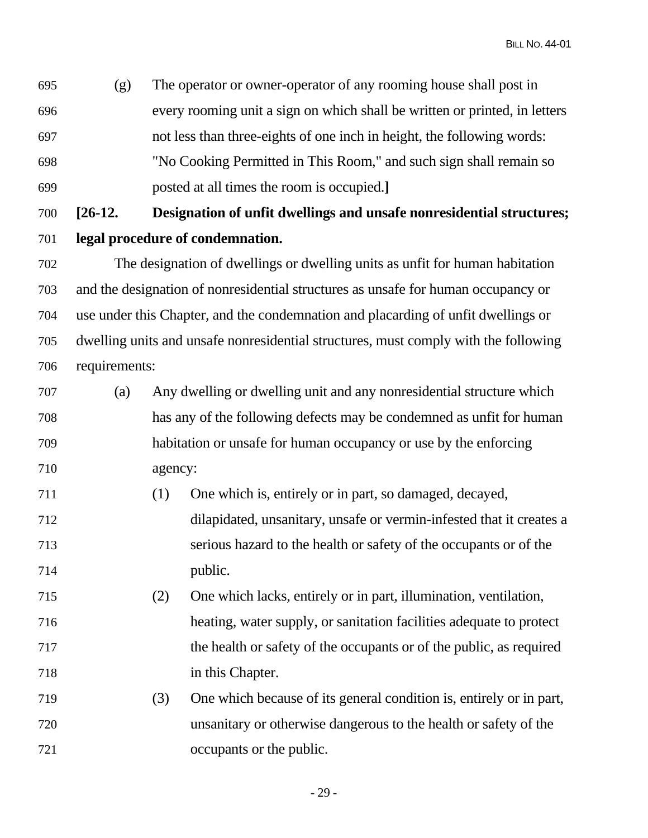695 (g) The operator or owner-operator of any rooming house shall post in 696 every rooming unit a sign on which shall be written or printed, in letters 697 not less than three-eights of one inch in height, the following words: 698 "No Cooking Permitted in This Room," and such sign shall remain so 699 posted at all times the room is occupied.**]**

700 **[26-12. Designation of unfit dwellings and unsafe nonresidential structures;**  701 **legal procedure of condemnation.**

702 The designation of dwellings or dwelling units as unfit for human habitation 703 and the designation of nonresidential structures as unsafe for human occupancy or 704 use under this Chapter, and the condemnation and placarding of unfit dwellings or 705 dwelling units and unsafe nonresidential structures, must comply with the following 706 requirements:

- 707 (a) Any dwelling or dwelling unit and any nonresidential structure which 708 has any of the following defects may be condemned as unfit for human 709 habitation or unsafe for human occupancy or use by the enforcing 710 agency:
- 711 (1) One which is, entirely or in part, so damaged, decayed, 712 dilapidated, unsanitary, unsafe or vermin-infested that it creates a 713 serious hazard to the health or safety of the occupants or of the 714 public.
- 715 (2) One which lacks, entirely or in part, illumination, ventilation, 716 heating, water supply, or sanitation facilities adequate to protect 717 the health or safety of the occupants or of the public, as required 718 in this Chapter.
- 719 (3) One which because of its general condition is, entirely or in part, 720 unsanitary or otherwise dangerous to the health or safety of the 721 occupants or the public.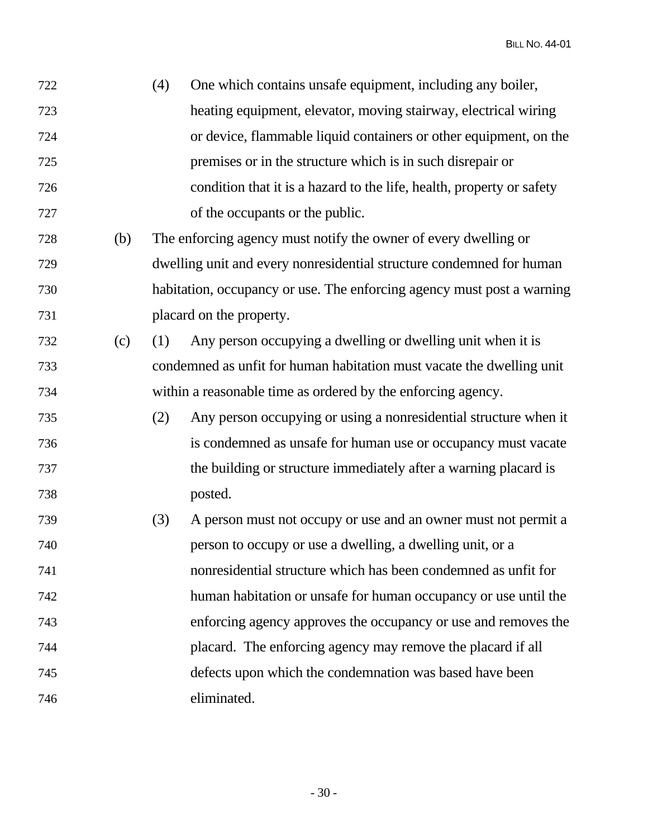| 722 |     | (4) | One which contains unsafe equipment, including any boiler,             |
|-----|-----|-----|------------------------------------------------------------------------|
| 723 |     |     | heating equipment, elevator, moving stairway, electrical wiring        |
| 724 |     |     | or device, flammable liquid containers or other equipment, on the      |
| 725 |     |     | premises or in the structure which is in such disrepair or             |
| 726 |     |     | condition that it is a hazard to the life, health, property or safety  |
| 727 |     |     | of the occupants or the public.                                        |
| 728 | (b) |     | The enforcing agency must notify the owner of every dwelling or        |
| 729 |     |     | dwelling unit and every nonresidential structure condemned for human   |
| 730 |     |     | habitation, occupancy or use. The enforcing agency must post a warning |
| 731 |     |     | placard on the property.                                               |
| 732 | (c) | (1) | Any person occupying a dwelling or dwelling unit when it is            |
| 733 |     |     | condemned as unfit for human habitation must vacate the dwelling unit  |
| 734 |     |     | within a reasonable time as ordered by the enforcing agency.           |
| 735 |     | (2) | Any person occupying or using a nonresidential structure when it       |
| 736 |     |     | is condemned as unsafe for human use or occupancy must vacate          |
| 737 |     |     | the building or structure immediately after a warning placard is       |
| 738 |     |     | posted.                                                                |
| 739 |     | (3) | A person must not occupy or use and an owner must not permit a         |
| 740 |     |     | person to occupy or use a dwelling, a dwelling unit, or a              |
| 741 |     |     | nonresidential structure which has been condemned as unfit for         |
| 742 |     |     | human habitation or unsafe for human occupancy or use until the        |
| 743 |     |     | enforcing agency approves the occupancy or use and removes the         |
| 744 |     |     | placard. The enforcing agency may remove the placard if all            |
| 745 |     |     | defects upon which the condemnation was based have been                |
| 746 |     |     | eliminated.                                                            |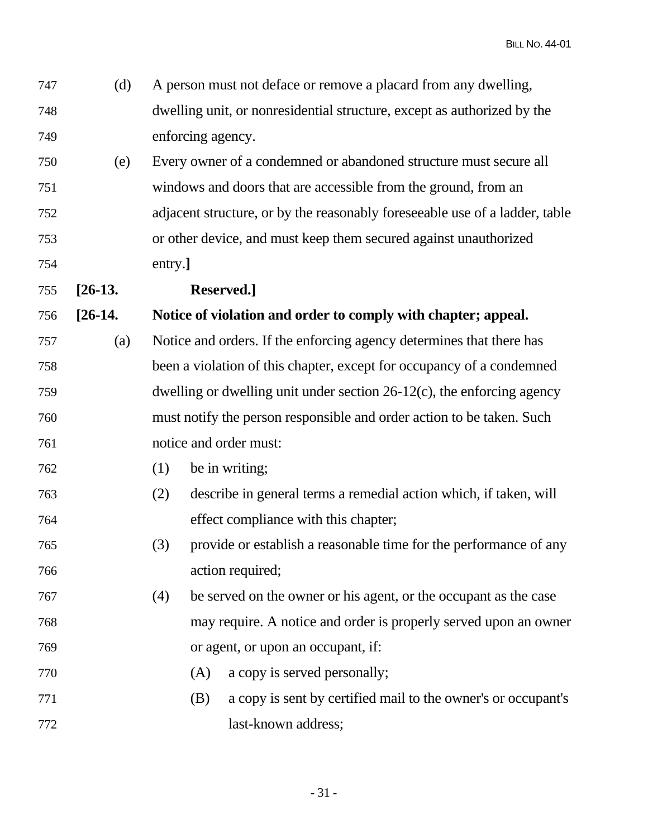| 747 | (d)       |                                                                           | A person must not deface or remove a placard from any dwelling,             |  |
|-----|-----------|---------------------------------------------------------------------------|-----------------------------------------------------------------------------|--|
| 748 |           |                                                                           | dwelling unit, or nonresidential structure, except as authorized by the     |  |
| 749 |           |                                                                           | enforcing agency.                                                           |  |
| 750 | (e)       |                                                                           | Every owner of a condemned or abandoned structure must secure all           |  |
| 751 |           |                                                                           | windows and doors that are accessible from the ground, from an              |  |
| 752 |           |                                                                           | adjacent structure, or by the reasonably foreseeable use of a ladder, table |  |
| 753 |           |                                                                           | or other device, and must keep them secured against unauthorized            |  |
| 754 |           | entry.]                                                                   |                                                                             |  |
| 755 | $[26-13]$ |                                                                           | Reserved.]                                                                  |  |
| 756 | $[26-14]$ |                                                                           | Notice of violation and order to comply with chapter; appeal.               |  |
| 757 | (a)       |                                                                           | Notice and orders. If the enforcing agency determines that there has        |  |
| 758 |           |                                                                           | been a violation of this chapter, except for occupancy of a condemned       |  |
| 759 |           | dwelling or dwelling unit under section $26-12(c)$ , the enforcing agency |                                                                             |  |
| 760 |           |                                                                           | must notify the person responsible and order action to be taken. Such       |  |
| 761 |           |                                                                           | notice and order must:                                                      |  |
| 762 |           | (1)                                                                       | be in writing;                                                              |  |
| 763 |           | (2)                                                                       | describe in general terms a remedial action which, if taken, will           |  |
| 764 |           |                                                                           | effect compliance with this chapter;                                        |  |
| 765 |           | (3)                                                                       | provide or establish a reasonable time for the performance of any           |  |
| 766 |           |                                                                           | action required;                                                            |  |
| 767 |           | (4)                                                                       | be served on the owner or his agent, or the occupant as the case            |  |
| 768 |           |                                                                           | may require. A notice and order is properly served upon an owner            |  |
| 769 |           |                                                                           | or agent, or upon an occupant, if:                                          |  |
| 770 |           |                                                                           | a copy is served personally;<br>(A)                                         |  |
| 771 |           |                                                                           | a copy is sent by certified mail to the owner's or occupant's<br>(B)        |  |
| 772 |           |                                                                           | last-known address;                                                         |  |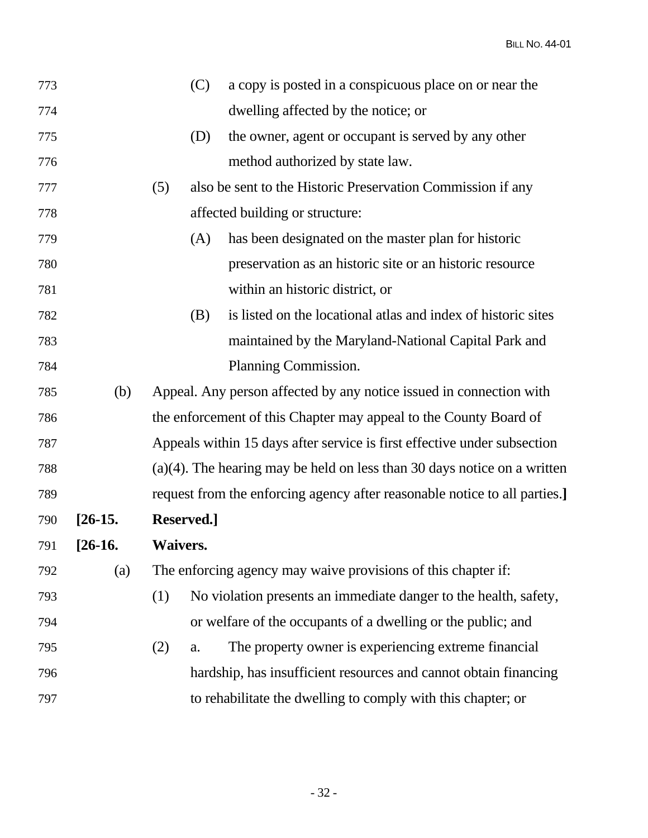| 773 |           | (C)             | a copy is posted in a conspicuous place on or near the                      |  |
|-----|-----------|-----------------|-----------------------------------------------------------------------------|--|
| 774 |           |                 | dwelling affected by the notice; or                                         |  |
| 775 |           | (D)             | the owner, agent or occupant is served by any other                         |  |
| 776 |           |                 | method authorized by state law.                                             |  |
| 777 |           | (5)             | also be sent to the Historic Preservation Commission if any                 |  |
| 778 |           |                 | affected building or structure:                                             |  |
| 779 |           | (A)             | has been designated on the master plan for historic                         |  |
| 780 |           |                 | preservation as an historic site or an historic resource                    |  |
| 781 |           |                 | within an historic district, or                                             |  |
| 782 |           | (B)             | is listed on the locational atlas and index of historic sites               |  |
| 783 |           |                 | maintained by the Maryland-National Capital Park and                        |  |
| 784 |           |                 | Planning Commission.                                                        |  |
| 785 | (b)       |                 | Appeal. Any person affected by any notice issued in connection with         |  |
| 786 |           |                 | the enforcement of this Chapter may appeal to the County Board of           |  |
| 787 |           |                 | Appeals within 15 days after service is first effective under subsection    |  |
| 788 |           |                 | $(a)(4)$ . The hearing may be held on less than 30 days notice on a written |  |
| 789 |           |                 | request from the enforcing agency after reasonable notice to all parties.]  |  |
| 790 | $[26-15]$ | Reserved.]      |                                                                             |  |
| 791 | $[26-16]$ | <b>Waivers.</b> |                                                                             |  |
| 792 | (a)       |                 | The enforcing agency may waive provisions of this chapter if:               |  |
| 793 |           | (1)             | No violation presents an immediate danger to the health, safety,            |  |
| 794 |           |                 | or welfare of the occupants of a dwelling or the public; and                |  |
| 795 |           | (2)<br>a.       | The property owner is experiencing extreme financial                        |  |
| 796 |           |                 | hardship, has insufficient resources and cannot obtain financing            |  |
| 797 |           |                 | to rehabilitate the dwelling to comply with this chapter; or                |  |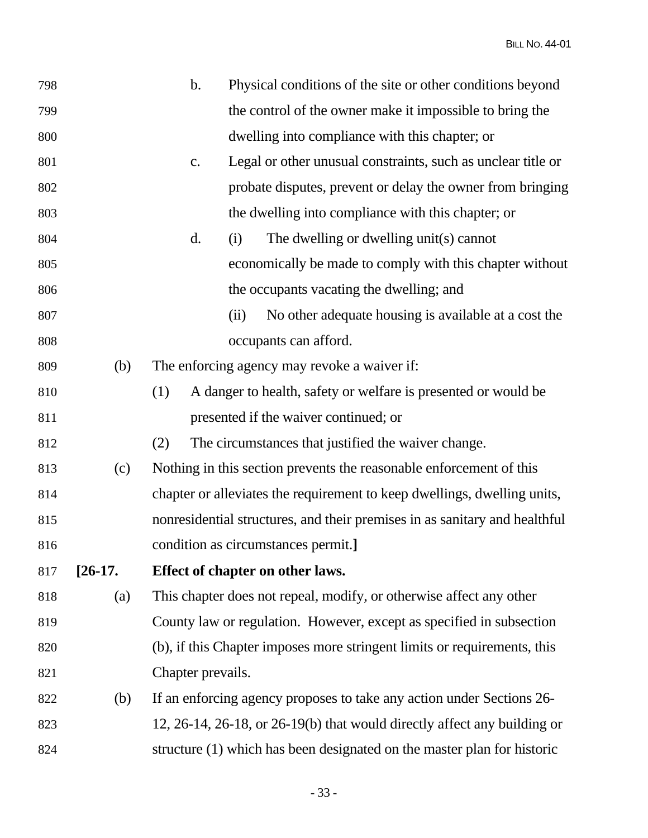| 798 |             | $\mathbf b$ .     | Physical conditions of the site or other conditions beyond                 |
|-----|-------------|-------------------|----------------------------------------------------------------------------|
| 799 |             |                   | the control of the owner make it impossible to bring the                   |
| 800 |             |                   | dwelling into compliance with this chapter; or                             |
| 801 |             | C.                | Legal or other unusual constraints, such as unclear title or               |
| 802 |             |                   | probate disputes, prevent or delay the owner from bringing                 |
| 803 |             |                   | the dwelling into compliance with this chapter; or                         |
| 804 |             | d.                | The dwelling or dwelling unit(s) cannot<br>(i)                             |
| 805 |             |                   | economically be made to comply with this chapter without                   |
| 806 |             |                   | the occupants vacating the dwelling; and                                   |
| 807 |             |                   | No other adequate housing is available at a cost the<br>(ii)               |
| 808 |             |                   | occupants can afford.                                                      |
| 809 | (b)         |                   | The enforcing agency may revoke a waiver if:                               |
| 810 |             | (1)               | A danger to health, safety or welfare is presented or would be             |
| 811 |             |                   | presented if the waiver continued; or                                      |
| 812 |             | (2)               | The circumstances that justified the waiver change.                        |
| 813 | (c)         |                   | Nothing in this section prevents the reasonable enforcement of this        |
| 814 |             |                   | chapter or alleviates the requirement to keep dwellings, dwelling units,   |
| 815 |             |                   | nonresidential structures, and their premises in as sanitary and healthful |
| 816 |             |                   | condition as circumstances permit.]                                        |
| 817 | $[26-17]$ . |                   | Effect of chapter on other laws.                                           |
| 818 | (a)         |                   | This chapter does not repeal, modify, or otherwise affect any other        |
| 819 |             |                   | County law or regulation. However, except as specified in subsection       |
| 820 |             |                   | (b), if this Chapter imposes more stringent limits or requirements, this   |
| 821 |             | Chapter prevails. |                                                                            |
| 822 | (b)         |                   | If an enforcing agency proposes to take any action under Sections 26-      |
| 823 |             |                   | 12, 26-14, 26-18, or 26-19(b) that would directly affect any building or   |
| 824 |             |                   | structure (1) which has been designated on the master plan for historic    |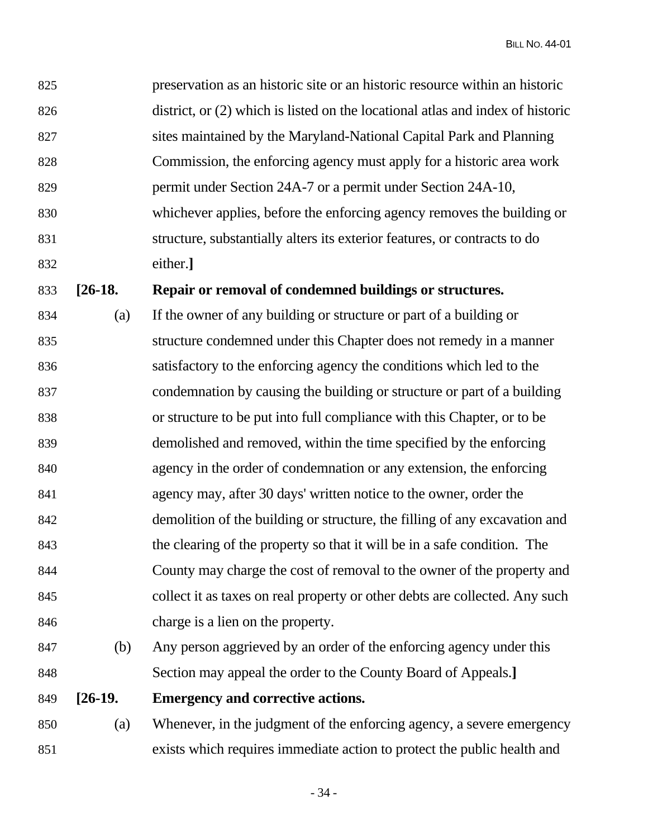| 825 | preservation as an historic site or an historic resource within an historic    |
|-----|--------------------------------------------------------------------------------|
| 826 | district, or (2) which is listed on the locational atlas and index of historic |
| 827 | sites maintained by the Maryland-National Capital Park and Planning            |
| 828 | Commission, the enforcing agency must apply for a historic area work           |
| 829 | permit under Section 24A-7 or a permit under Section 24A-10,                   |
| 830 | whichever applies, before the enforcing agency removes the building or         |
| 831 | structure, substantially alters its exterior features, or contracts to do      |
| 832 | either.]                                                                       |

## 833 **[26-18. Repair or removal of condemned buildings or structures.**

- 834 (a) If the owner of any building or structure or part of a building or 835 structure condemned under this Chapter does not remedy in a manner 836 satisfactory to the enforcing agency the conditions which led to the 837 condemnation by causing the building or structure or part of a building 838 or structure to be put into full compliance with this Chapter, or to be 839 demolished and removed, within the time specified by the enforcing 840 agency in the order of condemnation or any extension, the enforcing 841 agency may, after 30 days' written notice to the owner, order the 842 demolition of the building or structure, the filling of any excavation and 843 the clearing of the property so that it will be in a safe condition. The 844 County may charge the cost of removal to the owner of the property and 845 collect it as taxes on real property or other debts are collected. Any such 846 charge is a lien on the property.
- 847 (b) Any person aggrieved by an order of the enforcing agency under this 848 Section may appeal the order to the County Board of Appeals.**]**
- 849 **[26-19. Emergency and corrective actions.**
- 850 (a) Whenever, in the judgment of the enforcing agency, a severe emergency 851 exists which requires immediate action to protect the public health and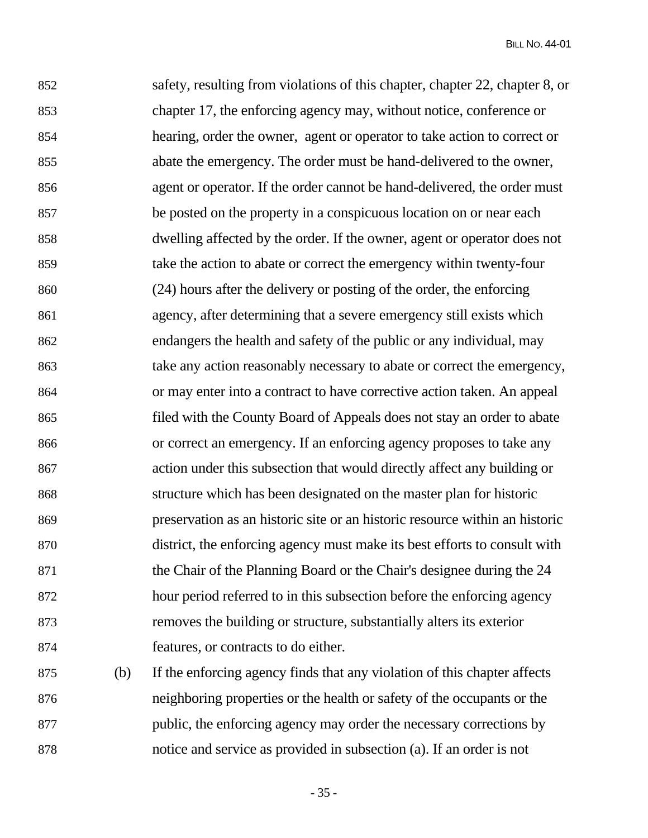852 safety, resulting from violations of this chapter, chapter 22, chapter 8, or 853 chapter 17, the enforcing agency may, without notice, conference or 854 hearing, order the owner, agent or operator to take action to correct or 855 abate the emergency. The order must be hand-delivered to the owner, 856 agent or operator. If the order cannot be hand-delivered, the order must 857 be posted on the property in a conspicuous location on or near each 858 dwelling affected by the order. If the owner, agent or operator does not 859 take the action to abate or correct the emergency within twenty-four 860 (24) hours after the delivery or posting of the order, the enforcing 861 agency, after determining that a severe emergency still exists which 862 endangers the health and safety of the public or any individual, may 863 take any action reasonably necessary to abate or correct the emergency, 864 or may enter into a contract to have corrective action taken. An appeal 865 filed with the County Board of Appeals does not stay an order to abate 866 or correct an emergency. If an enforcing agency proposes to take any 867 action under this subsection that would directly affect any building or 868 structure which has been designated on the master plan for historic 869 preservation as an historic site or an historic resource within an historic 870 district, the enforcing agency must make its best efforts to consult with 871 the Chair of the Planning Board or the Chair's designee during the 24 872 hour period referred to in this subsection before the enforcing agency 873 removes the building or structure, substantially alters its exterior 874 features, or contracts to do either.

875 (b) If the enforcing agency finds that any violation of this chapter affects 876 neighboring properties or the health or safety of the occupants or the 877 public, the enforcing agency may order the necessary corrections by 878 notice and service as provided in subsection (a). If an order is not

 $-35 -$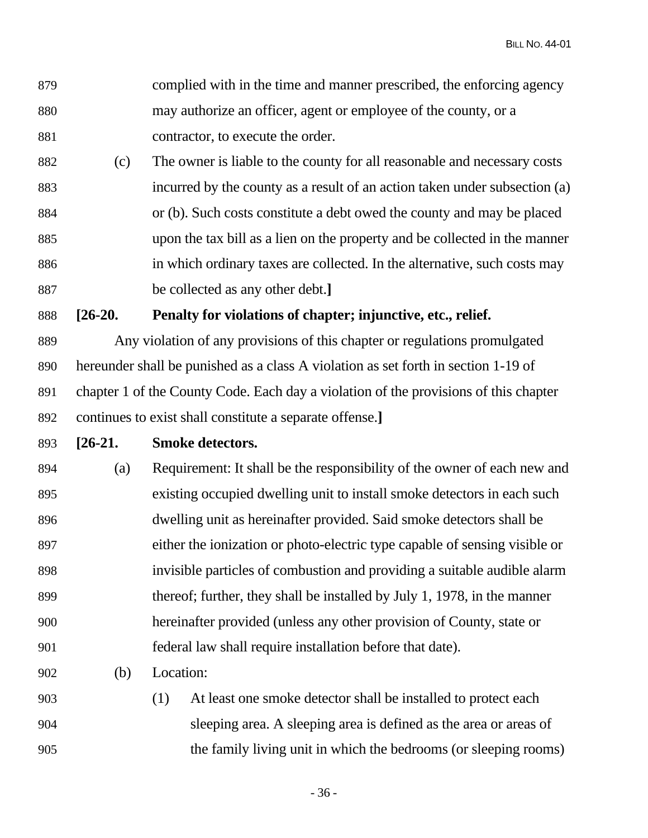- 879 complied with in the time and manner prescribed, the enforcing agency 880 may authorize an officer, agent or employee of the county, or a 881 contractor, to execute the order.
- 882 (c) The owner is liable to the county for all reasonable and necessary costs 883 incurred by the county as a result of an action taken under subsection (a) 884 or (b). Such costs constitute a debt owed the county and may be placed 885 upon the tax bill as a lien on the property and be collected in the manner 886 in which ordinary taxes are collected. In the alternative, such costs may 887 be collected as any other debt.**]**

888 **[26-20. Penalty for violations of chapter; injunctive, etc., relief.** 

889 Any violation of any provisions of this chapter or regulations promulgated 890 hereunder shall be punished as a class A violation as set forth in section 1-19 of 891 chapter 1 of the County Code. Each day a violation of the provisions of this chapter 892 continues to exist shall constitute a separate offense.**]**

893 **[26-21. Smoke detectors.** 

- 894 (a) Requirement: It shall be the responsibility of the owner of each new and 895 existing occupied dwelling unit to install smoke detectors in each such 896 dwelling unit as hereinafter provided. Said smoke detectors shall be 897 either the ionization or photo-electric type capable of sensing visible or 898 invisible particles of combustion and providing a suitable audible alarm 899 thereof; further, they shall be installed by July 1, 1978, in the manner 900 hereinafter provided (unless any other provision of County, state or 901 federal law shall require installation before that date).
- 902 (b) Location:
- 903 (1) At least one smoke detector shall be installed to protect each 904 sleeping area. A sleeping area is defined as the area or areas of 905 the family living unit in which the bedrooms (or sleeping rooms)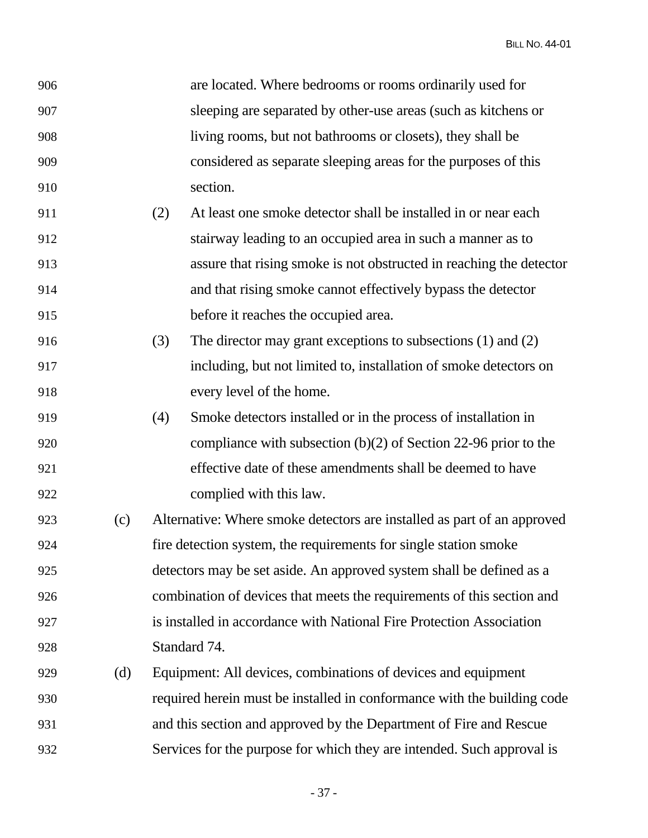| 906 |     |     | are located. Where bedrooms or rooms ordinarily used for                |
|-----|-----|-----|-------------------------------------------------------------------------|
| 907 |     |     | sleeping are separated by other-use areas (such as kitchens or          |
| 908 |     |     | living rooms, but not bathrooms or closets), they shall be              |
| 909 |     |     | considered as separate sleeping areas for the purposes of this          |
| 910 |     |     | section.                                                                |
| 911 |     | (2) | At least one smoke detector shall be installed in or near each          |
| 912 |     |     | stairway leading to an occupied area in such a manner as to             |
| 913 |     |     | assure that rising smoke is not obstructed in reaching the detector     |
| 914 |     |     | and that rising smoke cannot effectively bypass the detector            |
| 915 |     |     | before it reaches the occupied area.                                    |
| 916 |     | (3) | The director may grant exceptions to subsections $(1)$ and $(2)$        |
| 917 |     |     | including, but not limited to, installation of smoke detectors on       |
| 918 |     |     | every level of the home.                                                |
| 919 |     | (4) | Smoke detectors installed or in the process of installation in          |
| 920 |     |     | compliance with subsection $(b)(2)$ of Section 22-96 prior to the       |
| 921 |     |     | effective date of these amendments shall be deemed to have              |
| 922 |     |     | complied with this law.                                                 |
| 923 | (c) |     | Alternative: Where smoke detectors are installed as part of an approved |
| 924 |     |     | fire detection system, the requirements for single station smoke        |
| 925 |     |     | detectors may be set aside. An approved system shall be defined as a    |
| 926 |     |     | combination of devices that meets the requirements of this section and  |
| 927 |     |     | is installed in accordance with National Fire Protection Association    |
| 928 |     |     | Standard 74.                                                            |
| 929 | (d) |     | Equipment: All devices, combinations of devices and equipment           |
| 930 |     |     | required herein must be installed in conformance with the building code |
| 931 |     |     | and this section and approved by the Department of Fire and Rescue      |
| 932 |     |     | Services for the purpose for which they are intended. Such approval is  |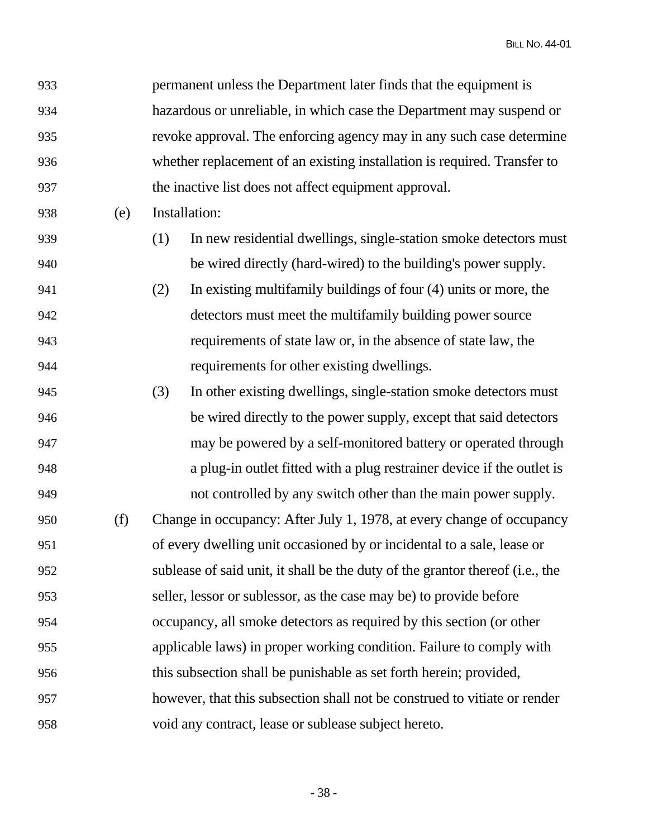| 933 |     | permanent unless the Department later finds that the equipment is             |  |
|-----|-----|-------------------------------------------------------------------------------|--|
| 934 |     | hazardous or unreliable, in which case the Department may suspend or          |  |
| 935 |     | revoke approval. The enforcing agency may in any such case determine          |  |
| 936 |     | whether replacement of an existing installation is required. Transfer to      |  |
| 937 |     | the inactive list does not affect equipment approval.                         |  |
| 938 | (e) | Installation:                                                                 |  |
| 939 |     | (1)<br>In new residential dwellings, single-station smoke detectors must      |  |
| 940 |     | be wired directly (hard-wired) to the building's power supply.                |  |
| 941 |     | In existing multifamily buildings of four (4) units or more, the<br>(2)       |  |
| 942 |     | detectors must meet the multifamily building power source                     |  |
| 943 |     | requirements of state law or, in the absence of state law, the                |  |
| 944 |     | requirements for other existing dwellings.                                    |  |
| 945 |     | (3)<br>In other existing dwellings, single-station smoke detectors must       |  |
| 946 |     | be wired directly to the power supply, except that said detectors             |  |
| 947 |     | may be powered by a self-monitored battery or operated through                |  |
| 948 |     | a plug-in outlet fitted with a plug restrainer device if the outlet is        |  |
| 949 |     | not controlled by any switch other than the main power supply.                |  |
| 950 | (f) | Change in occupancy: After July 1, 1978, at every change of occupancy         |  |
| 951 |     | of every dwelling unit occasioned by or incidental to a sale, lease or        |  |
| 952 |     | sublease of said unit, it shall be the duty of the grantor thereof (i.e., the |  |
| 953 |     | seller, lessor or sublessor, as the case may be) to provide before            |  |
| 954 |     | occupancy, all smoke detectors as required by this section (or other          |  |
| 955 |     | applicable laws) in proper working condition. Failure to comply with          |  |
| 956 |     | this subsection shall be punishable as set forth herein; provided,            |  |
| 957 |     | however, that this subsection shall not be construed to vitiate or render     |  |
| 958 |     | void any contract, lease or sublease subject hereto.                          |  |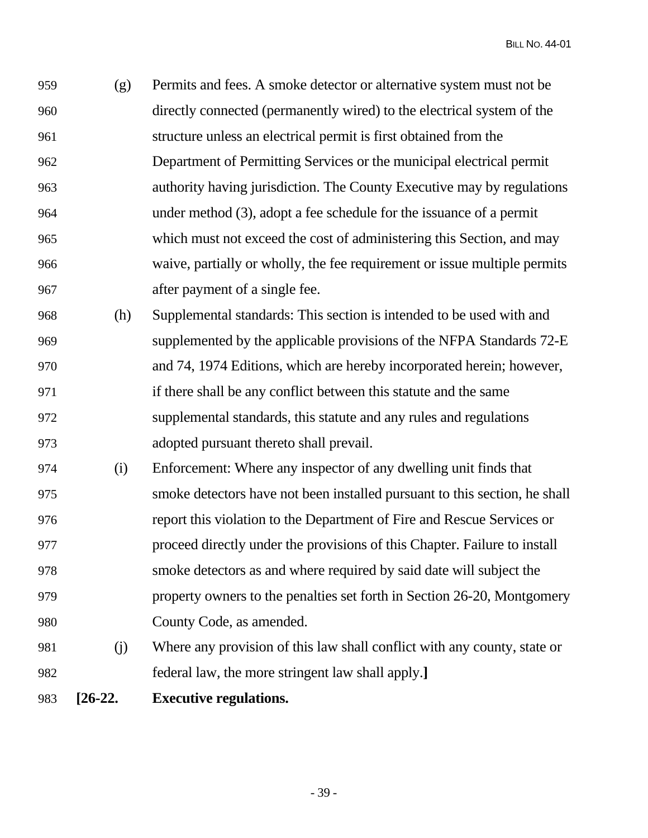959 (g) Permits and fees. A smoke detector or alternative system must not be 960 directly connected (permanently wired) to the electrical system of the 961 structure unless an electrical permit is first obtained from the 962 Department of Permitting Services or the municipal electrical permit 963 authority having jurisdiction. The County Executive may by regulations 964 under method (3), adopt a fee schedule for the issuance of a permit 965 which must not exceed the cost of administering this Section, and may 966 waive, partially or wholly, the fee requirement or issue multiple permits 967 after payment of a single fee.

- 968 (h) Supplemental standards: This section is intended to be used with and 969 supplemented by the applicable provisions of the NFPA Standards 72-E 970 and 74, 1974 Editions, which are hereby incorporated herein; however, 971 if there shall be any conflict between this statute and the same 972 supplemental standards, this statute and any rules and regulations 973 adopted pursuant thereto shall prevail.
- 974 (i) Enforcement: Where any inspector of any dwelling unit finds that 975 smoke detectors have not been installed pursuant to this section, he shall 976 report this violation to the Department of Fire and Rescue Services or 977 proceed directly under the provisions of this Chapter. Failure to install 978 smoke detectors as and where required by said date will subject the 979 property owners to the penalties set forth in Section 26-20, Montgomery 980 County Code, as amended.
- 981 (j) Where any provision of this law shall conflict with any county, state or 982 federal law, the more stringent law shall apply.**]**
- 983 **[26-22. Executive regulations.**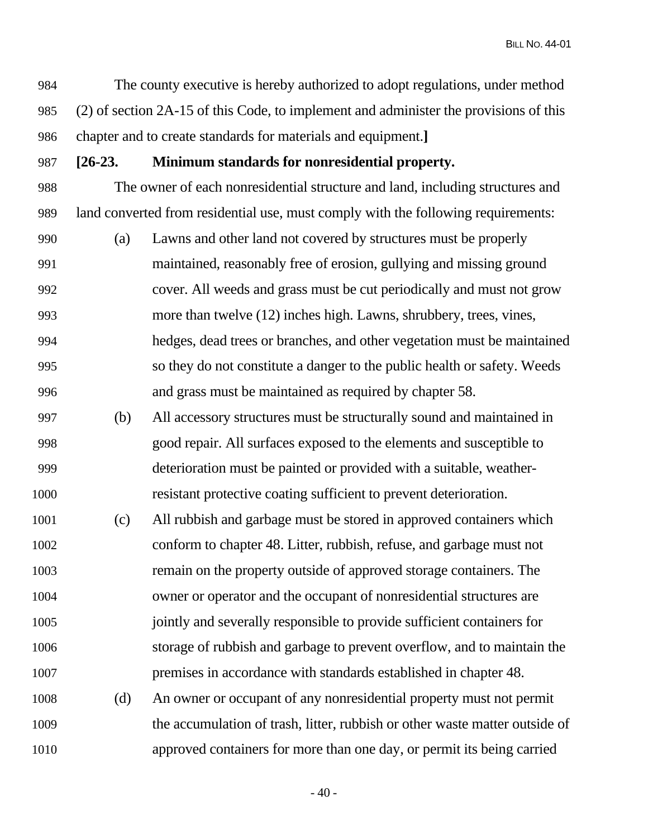984 The county executive is hereby authorized to adopt regulations, under method 985 (2) of section 2A-15 of this Code, to implement and administer the provisions of this 986 chapter and to create standards for materials and equipment.**]**

## 987 **[26-23. Minimum standards for nonresidential property.**

988 The owner of each nonresidential structure and land, including structures and 989 land converted from residential use, must comply with the following requirements:

- 990 (a) Lawns and other land not covered by structures must be properly 991 maintained, reasonably free of erosion, gullying and missing ground 992 cover. All weeds and grass must be cut periodically and must not grow 993 more than twelve (12) inches high. Lawns, shrubbery, trees, vines, 994 hedges, dead trees or branches, and other vegetation must be maintained 995 so they do not constitute a danger to the public health or safety. Weeds 996 and grass must be maintained as required by chapter 58.
- 997 (b) All accessory structures must be structurally sound and maintained in 998 good repair. All surfaces exposed to the elements and susceptible to 999 deterioration must be painted or provided with a suitable, weather-1000 resistant protective coating sufficient to prevent deterioration.
- 1001 (c) All rubbish and garbage must be stored in approved containers which 1002 conform to chapter 48. Litter, rubbish, refuse, and garbage must not 1003 remain on the property outside of approved storage containers. The 1004 owner or operator and the occupant of nonresidential structures are 1005 jointly and severally responsible to provide sufficient containers for 1006 storage of rubbish and garbage to prevent overflow, and to maintain the 1007 premises in accordance with standards established in chapter 48.
- 1008 (d) An owner or occupant of any nonresidential property must not permit 1009 the accumulation of trash, litter, rubbish or other waste matter outside of 1010 approved containers for more than one day, or permit its being carried

 $-40-$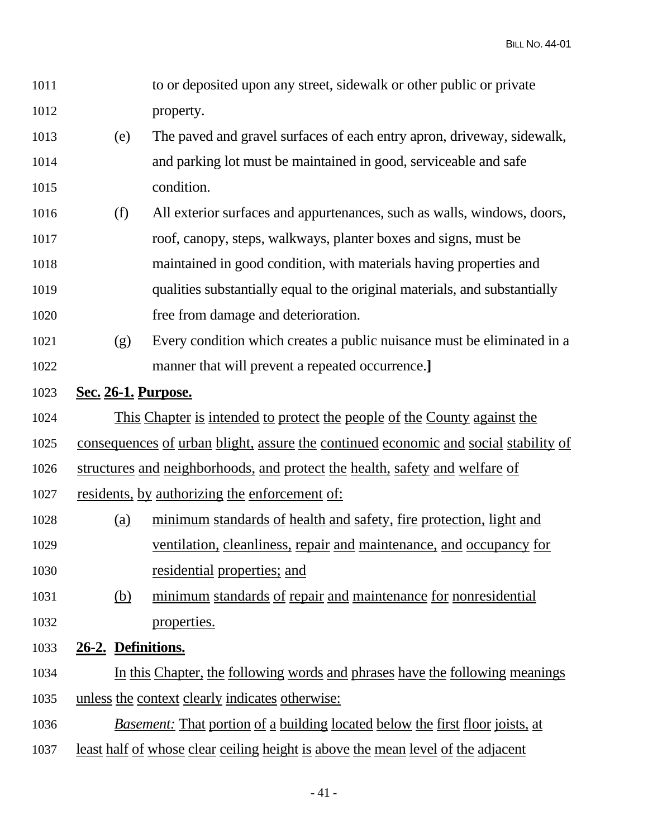| 1011 |                                   | to or deposited upon any street, sidewalk or other public or private                    |
|------|-----------------------------------|-----------------------------------------------------------------------------------------|
| 1012 |                                   | property.                                                                               |
| 1013 | (e)                               | The paved and gravel surfaces of each entry apron, driveway, sidewalk,                  |
| 1014 |                                   | and parking lot must be maintained in good, serviceable and safe                        |
| 1015 |                                   | condition.                                                                              |
| 1016 | (f)                               | All exterior surfaces and appurtenances, such as walls, windows, doors,                 |
| 1017 |                                   | roof, canopy, steps, walkways, planter boxes and signs, must be                         |
| 1018 |                                   | maintained in good condition, with materials having properties and                      |
| 1019 |                                   | qualities substantially equal to the original materials, and substantially              |
| 1020 |                                   | free from damage and deterioration.                                                     |
| 1021 | (g)                               | Every condition which creates a public nuisance must be eliminated in a                 |
| 1022 |                                   | manner that will prevent a repeated occurrence.]                                        |
| 1023 | <b><u>Sec. 26-1. Purpose.</u></b> |                                                                                         |
| 1024 |                                   | <u>This Chapter is intended to protect the people of the County against the</u>         |
| 1025 |                                   | consequences of urban blight, assure the continued economic and social stability of     |
| 1026 |                                   | structures and neighborhoods, and protect the health, safety and welfare of             |
| 1027 |                                   | residents, by authorizing the enforcement of:                                           |
| 1028 | (a)                               | minimum standards of health and safety, fire protection, light and                      |
| 1029 |                                   | ventilation, cleanliness, repair and maintenance, and occupancy for                     |
| 1030 |                                   | residential properties; and                                                             |
| 1031 | <u>(b)</u>                        | minimum standards of repair and maintenance for nonresidential                          |
| 1032 |                                   | properties.                                                                             |
| 1033 | 26-2. Definitions.                |                                                                                         |
| 1034 |                                   | In this Chapter, the following words and phrases have the following meanings            |
| 1035 |                                   | unless the context clearly indicates otherwise:                                         |
| 1036 |                                   | <i>Basement:</i> That portion of a building located below the first floor joists, at    |
| 1037 |                                   | <u>least half of whose clear ceiling height is above the mean level of the adjacent</u> |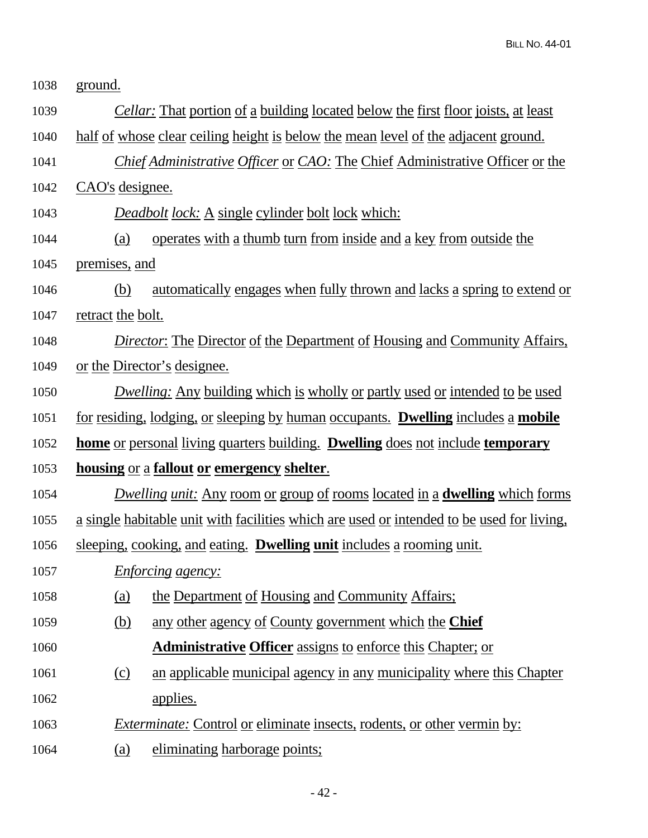| 1038 | ground.                                                                                   |                                                                                           |  |  |
|------|-------------------------------------------------------------------------------------------|-------------------------------------------------------------------------------------------|--|--|
| 1039 |                                                                                           | <i>Cellar:</i> That portion of a building located below the first floor joists, at least  |  |  |
| 1040 | <u>half of whose clear ceiling height is below the mean level of the adjacent ground.</u> |                                                                                           |  |  |
| 1041 |                                                                                           | Chief Administrative Officer or CAO: The Chief Administrative Officer or the              |  |  |
| 1042 | CAO's designee.                                                                           |                                                                                           |  |  |
| 1043 |                                                                                           | <b>Deadbolt lock:</b> A single cylinder bolt lock which:                                  |  |  |
| 1044 | (a)                                                                                       | <u>operates with a thumb turn from inside and a key from outside the</u>                  |  |  |
| 1045 | premises, and                                                                             |                                                                                           |  |  |
| 1046 | (b)                                                                                       | <u>automatically engages when fully thrown and lacks a spring to extend or</u>            |  |  |
| 1047 | retract the bolt.                                                                         |                                                                                           |  |  |
| 1048 |                                                                                           | <b>Director:</b> The Director of the Department of Housing and Community Affairs,         |  |  |
| 1049 |                                                                                           | or the Director's designee.                                                               |  |  |
| 1050 |                                                                                           | <i>Dwelling:</i> Any building which is wholly or partly used or intended to be used       |  |  |
| 1051 |                                                                                           | <u>for residing, lodging, or sleeping by human occupants. Dwelling includes a mobile</u>  |  |  |
| 1052 |                                                                                           | <u>home or personal living quarters building. Dwelling does not include temporary</u>     |  |  |
| 1053 |                                                                                           | housing or a fallout or emergency shelter.                                                |  |  |
| 1054 |                                                                                           | <i>Dwelling unit:</i> Any room or group of rooms located in a <b>dwelling</b> which forms |  |  |
| 1055 |                                                                                           | a single habitable unit with facilities which are used or intended to be used for living, |  |  |
| 1056 |                                                                                           | sleeping, cooking, and eating. Dwelling unit includes a rooming unit.                     |  |  |
| 1057 |                                                                                           | <i>Enforcing agency:</i>                                                                  |  |  |
| 1058 | <u>(a)</u>                                                                                | the Department of Housing and Community Affairs;                                          |  |  |
| 1059 | (b)                                                                                       | any other agency of County government which the Chief                                     |  |  |
| 1060 |                                                                                           | <b>Administrative Officer</b> assigns to enforce this Chapter; or                         |  |  |
| 1061 | (c)                                                                                       | an applicable municipal agency in any municipality where this Chapter                     |  |  |
| 1062 |                                                                                           | applies.                                                                                  |  |  |
| 1063 |                                                                                           | <i>Exterminate:</i> Control or eliminate insects, rodents, or other vermin by:            |  |  |
| 1064 | (a)                                                                                       | eliminating harborage points;                                                             |  |  |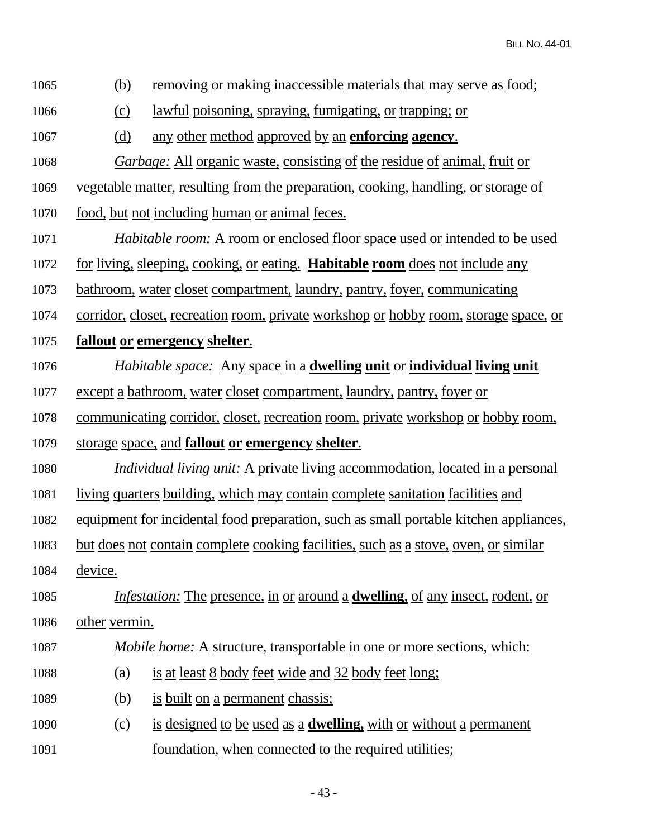- 1065 (b) removing or making inaccessible materials that may serve as food;
- 1066 (c) lawful poisoning, spraying, fumigating, or trapping; or
- 1067 (d) any other method approved by an **enforcing agency**.
- 1068 *Garbage:* All organic waste, consisting of the residue of animal, fruit or

1069 vegetable matter, resulting from the preparation, cooking, handling, or storage of

- 1070 food, but not including human or animal feces.
- 1071 *Habitable room:* A room or enclosed floor space used or intended to be used
- 1072 for living, sleeping, cooking, or eating. **Habitable room** does not include any
- 1073 bathroom, water closet compartment, laundry, pantry, foyer, communicating
- 1074 corridor, closet, recreation room, private workshop or hobby room, storage space, or
- 1075 **fallout or emergency shelter**.
- 1076 *Habitable space:* Any space in a **dwelling unit** or **individual living unit**
- 1077 except a bathroom, water closet compartment, laundry, pantry, foyer or
- 1078 communicating corridor, closet, recreation room, private workshop or hobby room,
- 1079 storage space, and **fallout or emergency shelter**.
- 1080 *Individual living unit:* A private living accommodation, located in a personal
- 1081 living quarters building, which may contain complete sanitation facilities and
- 1082 equipment for incidental food preparation, such as small portable kitchen appliances,
- 1083 but does not contain complete cooking facilities, such as a stove, oven, or similar
- 1084 device.
- 1085 *Infestation:* The presence, in or around a **dwelling**, of any insect, rodent, or 1086 other vermin.
- 1087 *Mobile home:* A structure, transportable in one or more sections, which:
- 1088 (a) is <u>at least 8 body feet wide and 32 body feet long</u>;
- 1089 (b) is built on a permanent chassis;
- 1090 (c) is designed to be used as a **dwelling,** with or without a permanent 1091 foundation, when connected to the required utilities;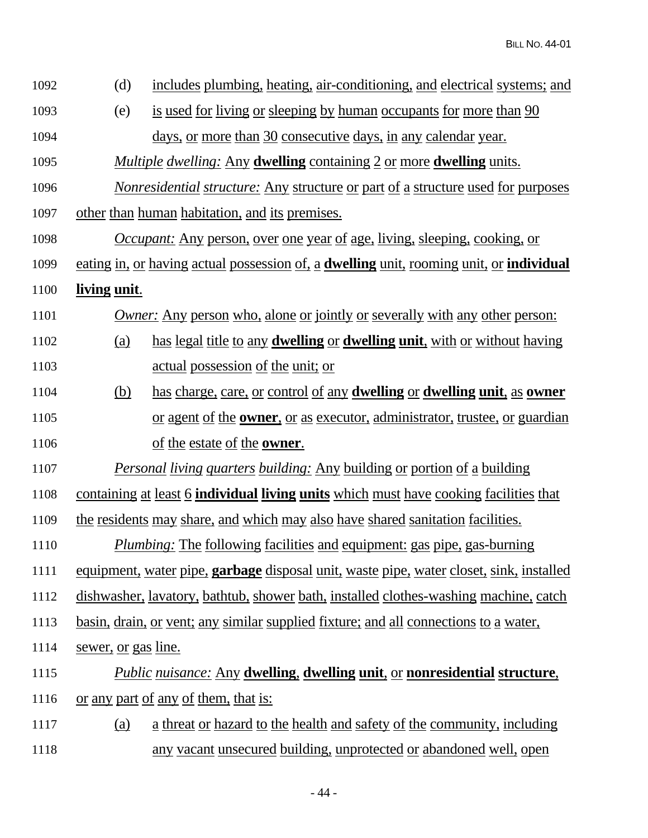| 1092 | (d)                        | includes plumbing, heating, air-conditioning, and electrical systems; and                     |
|------|----------------------------|-----------------------------------------------------------------------------------------------|
| 1093 | (e)                        | is used for living or sleeping by human occupants for more than 90                            |
| 1094 |                            | days, or more than 30 consecutive days, in any calendar year.                                 |
| 1095 |                            | <i>Multiple dwelling:</i> Any <b>dwelling</b> containing 2 or more <b>dwelling</b> units.     |
| 1096 |                            | <u>Nonresidential structure: Any structure or part of a structure used for purposes</u>       |
| 1097 |                            | other than human habitation, and its premises.                                                |
| 1098 |                            | <i><u>Occupant:</u></i> Any person, over one year of age, living, sleeping, cooking, or       |
| 1099 |                            | eating in, or having actual possession of, a dwelling unit, rooming unit, or individual       |
| 1100 | <u>living unit.</u>        |                                                                                               |
| 1101 |                            | <i>Owner:</i> Any person who, alone or jointly or severally with any other person:            |
| 1102 | <u>(a)</u>                 | has legal title to any <b>dwelling</b> or <b>dwelling unit</b> , with or without having       |
| 1103 |                            | <u>actual possession of the unit; or</u>                                                      |
| 1104 | <u>(b)</u>                 | has charge, care, or control of any <b>dwelling</b> or <b>dwelling unit</b> , as <b>owner</b> |
| 1105 |                            | <u>or agent of the <b>owner</b>, or as executor, administrator, trustee, or guardian</u>      |
| 1106 |                            | of the estate of the <b>owner</b> .                                                           |
| 1107 |                            | <b>Personal living quarters building: Any building or portion of a building</b>               |
| 1108 |                            | containing at least 6 <b>individual living units</b> which must have cooking facilities that  |
| 1109 |                            | the residents may share, and which may also have shared sanitation facilities.                |
| 1110 |                            | <b>Plumbing:</b> The following facilities and equipment: gas pipe, gas-burning                |
| 1111 |                            | equipment, water pipe, garbage disposal unit, waste pipe, water closet, sink, installed       |
| 1112 |                            | dishwasher, lavatory, bathtub, shower bath, installed clothes-washing machine, catch          |
| 1113 |                            | <u>basin, drain, or vent; any similar supplied fixture; and all connections to a water,</u>   |
| 1114 | <u>sewer, or gas line.</u> |                                                                                               |
| 1115 |                            | <b>Public nuisance: Any dwelling, dwelling unit, or nonresidential structure,</b>             |
| 1116 |                            | <u>or any part of any of them, that is:</u>                                                   |
| 1117 | <u>(a)</u>                 | <u>a threat or hazard to the health and safety of the community, including</u>                |
| 1118 |                            | any vacant unsecured building, unprotected or abandoned well, open                            |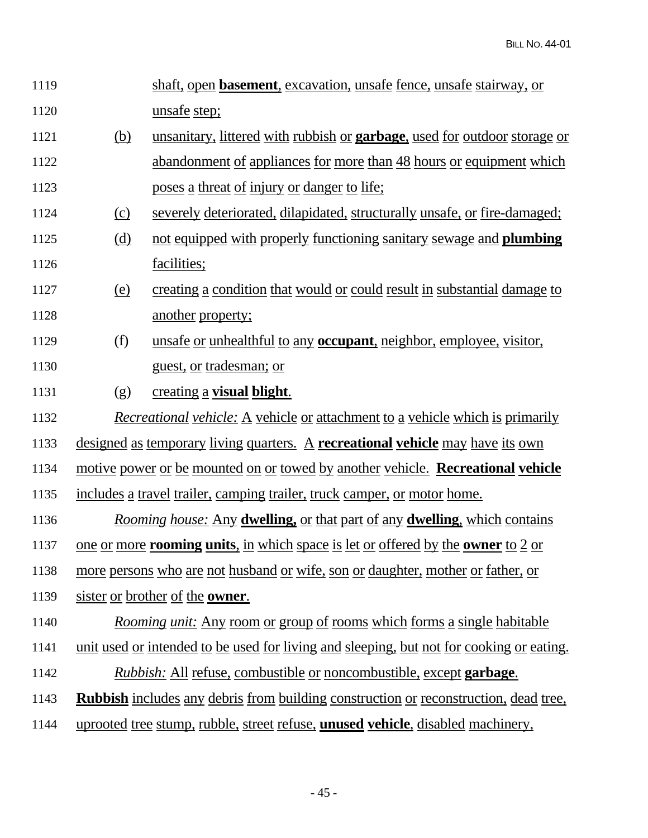| 1119 |            | shaft, open <b>basement</b> , excavation, unsafe fence, unsafe stairway, or                           |
|------|------------|-------------------------------------------------------------------------------------------------------|
| 1120 |            | unsafe step;                                                                                          |
| 1121 | <u>(b)</u> | unsanitary, littered with rubbish or <b>garbage</b> , used for outdoor storage or                     |
| 1122 |            | abandonment of appliances for more than 48 hours or equipment which                                   |
| 1123 |            | poses a threat of injury or danger to life;                                                           |
| 1124 | $\Omega$   | severely deteriorated, dilapidated, structurally unsafe, or fire-damaged;                             |
| 1125 | <u>(d)</u> | not equipped with properly functioning sanitary sewage and plumbing                                   |
| 1126 |            | facilities;                                                                                           |
| 1127 | <u>(e)</u> | creating a condition that would or could result in substantial damage to                              |
| 1128 |            | another property;                                                                                     |
| 1129 | (f)        | unsafe or unhealthful to any <b>occupant</b> , neighbor, employee, visitor,                           |
| 1130 |            | <u>guest, or tradesman; or</u>                                                                        |
| 1131 | (g)        | <u>creating a visual blight.</u>                                                                      |
| 1132 |            | <i>Recreational vehicle:</i> A vehicle or attachment to a vehicle which is primarily                  |
| 1133 |            | designed as temporary living quarters. A recreational vehicle may have its own                        |
| 1134 |            | <u>motive power or be mounted on or towed by another vehicle. Recreational vehicle</u>                |
| 1135 |            | includes a travel trailer, camping trailer, truck camper, or motor home.                              |
| 1136 |            | <u>Rooming house: Any dwelling, or that part of any dwelling, which contains</u>                      |
| 1137 |            | <u>one or more <b>rooming units</b>, in which space is let or offered by the <b>owner</b> to 2 or</u> |
| 1138 |            | more persons who are not husband or wife, son or daughter, mother or father, or                       |
| 1139 |            | sister or brother of the owner.                                                                       |
| 1140 |            | <u>Rooming unit: Any room or group of rooms which forms a single habitable</u>                        |
| 1141 |            | unit used or intended to be used for living and sleeping, but not for cooking or eating.              |
| 1142 |            | <i>Rubbish:</i> All refuse, combustible or noncombustible, except <b>garbage</b> .                    |
| 1143 |            | <b>Rubbish</b> includes any debris from building construction or reconstruction, dead tree,           |
| 1144 |            | uprooted tree stump, rubble, street refuse, <b>unused vehicle</b> , disabled machinery,               |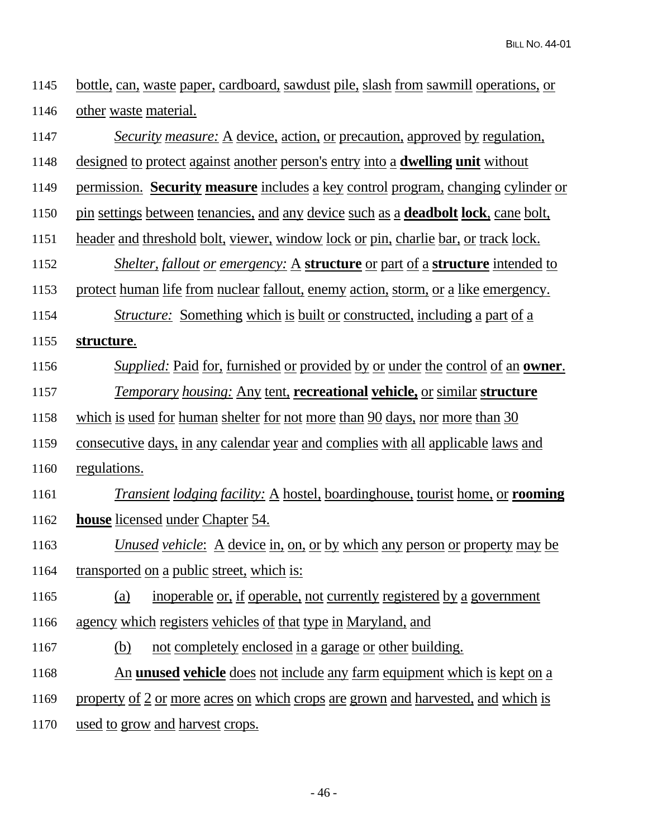1145 bottle, can, waste paper, cardboard, sawdust pile, slash from sawmill operations, or 1146 other waste material.

| 1147 | <i>Security measure:</i> A device, action, or precaution, approved by regulation,                  |
|------|----------------------------------------------------------------------------------------------------|
| 1148 | <u>designed to protect against another person's entry into a dwelling unit without</u>             |
| 1149 | permission. Security measure includes a key control program, changing cylinder or                  |
| 1150 | pin settings between tenancies, and any device such as a <b>deadbolt lock</b> , cane bolt,         |
| 1151 | <u>header and threshold bolt, viewer, window lock or pin, charlie bar, or track lock.</u>          |
| 1152 | <i>Shelter, fallout or emergency:</i> A <b>structure</b> or part of a <b>structure</b> intended to |
| 1153 | protect human life from nuclear fallout, enemy action, storm, or a like emergency.                 |
| 1154 | <i><u>Structure:</u></i> Something which is built or constructed, including a part of a            |
| 1155 | structure.                                                                                         |
| 1156 | <i>Supplied:</i> Paid for, furnished or provided by or under the control of an <b>owner</b> .      |
| 1157 | <b>Temporary housing: Any tent, recreational vehicle, or similar structure</b>                     |
| 1158 | which is used for human shelter for not more than 90 days, nor more than 30                        |
| 1159 | consecutive days, in any calendar year and complies with all applicable laws and                   |
| 1160 | regulations.                                                                                       |
| 1161 | <i>Transient lodging facility:</i> A hostel, boardinghouse, tourist home, or <b>rooming</b>        |
| 1162 | <b>house</b> licensed under Chapter 54.                                                            |
| 1163 | <i>Unused vehicle</i> : A device in, on, or by which any person or property may be                 |
| 1164 | transported on a public street, which is:                                                          |
| 1165 | (a) inoperable or, if operable, not currently registered by a government                           |
| 1166 | agency which registers vehicles of that type in Maryland, and                                      |
| 1167 | not completely enclosed in a garage or other building.<br>(b)                                      |
| 1168 | <u>An unused vehicle does not include any farm equipment which is kept on a</u>                    |
| 1169 | property of 2 or more acres on which crops are grown and harvested, and which is                   |
| 1170 | used to grow and harvest crops.                                                                    |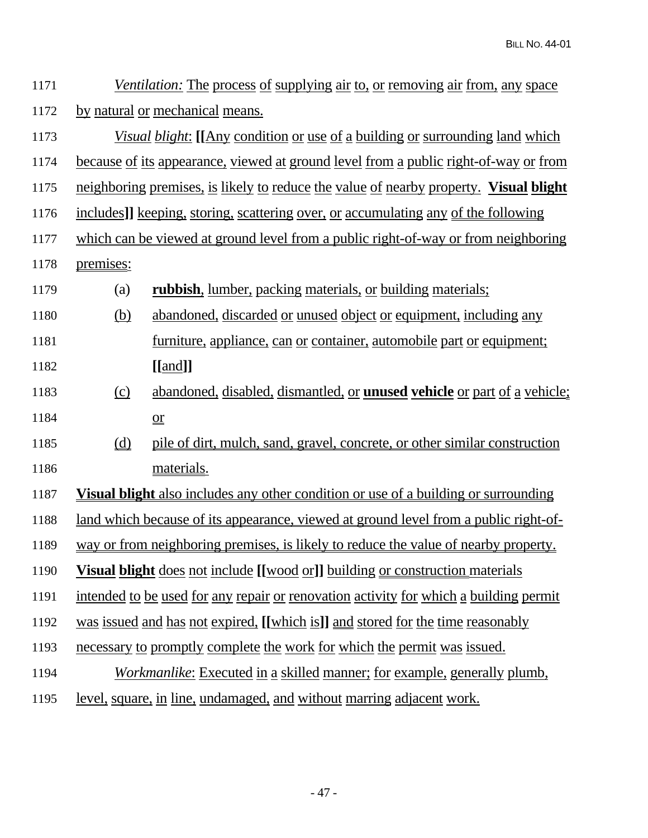| 1171 |                                 | <i>Ventilation:</i> The process of supplying air to, or removing air from, any space        |  |  |
|------|---------------------------------|---------------------------------------------------------------------------------------------|--|--|
| 1172 | by natural or mechanical means. |                                                                                             |  |  |
| 1173 |                                 | <i>Visual blight</i> : [[Any condition or use of a building or surrounding land which       |  |  |
| 1174 |                                 | <u>because of its appearance, viewed at ground level from a public right-of-way or from</u> |  |  |
| 1175 |                                 | neighboring premises, is likely to reduce the value of nearby property. Visual blight       |  |  |
| 1176 |                                 | includes]] keeping, storing, scattering over, or accumulating any of the following          |  |  |
| 1177 |                                 | which can be viewed at ground level from a public right-of-way or from neighboring          |  |  |
| 1178 | premises:                       |                                                                                             |  |  |
| 1179 | (a)                             | rubbish, lumber, packing materials, or building materials;                                  |  |  |
| 1180 | <u>(b)</u>                      | abandoned, discarded or unused object or equipment, including any                           |  |  |
| 1181 |                                 | furniture, appliance, can or container, automobile part or equipment;                       |  |  |
| 1182 |                                 | $[\text{[and]}]$                                                                            |  |  |
| 1183 | (c)                             | abandoned, disabled, dismantled, or <b>unused vehicle</b> or part of a vehicle;             |  |  |
| 1184 |                                 | $\underline{\text{or}}$                                                                     |  |  |
| 1185 |                                 | pile of dirt, mulch, sand, gravel, concrete, or other similar construction                  |  |  |
| 1186 |                                 | materials.                                                                                  |  |  |
| 1187 |                                 | <b>Visual blight</b> also includes any other condition or use of a building or surrounding  |  |  |
| 1188 |                                 | <u>land which because of its appearance, viewed at ground level from a public right-of-</u> |  |  |
| 1189 |                                 | way or from neighboring premises, is likely to reduce the value of nearby property.         |  |  |
| 1190 |                                 | <b>Visual blight</b> does not include [[wood or]] building or construction materials        |  |  |
| 1191 |                                 | intended to be used for any repair or renovation activity for which a building permit       |  |  |
| 1192 |                                 | was issued and has not expired, [[which is]] and stored for the time reasonably             |  |  |
| 1193 |                                 | necessary to promptly complete the work for which the permit was issued.                    |  |  |
| 1194 |                                 | <i>Workmanlike:</i> Executed in a skilled manner; for example, generally plumb,             |  |  |
| 1195 |                                 | <u>level, square, in line, undamaged, and without marring adjacent work.</u>                |  |  |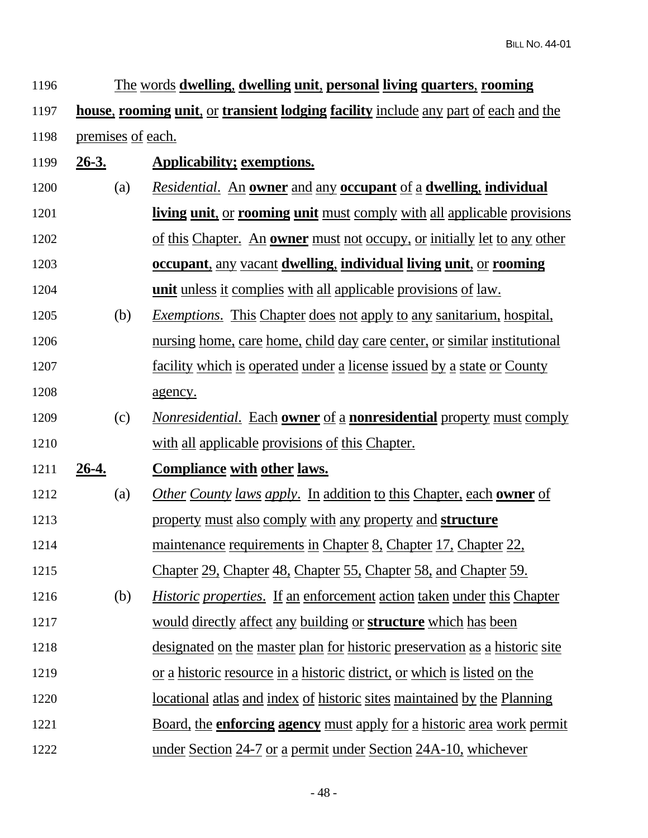| 1196 |                   | The words dwelling, dwelling unit, personal living quarters, rooming                                 |
|------|-------------------|------------------------------------------------------------------------------------------------------|
| 1197 |                   | <u>house, rooming unit, or transient lodging facility include any part of each and the</u>           |
| 1198 | premises of each. |                                                                                                      |
| 1199 | $26-3.$           | <b>Applicability; exemptions.</b>                                                                    |
| 1200 | (a)               | <i>Residential.</i> An <b>owner</b> and any <b>occupant</b> of a <b>dwelling</b> , <b>individual</b> |
| 1201 |                   | <b>living unit, or rooming unit</b> must comply with all applicable provisions                       |
| 1202 |                   | <u>of this Chapter. An owner must not occupy, or initially let to any other</u>                      |
| 1203 |                   | <b><u>occupant, any vacant dwelling, individual living unit, or rooming</u></b>                      |
| 1204 |                   | <b>unit</b> unless it complies with all applicable provisions of law.                                |
| 1205 | (b)               | <i>Exemptions.</i> This Chapter does not apply to any sanitarium, hospital,                          |
| 1206 |                   | <u>nursing home, care home, child day care center, or similar institutional</u>                      |
| 1207 |                   | facility which is operated under a license issued by a state or County                               |
| 1208 |                   | agency.                                                                                              |
| 1209 | (c)               | <u>Nonresidential. Each owner of a nonresidential property must comply</u>                           |
| 1210 |                   | with all applicable provisions of this Chapter.                                                      |
| 1211 | <u>26-4.</u>      | <b>Compliance with other laws.</b>                                                                   |
| 1212 | (a)               | <i>Other County laws apply.</i> In addition to this Chapter, each <b>owner</b> of                    |
| 1213 |                   | property must also comply with any property and <b>structure</b>                                     |
| 1214 |                   | maintenance requirements in Chapter 8, Chapter 17, Chapter 22,                                       |
| 1215 |                   | Chapter 29, Chapter 48, Chapter 55, Chapter 58, and Chapter 59.                                      |
| 1216 | (b)               | <i>Historic properties.</i> If an enforcement action taken under this Chapter                        |
| 1217 |                   | would directly affect any building or <b>structure</b> which has been                                |
| 1218 |                   | designated on the master plan for historic preservation as a historic site                           |
| 1219 |                   | <u>or a historic resource in a historic district, or which is listed on the</u>                      |
| 1220 |                   | <u>locational atlas and index of historic sites maintained by the Planning</u>                       |
| 1221 |                   | <u>Board, the enforcing agency must apply for a historic area work permit</u>                        |
| 1222 |                   | under Section 24-7 or a permit under Section 24A-10, whichever                                       |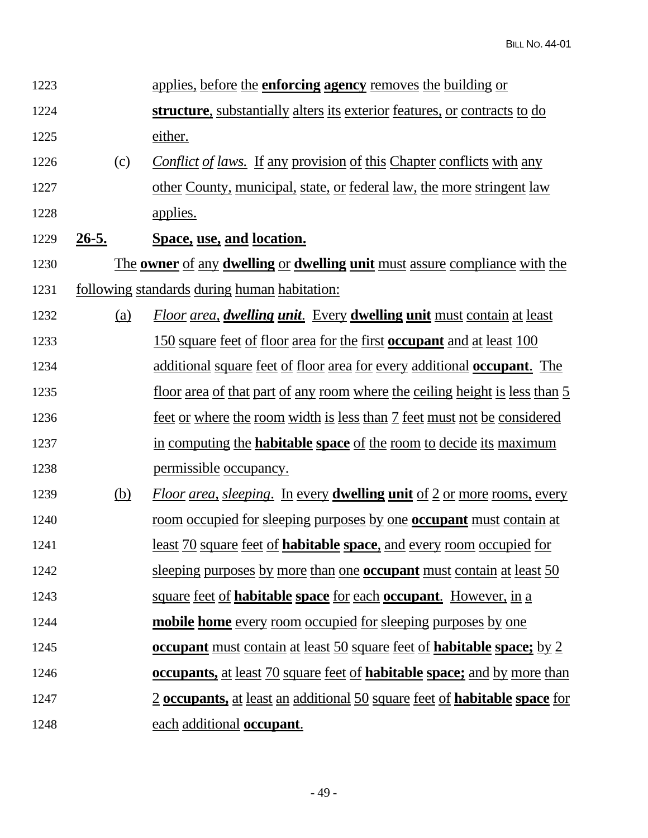| 1223 |            | applies, before the <b>enforcing agency</b> removes the building or                   |
|------|------------|---------------------------------------------------------------------------------------|
| 1224 |            | <b>structure</b> , substantially alters its exterior features, or contracts to do     |
| 1225 |            | either.                                                                               |
| 1226 | (c)        | <i>Conflict of laws.</i> If any provision of this Chapter conflicts with any          |
| 1227 |            | other County, municipal, state, or federal law, the more stringent law                |
| 1228 |            | <u>applies.</u>                                                                       |
| 1229 | $26-5.$    | Space, use, and location.                                                             |
| 1230 |            | The owner of any dwelling or dwelling unit must assure compliance with the            |
| 1231 |            | <u>following standards during human habitation:</u>                                   |
| 1232 | (a)        | <b>Floor area, dwelling unit.</b> Every <b>dwelling unit</b> must contain at least    |
| 1233 |            | 150 square feet of floor area for the first <b>occupant</b> and at least 100          |
| 1234 |            | additional square feet of floor area for every additional <b>occupant</b> . The       |
| 1235 |            | <u>floor area of that part of any room where the ceiling height is less than 5</u>    |
| 1236 |            | <u>feet or where the room width is less than 7 feet must not be considered</u>        |
| 1237 |            | in computing the <b>habitable space</b> of the room to decide its maximum             |
| 1238 |            | <u>permissible</u> occupancy.                                                         |
| 1239 | <u>(b)</u> | Floor area, sleeping. In every <b>dwelling unit</b> of 2 or more rooms, every         |
| 1240 |            | <u>room occupied for sleeping purposes by one occupant must contain at</u>            |
| 1241 |            | <u>least 70 square feet of habitable space, and every room occupied for</u>           |
| 1242 |            | sleeping purposes by more than one <b>occupant</b> must contain at least 50           |
| 1243 |            | <u>square feet of habitable space for each occupant. However, in a</u>                |
| 1244 |            | mobile home every room occupied for sleeping purposes by one                          |
| 1245 |            | <b><u>occupant must contain at least 50 square feet of habitable space; by 2</u></b>  |
| 1246 |            | <b><u>occupants, at least 70 square feet of habitable space; and by more than</u></b> |
| 1247 |            | <u>2 occupants, at least an additional 50 square feet of habitable space for</u>      |
| 1248 |            | each additional occupant.                                                             |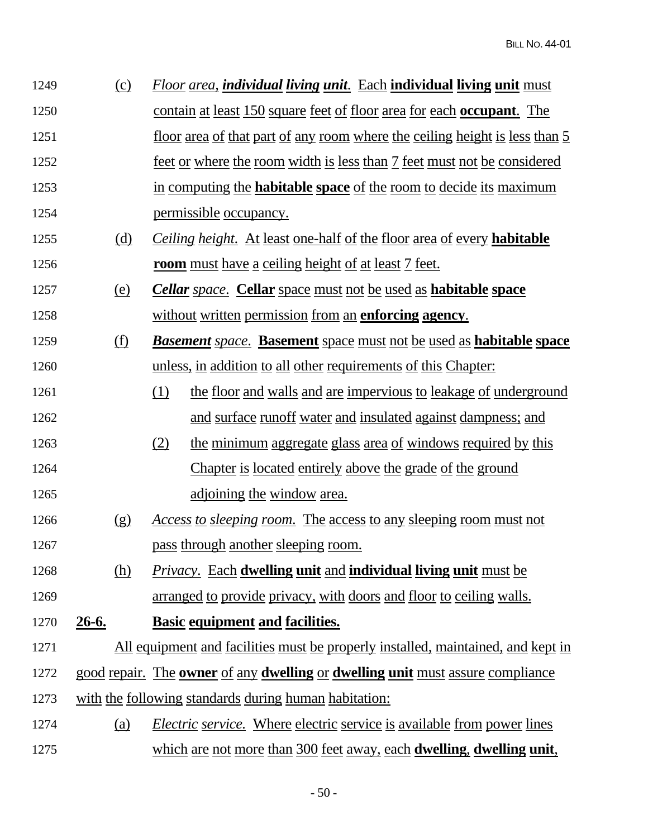| 1249 | (c)        | <b>Floor area, individual living unit.</b> Each <b>individual living unit</b> must                  |
|------|------------|-----------------------------------------------------------------------------------------------------|
| 1250 |            | <u>contain at least 150 square feet of floor area for each occupant. The</u>                        |
| 1251 |            | <u>floor area of that part of any room where the ceiling height is less than 5</u>                  |
| 1252 |            | feet or where the room width is less than 7 feet must not be considered                             |
| 1253 |            | in computing the <b>habitable space</b> of the room to decide its maximum                           |
| 1254 |            | permissible occupancy.                                                                              |
| 1255 | <u>(d)</u> | <i>Ceiling height.</i> At least one-half of the floor area of every <b>habitable</b>                |
| 1256 |            | <u>room must have a ceiling height of at least 7 feet.</u>                                          |
| 1257 | <u>(e)</u> | <b>Cellar</b> space. Cellar space must not be used as habitable space                               |
| 1258 |            | without written permission from an enforcing agency.                                                |
| 1259 | <u>(f)</u> | <b>Basement</b> space. <b>Basement</b> space must not be used as <b>habitable</b> space             |
| 1260 |            | unless, in addition to all other requirements of this Chapter:                                      |
| 1261 |            | (1)<br>the floor and walls and are impervious to leakage of underground                             |
| 1262 |            | and surface runoff water and insulated against dampness; and                                        |
| 1263 |            | (2)<br>the minimum aggregate glass area of windows required by this                                 |
| 1264 |            | <u>Chapter is located entirely above the grade of the ground</u>                                    |
| 1265 |            | adjoining the window area.                                                                          |
| 1266 | (g)        | <u>Access to sleeping room. The access to any sleeping room must not</u>                            |
| 1267 |            | pass through another sleeping room.                                                                 |
| 1268 | (h)        | <b>Privacy.</b> Each dwelling unit and individual living unit must be                               |
| 1269 |            | arranged to provide privacy, with doors and floor to ceiling walls.                                 |
| 1270 | $26-6.$    | <b>Basic equipment and facilities.</b>                                                              |
| 1271 |            | All equipment and facilities must be properly installed, maintained, and kept in                    |
| 1272 |            | good repair. The <b>owner</b> of any <b>dwelling</b> or <b>dwelling unit</b> must assure compliance |
| 1273 |            | with the following standards during human habitation:                                               |
| 1274 | (a)        | <i>Electric service.</i> Where electric service is available from power lines                       |
| 1275 |            | which are not more than 300 feet away, each <b>dwelling</b> , <b>dwelling unit</b> ,                |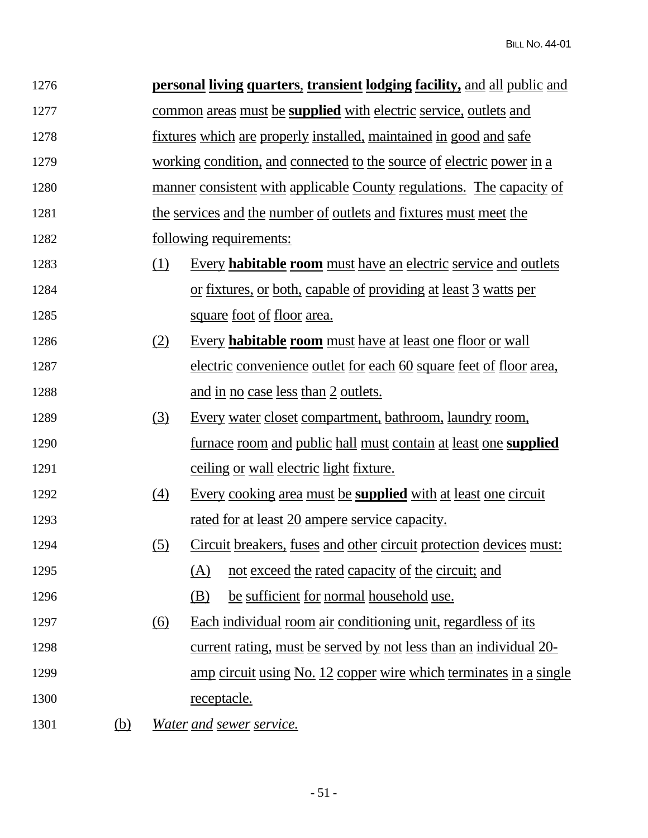| 1276 |            |                   | <b>personal living quarters, transient lodging facility, and all public and</b> |
|------|------------|-------------------|---------------------------------------------------------------------------------|
| 1277 |            |                   | common areas must be <b>supplied</b> with electric service, outlets and         |
| 1278 |            |                   | <u>fixtures which are properly installed, maintained in good and safe</u>       |
| 1279 |            |                   | working condition, and connected to the source of electric power in a           |
| 1280 |            |                   | manner consistent with applicable County regulations. The capacity of           |
| 1281 |            |                   | the services and the number of outlets and fixtures must meet the               |
| 1282 |            |                   | <u>following requirements:</u>                                                  |
| 1283 |            | <u>(1)</u>        | Every habitable room must have an electric service and outlets                  |
| 1284 |            |                   | or fixtures, or both, capable of providing at least 3 watts per                 |
| 1285 |            |                   | <u>square foot of floor area.</u>                                               |
| 1286 |            | (2)               | <u>Every habitable room must have at least one floor or wall</u>                |
| 1287 |            |                   | electric convenience outlet for each 60 square feet of floor area,              |
| 1288 |            |                   | and in no case less than 2 outlets.                                             |
| 1289 |            | (3)               | <u>Every water closet compartment, bathroom, laundry room,</u>                  |
| 1290 |            |                   | <u>furnace room and public hall must contain at least one supplied</u>          |
| 1291 |            |                   | <u>ceiling or wall electric light fixture.</u>                                  |
| 1292 |            | $\left(4\right)$  | Every cooking area must be <b>supplied</b> with at least one circuit            |
| 1293 |            |                   | <u>rated for at least 20 ampere service capacity.</u>                           |
| 1294 |            | (5)               | Circuit breakers, fuses and other circuit protection devices must:              |
| 1295 |            |                   | not exceed the rated capacity of the circuit; and<br>(A)                        |
| 1296 |            |                   | (B)<br>be sufficient for normal household use.                                  |
| 1297 |            | $\underline{(6)}$ | Each individual room air conditioning unit, regardless of its                   |
| 1298 |            |                   | <u>current rating, must be served by not less than an individual 20-</u>        |
| 1299 |            |                   | <u>amp circuit using No. 12 copper wire which terminates in a single</u>        |
| 1300 |            |                   | <u>receptacle.</u>                                                              |
| 1301 | <u>(b)</u> |                   | Water and sewer service.                                                        |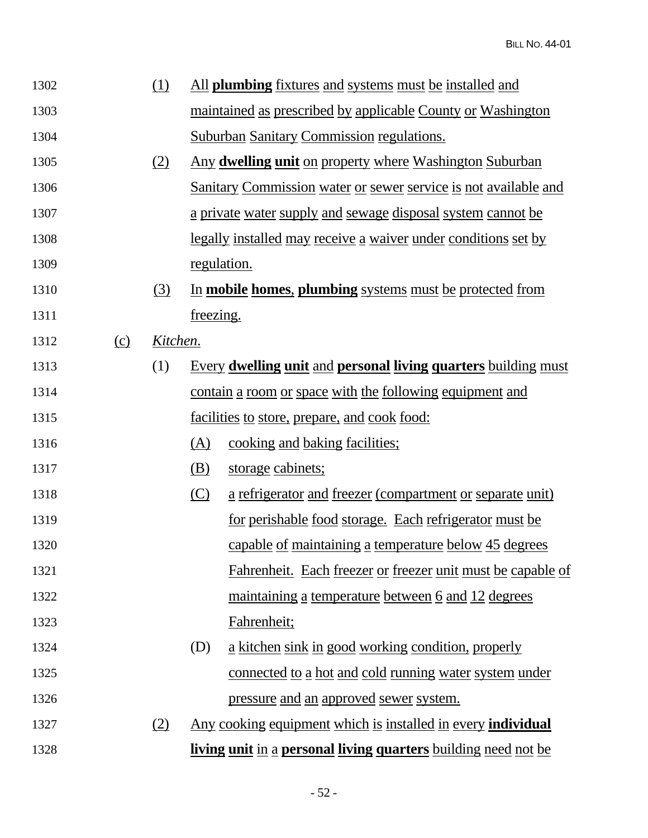| 1302 |     | <u>(1)</u> |                    | All <b>plumbing</b> fixtures and systems must be installed and               |
|------|-----|------------|--------------------|------------------------------------------------------------------------------|
| 1303 |     |            |                    | <u>maintained as prescribed by applicable County or Washington</u>           |
| 1304 |     |            |                    | <b>Suburban Sanitary Commission regulations.</b>                             |
| 1305 |     | (2)        |                    | Any dwelling unit on property where Washington Suburban                      |
| 1306 |     |            |                    | <b>Sanitary Commission water or sewer service is not available and</b>       |
| 1307 |     |            |                    | <u>a private water supply and sewage disposal system cannot be</u>           |
| 1308 |     |            |                    | <u>legally installed may receive a waiver under conditions set by</u>        |
| 1309 |     |            | <u>regulation.</u> |                                                                              |
| 1310 |     | (3)        |                    | In mobile homes, plumbing systems must be protected from                     |
| 1311 |     |            | freezing.          |                                                                              |
| 1312 | (c) | Kitchen.   |                    |                                                                              |
| 1313 |     | (1)        |                    | <b>Every dwelling unit and personal living quarters building must</b>        |
| 1314 |     |            |                    | contain a room or space with the following equipment and                     |
| 1315 |     |            |                    | <u>facilities to store, prepare, and cook food:</u>                          |
| 1316 |     |            | (A)                | <u>cooking and baking facilities;</u>                                        |
| 1317 |     |            | <u>(B)</u>         | storage cabinets;                                                            |
| 1318 |     |            | (C)                | a refrigerator and freezer (compartment or separate unit)                    |
| 1319 |     |            |                    | <u>for perishable food storage. Each refrigerator must be</u>                |
| 1320 |     |            |                    | capable of maintaining a temperature below 45 degrees                        |
| 1321 |     |            |                    | Fahrenheit. Each freezer or freezer unit must be capable of                  |
| 1322 |     |            |                    | maintaining a temperature between 6 and 12 degrees                           |
| 1323 |     |            |                    | Fahrenheit;                                                                  |
| 1324 |     |            | (D)                | <u>a kitchen sink in good working condition, properly</u>                    |
| 1325 |     |            |                    | <u>connected to a hot and cold running water system under</u>                |
| 1326 |     |            |                    | <u>pressure and an approved sewer system.</u>                                |
| 1327 |     | (2)        |                    | <u>Any cooking equipment which is installed in every individual</u>          |
| 1328 |     |            |                    | <b>living unit</b> in a <b>personal living quarters</b> building need not be |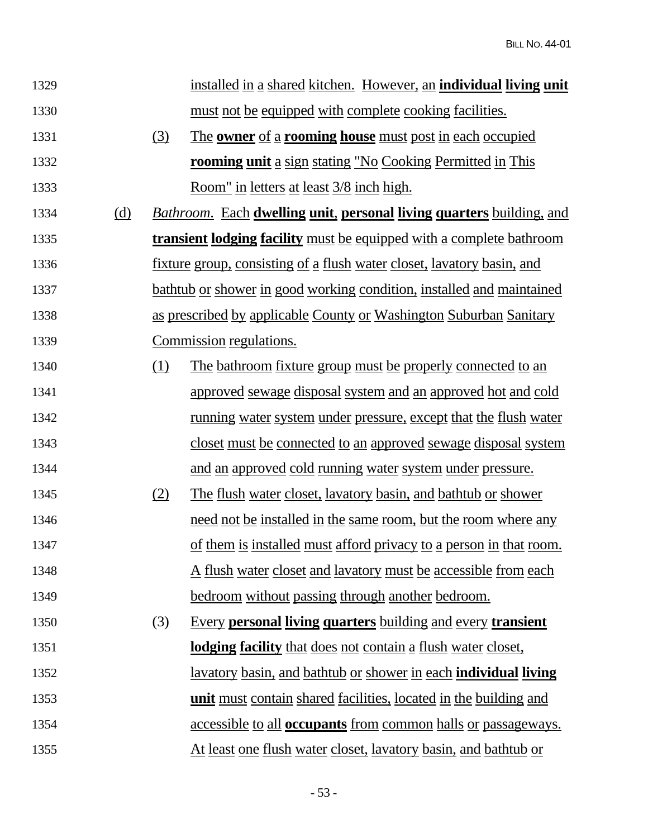| 1329 |            |     | installed in a shared kitchen. However, an <b>individual living unit</b>      |
|------|------------|-----|-------------------------------------------------------------------------------|
| 1330 |            |     | must not be equipped with complete cooking facilities.                        |
| 1331 |            | (3) | The owner of a rooming house must post in each occupied                       |
| 1332 |            |     | <b>rooming unit</b> a sign stating "No Cooking Permitted in This              |
| 1333 |            |     | Room" in letters at least 3/8 inch high.                                      |
| 1334 | <u>(d)</u> |     | <b>Bathroom.</b> Each dwelling unit, personal living quarters building, and   |
| 1335 |            |     | transient lodging facility must be equipped with a complete bathroom          |
| 1336 |            |     | <u>fixture group, consisting of a flush water closet, lavatory basin, and</u> |
| 1337 |            |     | <u>bathtub or shower in good working condition, installed and maintained</u>  |
| 1338 |            |     | <u>as prescribed by applicable County or Washington Suburban Sanitary</u>     |
| 1339 |            |     | Commission regulations.                                                       |
| 1340 |            | (1) | The bathroom fixture group must be properly connected to an                   |
| 1341 |            |     | <u>approved sewage disposal system and an approved hot and cold</u>           |
| 1342 |            |     | <u>running water system under pressure, except that the flush water</u>       |
| 1343 |            |     | <u>closet must be connected to an approved sewage disposal system</u>         |
| 1344 |            |     | and an approved cold running water system under pressure.                     |
| 1345 |            | (2) | <u>The flush water closet, lavatory basin, and bathtub or shower</u>          |
| 1346 |            |     | need not be installed in the same room, but the room where any                |
| 1347 |            |     | <u>of them is installed must afford privacy to a person in that room.</u>     |
| 1348 |            |     | <u>A flush water closet and lavatory must be accessible from each</u>         |
| 1349 |            |     | bedroom without passing through another bedroom.                              |
| 1350 |            | (3) | <b>Every personal living quarters building and every transient</b>            |
| 1351 |            |     | lodging facility that does not contain a flush water closet,                  |
| 1352 |            |     | <u>lavatory basin, and bathtub or shower in each individual living</u>        |
| 1353 |            |     | unit must contain shared facilities, located in the building and              |
| 1354 |            |     | <u>accessible to all <b>occupants</b></u> from common halls or passageways.   |
| 1355 |            |     | <u>At least one flush water closet, lavatory basin, and bathtub or</u>        |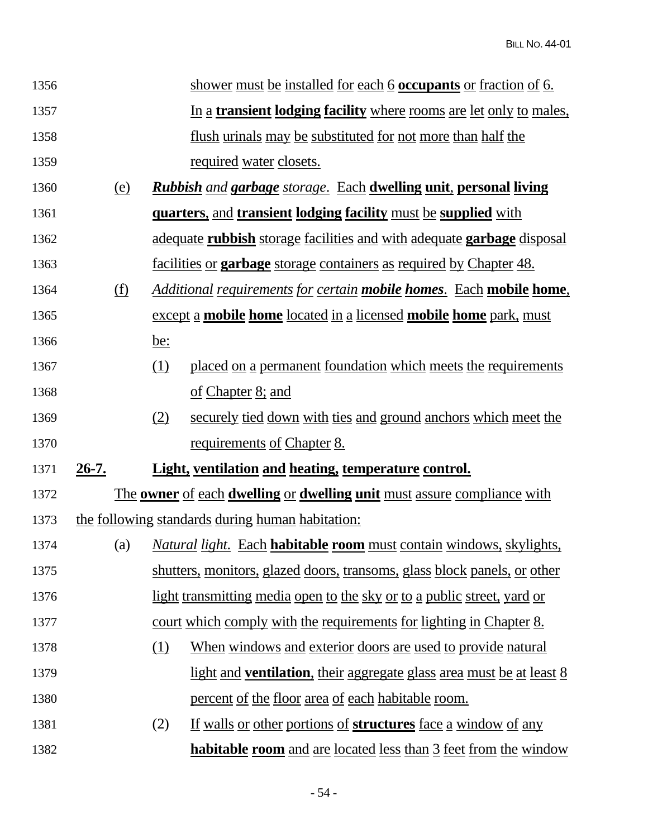| 1356 |            |            | shower must be installed for each 6 occupants or fraction of 6.                       |
|------|------------|------------|---------------------------------------------------------------------------------------|
| 1357 |            |            | In a <b>transient lodging facility</b> where rooms are let only to males,             |
| 1358 |            |            | flush urinals may be substituted for not more than half the                           |
| 1359 |            |            | <u>required water closets.</u>                                                        |
| 1360 | <u>(e)</u> |            | <b>Rubbish</b> and <b>garbage</b> storage. Each <b>dwelling unit, personal living</b> |
| 1361 |            |            | <b>quarters, and transient lodging facility must be supplied with</b>                 |
| 1362 |            |            | adequate rubbish storage facilities and with adequate garbage disposal                |
| 1363 |            |            | <u>facilities or <b>garbage</b></u> storage containers as required by Chapter 48.     |
| 1364 | (f)        |            | <u>Additional requirements for certain mobile homes. Each mobile home,</u>            |
| 1365 |            |            | <u>except a mobile home located in a licensed mobile home park, must</u>              |
| 1366 |            | <u>be:</u> |                                                                                       |
| 1367 |            | <u>(1)</u> | placed on a permanent foundation which meets the requirements                         |
| 1368 |            |            | <u>of Chapter 8; and</u>                                                              |
| 1369 |            | (2)        | securely tied down with ties and ground anchors which meet the                        |
| 1370 |            |            | <u>requirements</u> of Chapter 8.                                                     |
| 1371 | $26-7.$    |            | <b>Light, ventilation and heating, temperature control.</b>                           |
| 1372 |            |            | <u>The owner of each dwelling or dwelling unit must assure compliance with</u>        |
| 1373 |            |            | the following standards during human habitation:                                      |
| 1374 | (a)        |            | <b>Natural light. Each habitable room</b> must contain windows, skylights,            |
| 1375 |            |            | shutters, monitors, glazed doors, transoms, glass block panels, or other              |
| 1376 |            |            | <u>light transmitting media open to the sky or to a public street, yard or</u>        |
| 1377 |            |            | court which comply with the requirements for lighting in Chapter 8.                   |
| 1378 |            | (1)        | <u>When windows and exterior doors are used to provide natural</u>                    |
| 1379 |            |            | <u>light and ventilation, their aggregate glass area must be at least 8</u>           |
| 1380 |            |            | <u>percent of the floor area of each habitable room.</u>                              |
| 1381 |            | (2)        | <u>If walls or other portions of structures face a window of any</u>                  |
| 1382 |            |            | <b>habitable room</b> and are located less than 3 feet from the window                |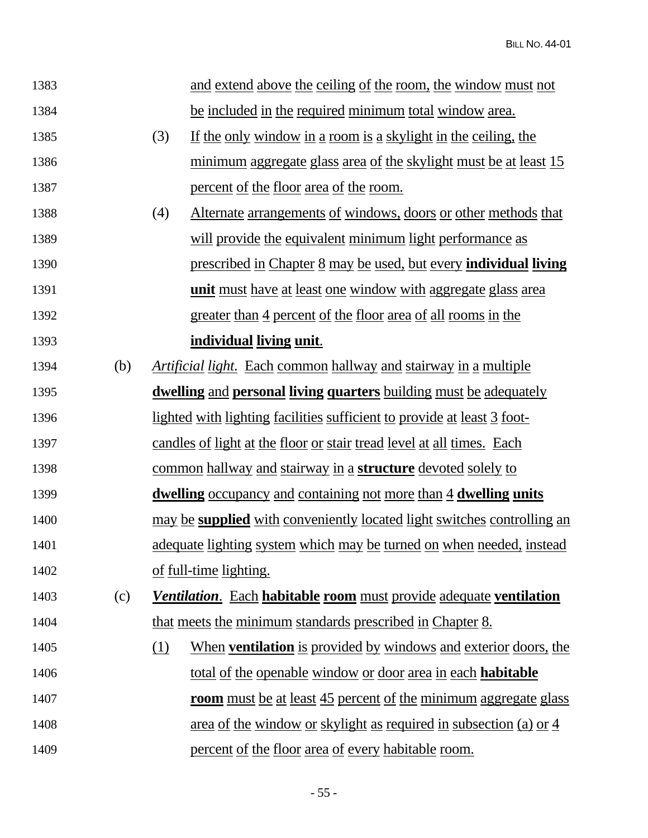| 1383 |     |     | and extend above the ceiling of the room, the window must not                  |
|------|-----|-----|--------------------------------------------------------------------------------|
| 1384 |     |     | be included in the required minimum total window area.                         |
| 1385 |     | (3) | If the only window in a room is a skylight in the ceiling, the                 |
| 1386 |     |     | <u>minimum aggregate glass area of the skylight must be at least 15</u>        |
| 1387 |     |     | <u>percent of the floor area of the room.</u>                                  |
| 1388 |     | (4) | <u>Alternate arrangements of windows, doors or other methods that</u>          |
| 1389 |     |     | will provide the equivalent minimum light performance as                       |
| 1390 |     |     | <u>prescribed in Chapter 8 may be used, but every individual living</u>        |
| 1391 |     |     | <u>unit must have at least one window with aggregate glass area</u>            |
| 1392 |     |     | greater than 4 percent of the floor area of all rooms in the                   |
| 1393 |     |     | <u>individual living unit.</u>                                                 |
| 1394 | (b) |     | <i><u>Artificial light.</u></i> Each common hallway and stairway in a multiple |
| 1395 |     |     | <u>dwelling and personal living quarters building must be adequately</u>       |
| 1396 |     |     | <u>lighted with lighting facilities sufficient to provide at least 3 foot-</u> |
| 1397 |     |     | <u>candles of light at the floor or stair tread level at all times. Each</u>   |
| 1398 |     |     | <u>common hallway and stairway in a structure devoted solely to</u>            |
| 1399 |     |     | <u>dwelling occupancy and containing not more than 4 dwelling units</u>        |
| 1400 |     |     | may be <b>supplied</b> with conveniently located light switches controlling an |
| 1401 |     |     | adequate lighting system which may be turned on when needed, instead           |
| 1402 |     |     | of full-time lighting.                                                         |
| 1403 | (c) |     | Ventilation. Each habitable room must provide adequate ventilation             |
| 1404 |     |     | that meets the minimum standards prescribed in Chapter 8.                      |
| 1405 |     | (1) | When ventilation is provided by windows and exterior doors, the                |
| 1406 |     |     | <u>total of the openable window or door area in each habitable</u>             |
| 1407 |     |     | room must be at least 45 percent of the minimum aggregate glass                |
| 1408 |     |     | <u>area of the window or skylight as required in subsection (a) or 4</u>       |
| 1409 |     |     | <u>percent of the floor area of every habitable room.</u>                      |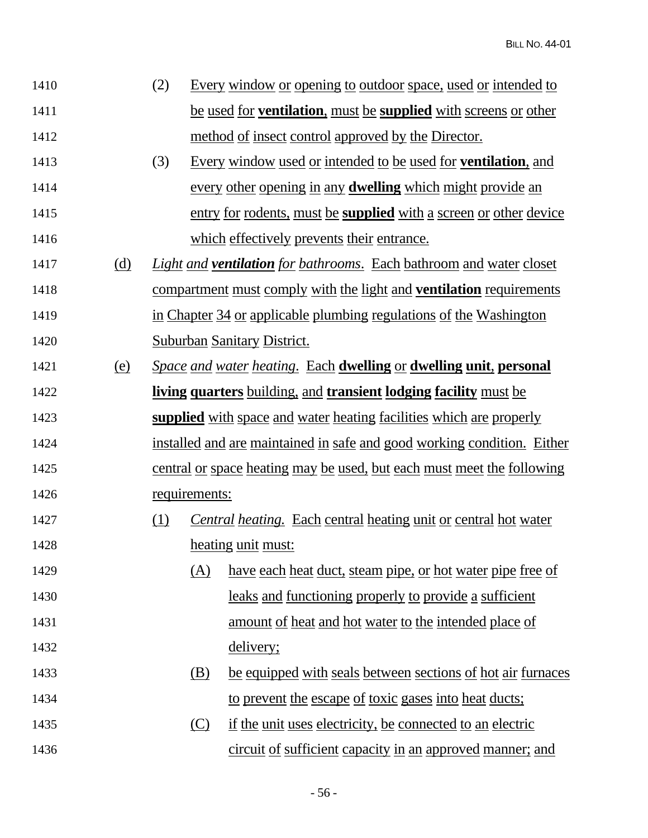| 1410 |            | (2) |               | Every window or opening to outdoor space, used or intended to                     |
|------|------------|-----|---------------|-----------------------------------------------------------------------------------|
| 1411 |            |     |               | be used for <b>ventilation</b> , must be <b>supplied</b> with screens or other    |
| 1412 |            |     |               | method of insect control approved by the Director.                                |
| 1413 |            | (3) |               | Every window used or intended to be used for <b>ventilation</b> , and             |
| 1414 |            |     |               | every other opening in any <b>dwelling</b> which might provide an                 |
| 1415 |            |     |               | entry for rodents, must be <b>supplied</b> with a screen or other device          |
| 1416 |            |     |               | which effectively prevents their entrance.                                        |
| 1417 | (d)        |     |               | <i>Light and ventilation for bathrooms.</i> Each bathroom and water closet        |
| 1418 |            |     |               | <u>compartment must comply with the light and <b>ventilation</b> requirements</u> |
| 1419 |            |     |               | in Chapter 34 or applicable plumbing regulations of the Washington                |
| 1420 |            |     |               | Suburban Sanitary District.                                                       |
| 1421 | <u>(e)</u> |     |               | Space and water heating. Each dwelling or dwelling unit, personal                 |
| 1422 |            |     |               | living quarters building, and transient lodging facility must be                  |
| 1423 |            |     |               | supplied with space and water heating facilities which are properly               |
| 1424 |            |     |               | installed and are maintained in safe and good working condition. Either           |
| 1425 |            |     |               | central or space heating may be used, but each must meet the following            |
| 1426 |            |     | requirements: |                                                                                   |
| 1427 |            | (1) |               | <b>Central heating.</b> Each central heating unit or central hot water            |
| 1428 |            |     |               | heating unit must:                                                                |
| 1429 |            |     | (A)           | have each heat duct, steam pipe, or hot water pipe free of                        |
| 1430 |            |     |               | <u>leaks</u> and functioning properly to provide a sufficient                     |
| 1431 |            |     |               | <u>amount of heat and hot water to the intended place of</u>                      |
| 1432 |            |     |               | delivery;                                                                         |
| 1433 |            |     | (B)           | be equipped with seals between sections of hot air furnaces                       |
| 1434 |            |     |               | to prevent the escape of toxic gases into heat ducts;                             |
| 1435 |            |     | (C)           | if the unit uses electricity, be connected to an electric                         |
| 1436 |            |     |               | circuit of sufficient capacity in an approved manner; and                         |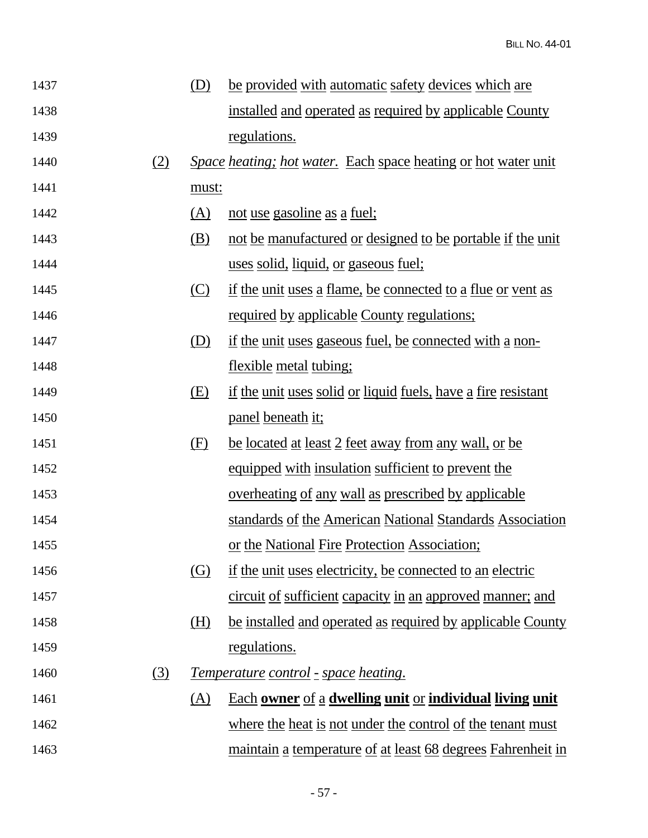| 1437 |     | (D)        | be provided with automatic safety devices which are                   |
|------|-----|------------|-----------------------------------------------------------------------|
| 1438 |     |            | installed and operated as required by applicable County               |
| 1439 |     |            | regulations.                                                          |
| 1440 | (2) |            | <i>Space heating; hot water.</i> Each space heating or hot water unit |
| 1441 |     | must:      |                                                                       |
| 1442 |     | <u>(A)</u> | not use gasoline as a fuel;                                           |
| 1443 |     | (B)        | not be manufactured or designed to be portable if the unit            |
| 1444 |     |            | uses solid, liquid, or gaseous fuel;                                  |
| 1445 |     | (C)        | <u>if the unit uses a flame, be connected to a flue or vent as</u>    |
| 1446 |     |            | <u>required by applicable County regulations;</u>                     |
| 1447 |     | (D)        | if the unit uses gaseous fuel, be connected with a non-               |
| 1448 |     |            | flexible metal tubing;                                                |
| 1449 |     | (E)        | <u>if the unit uses solid or liquid fuels, have a fire resistant</u>  |
| 1450 |     |            | <u>panel</u> beneath it;                                              |
| 1451 |     | (E)        | <u>be located at least 2 feet away from any wall, or be</u>           |
| 1452 |     |            | equipped with insulation sufficient to prevent the                    |
| 1453 |     |            | <u>overheating of any wall as prescribed by applicable</u>            |
| 1454 |     |            | standards of the American National Standards Association              |
| 1455 |     |            | or the National Fire Protection Association;                          |
| 1456 |     | (G)        | if the unit uses electricity, be connected to an electric             |
| 1457 |     |            | circuit of sufficient capacity in an approved manner; and             |
| 1458 |     | (H)        | be installed and operated as required by applicable County            |
| 1459 |     |            | regulations.                                                          |
| 1460 | (3) |            | <u>Temperature control - space heating.</u>                           |
| 1461 |     | (A)        | <u>Each owner of a dwelling unit or individual living unit</u>        |
| 1462 |     |            | where the heat is not under the control of the tenant must            |
| 1463 |     |            | maintain a temperature of at least 68 degrees Fahrenheit in           |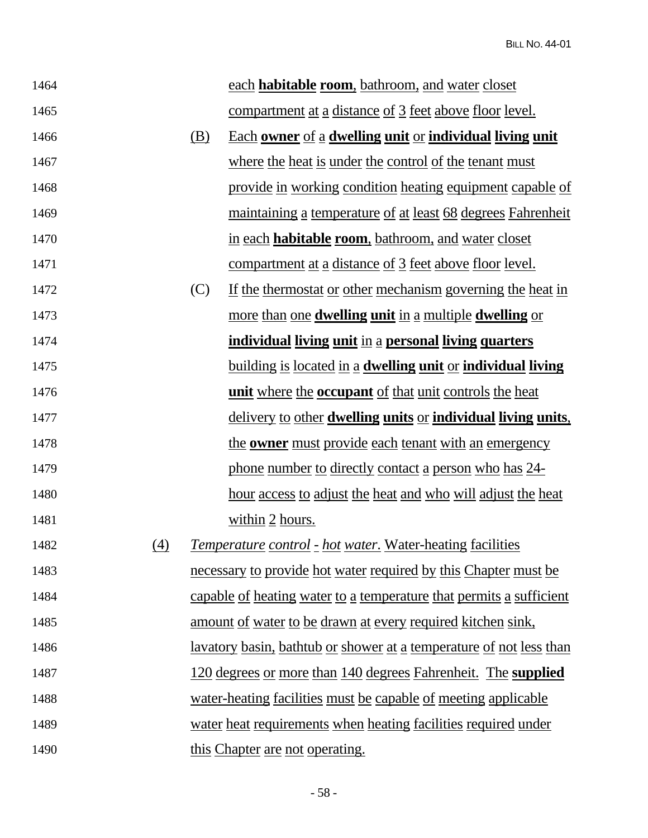| 1464 |                   |     | each habitable room, bathroom, and water closet                                |
|------|-------------------|-----|--------------------------------------------------------------------------------|
| 1465 |                   |     | <u>compartment at a distance of 3 feet above floor level.</u>                  |
| 1466 |                   | (B) | Each owner of a dwelling unit or individual living unit                        |
| 1467 |                   |     | where the heat is under the control of the tenant must                         |
| 1468 |                   |     | provide in working condition heating equipment capable of                      |
| 1469 |                   |     | <u>maintaining a temperature of at least 68 degrees Fahrenheit</u>             |
| 1470 |                   |     | in each <b>habitable room</b> , bathroom, and water closet                     |
| 1471 |                   |     | <u>compartment at a distance of 3 feet above floor level.</u>                  |
| 1472 |                   | (C) | If the thermostat or other mechanism governing the heat in                     |
| 1473 |                   |     | more than one <b>dwelling unit</b> in a multiple <b>dwelling</b> or            |
| 1474 |                   |     | individual living unit in a personal living quarters                           |
| 1475 |                   |     | <u>building is located in a dwelling unit or individual living</u>             |
| 1476 |                   |     | <u>unit where the occupant of that unit controls the heat</u>                  |
| 1477 |                   |     | <u>delivery to other dwelling units or individual living units.</u>            |
| 1478 |                   |     | the <b>owner</b> must provide each tenant with an emergency                    |
| 1479 |                   |     | phone number to directly contact a person who has 24-                          |
| 1480 |                   |     | hour access to adjust the heat and who will adjust the heat                    |
| 1481 |                   |     | within 2 hours.                                                                |
| 1482 | $\left( 4\right)$ |     | <i><u><b>Temperature control - hot water. Water-heating facilities</b></u></i> |
| 1483 |                   |     | necessary to provide hot water required by this Chapter must be                |
| 1484 |                   |     | capable of heating water to a temperature that permits a sufficient            |
| 1485 |                   |     | amount of water to be drawn at every required kitchen sink,                    |
| 1486 |                   |     | <u>lavatory basin, bathtub or shower at a temperature of not less than</u>     |
| 1487 |                   |     | 120 degrees or more than 140 degrees Fahrenheit. The supplied                  |
| 1488 |                   |     | water-heating facilities must be capable of meeting applicable                 |
| 1489 |                   |     | water heat requirements when heating facilities required under                 |
| 1490 |                   |     | this Chapter are not operating.                                                |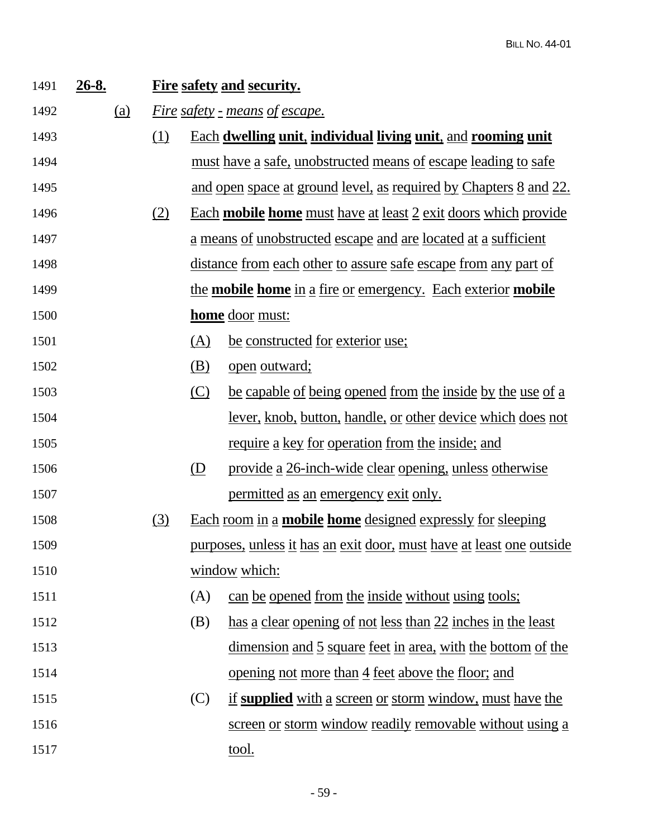| 1491 | $26 - 8.$  |          |                           | <b>Fire safety and security.</b>                                            |
|------|------------|----------|---------------------------|-----------------------------------------------------------------------------|
| 1492 | <u>(a)</u> |          |                           | <u>Fire safety - means of escape.</u>                                       |
| 1493 |            | $\Omega$ |                           | <b>Each dwelling unit, individual living unit, and rooming unit</b>         |
| 1494 |            |          |                           | <u>must have a safe, unobstructed means of escape leading to safe</u>       |
| 1495 |            |          |                           | and open space at ground level, as required by Chapters 8 and 22.           |
| 1496 |            | (2)      |                           | Each <b>mobile home</b> must have at least 2 exit doors which provide       |
| 1497 |            |          |                           | <u>a means of unobstructed escape and are located at a sufficient</u>       |
| 1498 |            |          |                           | <u>distance from each other to assure safe escape from any part of</u>      |
| 1499 |            |          |                           | <u>the mobile home in a fire or emergency. Each exterior mobile</u>         |
| 1500 |            |          |                           | <b>home</b> door must:                                                      |
| 1501 |            |          | (A)                       | be constructed for exterior use;                                            |
| 1502 |            |          | <u>(B)</u>                | open outward;                                                               |
| 1503 |            |          | $\circ$                   | be capable of being opened from the inside by the use of a                  |
| 1504 |            |          |                           | lever, knob, button, handle, or other device which does not                 |
| 1505 |            |          |                           | require a key for operation from the inside; and                            |
| 1506 |            |          | $\overline{(\mathbf{D})}$ | provide a 26-inch-wide clear opening, unless otherwise                      |
| 1507 |            |          |                           | permitted as an emergency exit only.                                        |
| 1508 |            | (3)      |                           | <u>Each room in a mobile home designed expressly for sleeping</u>           |
| 1509 |            |          |                           | <u>purposes, unless it has an exit door, must have at least one outside</u> |
| 1510 |            |          |                           | window which:                                                               |
| 1511 |            |          | (A)                       | can be opened from the inside without using tools;                          |
| 1512 |            |          | (B)                       | has a clear opening of not less than 22 inches in the least                 |
| 1513 |            |          |                           | <u>dimension and 5 square feet in area, with the bottom of the</u>          |
| 1514 |            |          |                           | <u>opening not more than 4 feet above the floor; and</u>                    |
| 1515 |            |          | (C)                       | if supplied with a screen or storm window, must have the                    |
| 1516 |            |          |                           | <u>screen or storm window readily removable without using a</u>             |
| 1517 |            |          |                           | <u>tool.</u>                                                                |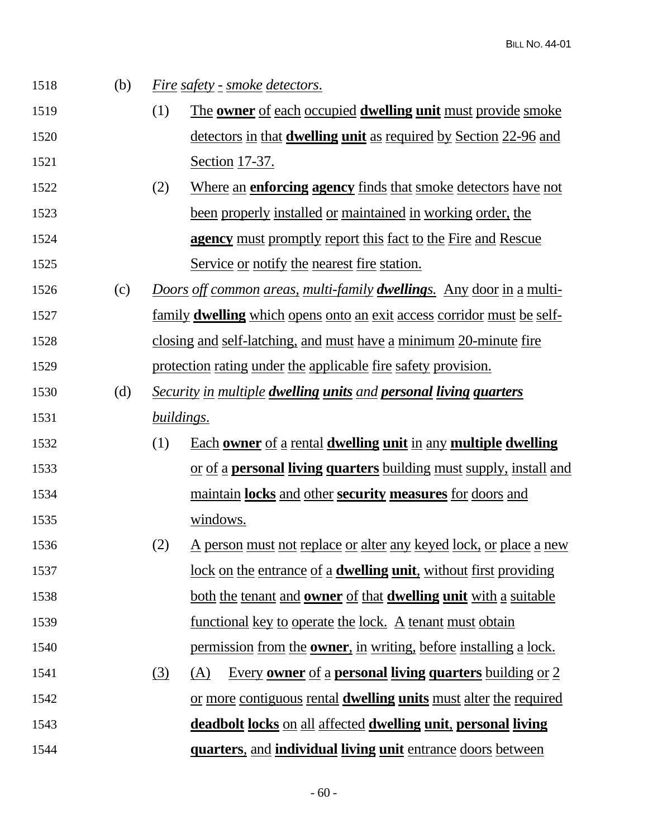| 1518 | (b) |            | <u>Fire safety - smoke detectors.</u>                                                |
|------|-----|------------|--------------------------------------------------------------------------------------|
| 1519 |     | (1)        | The <b>owner</b> of each occupied <b>dwelling unit</b> must provide smoke            |
| 1520 |     |            | <u>detectors in that <b>dwelling unit</b></u> as required by Section 22-96 and       |
| 1521 |     |            | <u>Section 17-37.</u>                                                                |
| 1522 |     | (2)        | <u>Where an enforcing agency finds that smoke detectors have not</u>                 |
| 1523 |     |            | been properly installed or maintained in working order, the                          |
| 1524 |     |            | agency must promptly report this fact to the Fire and Rescue                         |
| 1525 |     |            | Service or notify the nearest fire station.                                          |
| 1526 | (c) |            | <u>Doors off common areas, multi-family <b>dwelling</b>s. Any door in a multi-</u>   |
| 1527 |     |            | <u>family <b>dwelling</b> which opens onto an exit access corridor must be self-</u> |
| 1528 |     |            | closing and self-latching, and must have a minimum 20-minute fire                    |
| 1529 |     |            | protection rating under the applicable fire safety provision.                        |
| 1530 | (d) |            | <b>Security in multiple dwelling units and personal living quarters</b>              |
| 1531 |     | buildings. |                                                                                      |
| 1532 |     | (1)        | Each owner of a rental dwelling unit in any multiple dwelling                        |
| 1533 |     |            | <u>or of a <b>personal living quarters</b> building must supply, install and</u>     |
| 1534 |     |            | maintain locks and other security measures for doors and                             |
| 1535 |     |            | windows.                                                                             |
| 1536 |     | (2)        | <u>A person must not replace or alter any keyed lock, or place a new</u>             |
| 1537 |     |            | <u>lock on the entrance of a dwelling unit, without first providing</u>              |
| 1538 |     |            | both the tenant and <b>owner</b> of that <b>dwelling unit</b> with a suitable        |
| 1539 |     |            | <u>functional key to operate the lock. A tenant must obtain</u>                      |
| 1540 |     |            | permission from the <b>owner</b> , in writing, before installing a lock.             |
| 1541 |     | (3)        | Every owner of a personal living quarters building or 2<br>(A)                       |
| 1542 |     |            | or more contiguous rental <b>dwelling units</b> must alter the required              |
| 1543 |     |            | deadbolt locks on all affected dwelling unit, personal living                        |
| 1544 |     |            | <u>quarters, and individual living unit entrance doors between</u>                   |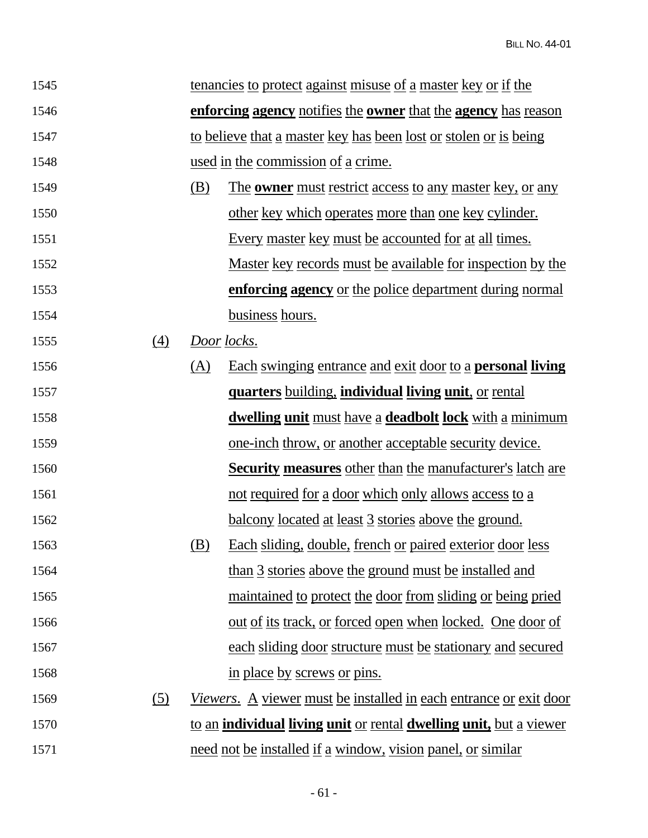| 1545 |     |     | <u>tenancies to protect against misuse of a master key or if the</u>              |
|------|-----|-----|-----------------------------------------------------------------------------------|
| 1546 |     |     | enforcing agency notifies the owner that the agency has reason                    |
| 1547 |     |     | to believe that a master key has been lost or stolen or is being                  |
| 1548 |     |     | used in the commission of a crime.                                                |
| 1549 |     | (B) | <u>The owner must restrict access to any master key, or any</u>                   |
| 1550 |     |     | other key which operates more than one key cylinder.                              |
| 1551 |     |     | <u>Every master key must be accounted for at all times.</u>                       |
| 1552 |     |     | <u>Master key records must be available for inspection by the</u>                 |
| 1553 |     |     | enforcing agency or the police department during normal                           |
| 1554 |     |     | business hours.                                                                   |
| 1555 | (4) |     | Door locks.                                                                       |
| 1556 |     | (A) | <u>Each swinging entrance and exit door to a personal living</u>                  |
| 1557 |     |     | <u>quarters building, individual living unit, or rental</u>                       |
| 1558 |     |     | dwelling unit must have a deadbolt lock with a minimum                            |
| 1559 |     |     | <u>one-inch throw, or another acceptable security device.</u>                     |
| 1560 |     |     | <b>Security measures</b> other than the manufacturer's latch are                  |
| 1561 |     |     | not required for a door which only allows access to a                             |
| 1562 |     |     | <u>balcony located at least 3 stories above the ground.</u>                       |
| 1563 |     | (B) | Each sliding, double, french or paired exterior door less                         |
| 1564 |     |     | than 3 stories above the ground must be installed and                             |
| 1565 |     |     | <u>maintained to protect the door from sliding or being pried</u>                 |
| 1566 |     |     | <u>out of its track, or forced open when locked. One door of</u>                  |
| 1567 |     |     | each sliding door structure must be stationary and secured                        |
| 1568 |     |     | in place by screws or pins.                                                       |
| 1569 | (5) |     | <u>Viewers. A viewer must be installed in each entrance or exit door</u>          |
| 1570 |     |     | to an <b>individual living unit</b> or rental <b>dwelling unit</b> , but a viewer |
| 1571 |     |     | need not be installed if a window, vision panel, or similar                       |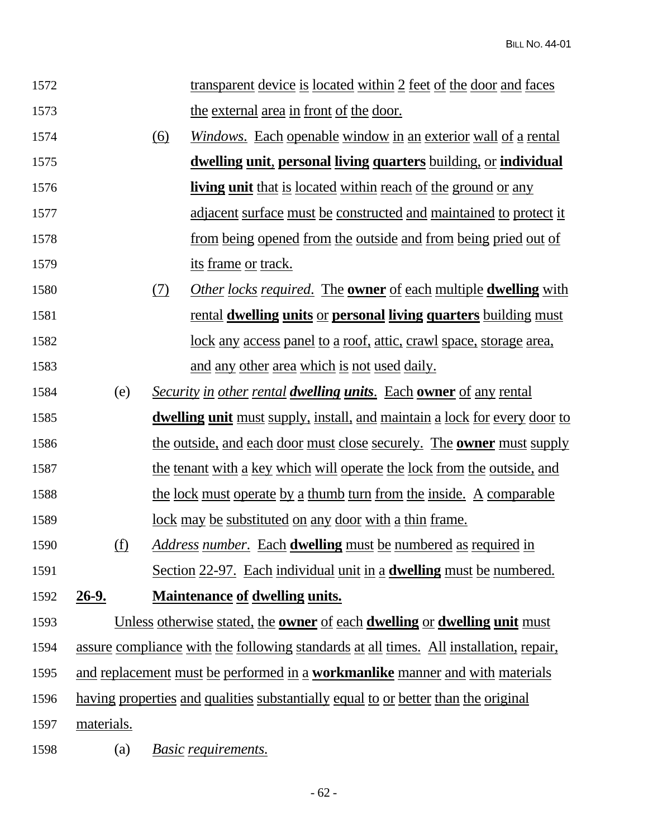| 1572 |            |     | <u>transparent device is located within 2 feet of the door and faces</u>                       |
|------|------------|-----|------------------------------------------------------------------------------------------------|
| 1573 |            |     | the external area in front of the door.                                                        |
| 1574 |            | (6) | <i><u>Windows.</u></i> Each openable window in an exterior wall of a rental                    |
| 1575 |            |     | <u>dwelling unit, personal living quarters building, or individual</u>                         |
| 1576 |            |     | <b>living unit</b> that is located within reach of the ground or any                           |
| 1577 |            |     | <u>adjacent surface must be constructed and maintained to protect it</u>                       |
| 1578 |            |     | from being opened from the outside and from being pried out of                                 |
| 1579 |            |     | <u>its frame or track.</u>                                                                     |
| 1580 |            | (7) | <i><u>Other locks required. The <b>owner</b> of each multiple <b>dwelling</b> with</u></i>     |
| 1581 |            |     | <u>rental dwelling units or personal living quarters building must</u>                         |
| 1582 |            |     | <u>lock any access panel to a roof, attic, crawl space, storage area,</u>                      |
| 1583 |            |     | and any other area which is not used daily.                                                    |
| 1584 | (e)        |     | <b>Security in other rental dwelling units.</b> Each <b>owner</b> of any rental                |
| 1585 |            |     | dwelling unit must supply, install, and maintain a lock for every door to                      |
| 1586 |            |     | <u>the outside, and each door must close securely. The <b>owner</b> must supply</u>            |
| 1587 |            |     | the tenant with a key which will operate the lock from the outside, and                        |
| 1588 |            |     | <u>the lock must operate by a thumb turn from the inside. A comparable</u>                     |
| 1589 |            |     | <u>lock may be substituted on any door with a thin frame.</u>                                  |
| 1590 | (f)        |     | <i>Address number.</i> Each <b>dwelling</b> must be numbered as required in                    |
| 1591 |            |     | Section 22-97. Each individual unit in a <b>dwelling</b> must be numbered.                     |
| 1592 | $26-9.$    |     | <b>Maintenance of dwelling units.</b>                                                          |
| 1593 |            |     | Unless otherwise stated, the <b>owner</b> of each <b>dwelling</b> or <b>dwelling unit</b> must |
| 1594 |            |     | assure compliance with the following standards at all times. All installation, repair,         |
| 1595 |            |     | and replacement must be performed in a workmanlike manner and with materials                   |
| 1596 |            |     | <u>having properties and qualities substantially equal to or better than the original</u>      |
| 1597 | materials. |     |                                                                                                |
| 1598 | (a)        |     | Basic requirements.                                                                            |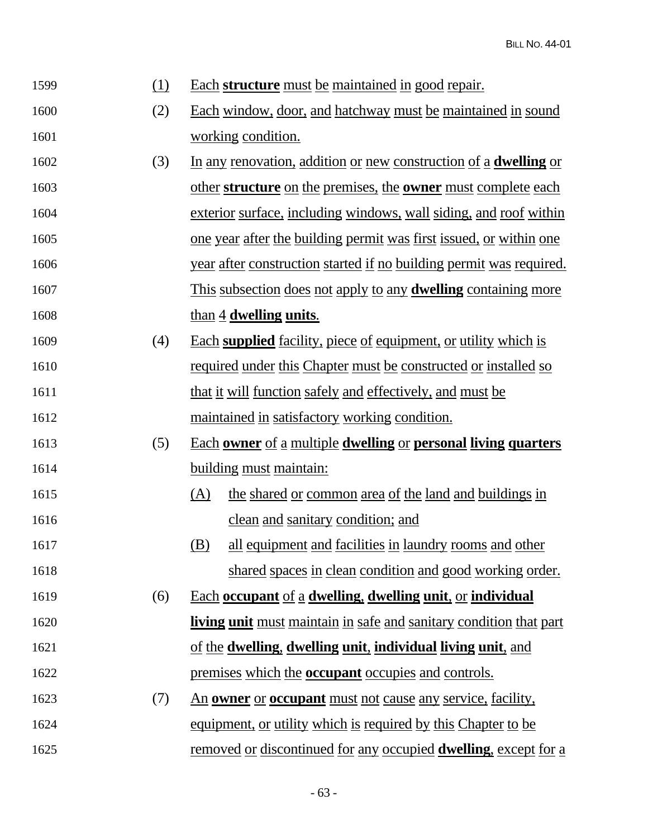| 1599 | (1) | <u>Each structure must be maintained in good repair.</u>                  |
|------|-----|---------------------------------------------------------------------------|
| 1600 | (2) | Each window, door, and hatchway must be maintained in sound               |
| 1601 |     | working condition.                                                        |
| 1602 | (3) | In any renovation, addition or new construction of a <b>dwelling</b> or   |
| 1603 |     | other structure on the premises, the owner must complete each             |
| 1604 |     | exterior surface, including windows, wall siding, and roof within         |
| 1605 |     | <u>one year after the building permit was first issued, or within one</u> |
| 1606 |     | year after construction started if no building permit was required.       |
| 1607 |     | <u>This subsection does not apply to any dwelling containing more</u>     |
| 1608 |     | than 4 dwelling units.                                                    |
| 1609 | (4) | Each supplied facility, piece of equipment, or utility which is           |
| 1610 |     | <u>required under this Chapter must be constructed or installed so</u>    |
| 1611 |     | that it will function safely and effectively, and must be                 |
| 1612 |     | maintained in satisfactory working condition.                             |
| 1613 | (5) | <u>Each owner of a multiple dwelling or personal living quarters</u>      |
| 1614 |     | building must maintain:                                                   |
| 1615 |     | <u>(A)</u><br>the shared or common area of the land and buildings in      |
| 1616 |     | clean and sanitary condition; and                                         |
| 1617 |     | (B)<br>all equipment and facilities in laundry rooms and other            |
| 1618 |     | shared spaces in clean condition and good working order.                  |
| 1619 | (6) | <b>Each occupant of a dwelling, dwelling unit, or individual</b>          |
| 1620 |     | <b>living unit</b> must maintain in safe and sanitary condition that part |
| 1621 |     | of the dwelling, dwelling unit, individual living unit, and               |
| 1622 |     | premises which the <b>occupant</b> occupies and controls.                 |
| 1623 | (7) | <u>An owner or occupant must not cause any service, facility,</u>         |
| 1624 |     | equipment, or utility which is required by this Chapter to be             |
| 1625 |     | removed or discontinued for any occupied <b>dwelling</b> , except for a   |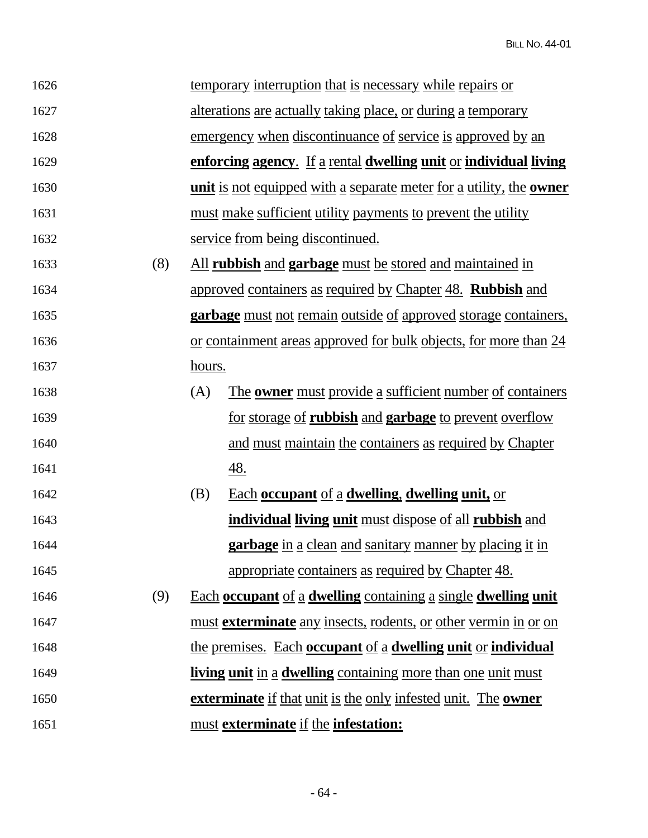| 1626 |     |        | <u>temporary interruption that is necessary while repairs or</u>                  |
|------|-----|--------|-----------------------------------------------------------------------------------|
| 1627 |     |        | alterations are actually taking place, or during a temporary                      |
| 1628 |     |        | emergency when discontinuance of service is approved by an                        |
| 1629 |     |        | enforcing agency. If a rental dwelling unit or individual living                  |
| 1630 |     |        | <u>unit is not equipped with a separate meter for a utility, the <b>owner</b></u> |
| 1631 |     |        | must make sufficient utility payments to prevent the utility                      |
| 1632 |     |        | service from being discontinued.                                                  |
| 1633 | (8) |        | All rubbish and garbage must be stored and maintained in                          |
| 1634 |     |        | approved containers as required by Chapter 48. <b>Rubbish</b> and                 |
| 1635 |     |        | <b>garbage</b> must not remain outside of approved storage containers,            |
| 1636 |     |        | or containment areas approved for bulk objects, for more than 24                  |
| 1637 |     | hours. |                                                                                   |
| 1638 |     | (A)    | The <b>owner</b> must provide a sufficient number of containers                   |
| 1639 |     |        | <u>for storage of rubbish and garbage to prevent overflow</u>                     |
| 1640 |     |        | and must maintain the containers as required by Chapter                           |
| 1641 |     |        | <u>48.</u>                                                                        |
| 1642 |     | (B)    | Each occupant of a dwelling, dwelling unit, or                                    |
| 1643 |     |        | individual living unit must dispose of all rubbish and                            |
| 1644 |     |        | <b>garbage</b> in a clean and sanitary manner by placing it in                    |
| 1645 |     |        | appropriate containers as required by Chapter 48.                                 |
| 1646 | (9) |        | Each occupant of a dwelling containing a single dwelling unit                     |
| 1647 |     |        | must exterminate any insects, rodents, or other vermin in or on                   |
| 1648 |     |        | the premises. Each occupant of a dwelling unit or individual                      |
| 1649 |     |        | living unit in a dwelling containing more than one unit must                      |
| 1650 |     |        | <b>exterminate</b> if that unit is the only infested unit. The <b>owner</b>       |
| 1651 |     |        | must exterminate if the infestation:                                              |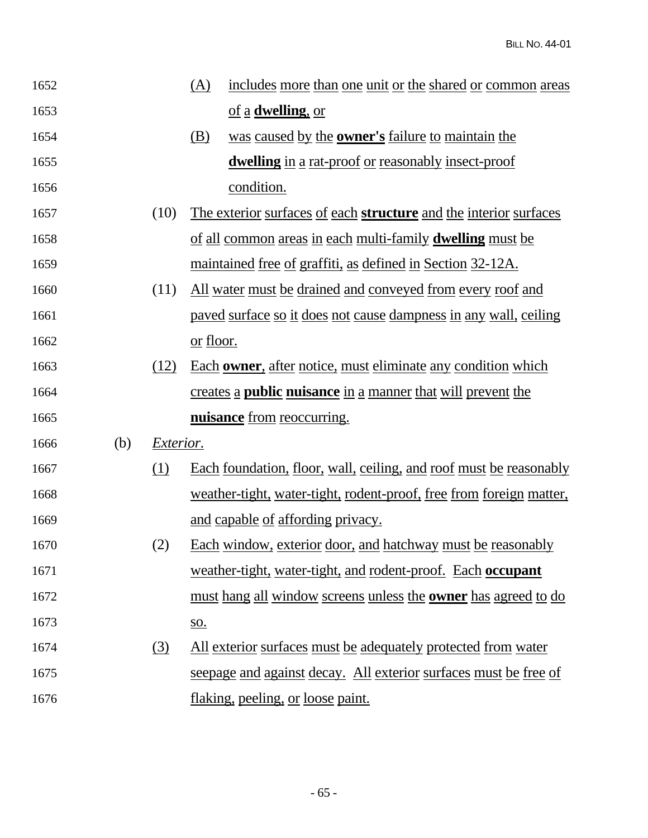| 1652 |     |                  | (A)              | includes more than one unit or the shared or common areas                    |
|------|-----|------------------|------------------|------------------------------------------------------------------------------|
| 1653 |     |                  |                  | of a <b>dwelling</b> , or                                                    |
| 1654 |     |                  | (B)              | was caused by the <b>owner's</b> failure to maintain the                     |
| 1655 |     |                  |                  | <b>dwelling</b> in a rat-proof or reasonably insect-proof                    |
| 1656 |     |                  |                  | condition.                                                                   |
| 1657 |     | (10)             |                  | The exterior surfaces of each <b>structure</b> and the interior surfaces     |
| 1658 |     |                  |                  | <u>of all common areas in each multi-family <b>dwelling</b> must be</u>      |
| 1659 |     |                  |                  | maintained free of graffiti, as defined in Section 32-12A.                   |
| 1660 |     | (11)             |                  | <u>All water must be drained and conveyed from every roof and</u>            |
| 1661 |     |                  |                  | paved surface so it does not cause dampness in any wall, ceiling             |
| 1662 |     |                  | <u>or floor.</u> |                                                                              |
| 1663 |     | (12)             |                  | Each owner, after notice, must eliminate any condition which                 |
| 1664 |     |                  |                  | creates a <b>public nuisance</b> in a manner that will prevent the           |
| 1665 |     |                  |                  | nuisance from reoccurring.                                                   |
| 1666 | (b) | <i>Exterior.</i> |                  |                                                                              |
| 1667 |     | <u>(1)</u>       |                  | Each foundation, floor, wall, ceiling, and roof must be reasonably           |
| 1668 |     |                  |                  | weather-tight, water-tight, rodent-proof, free from foreign matter,          |
| 1669 |     |                  |                  | and capable of affording privacy.                                            |
| 1670 |     | (2)              |                  | Each window, exterior door, and hatchway must be reasonably                  |
| 1671 |     |                  |                  | weather-tight, water-tight, and rodent-proof. Each occupant                  |
| 1672 |     |                  |                  | <u>must hang all window screens unless the <b>owner</b> has agreed to do</u> |
| 1673 |     |                  | <u>so.</u>       |                                                                              |
| 1674 |     | (3)              |                  | All exterior surfaces must be adequately protected from water                |
| 1675 |     |                  |                  | seepage and against decay. All exterior surfaces must be free of             |
| 1676 |     |                  |                  | flaking, peeling, or loose paint.                                            |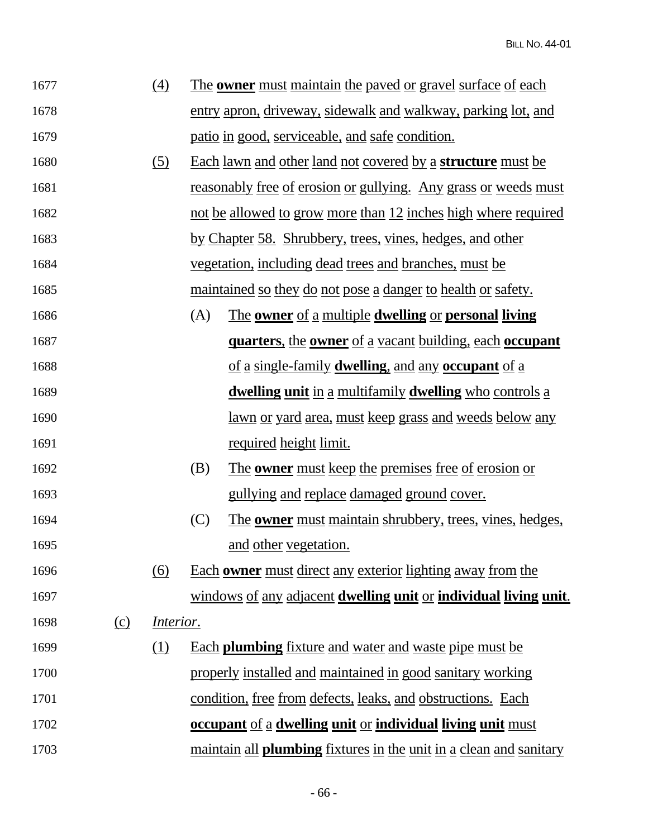| 1677 |          | (4)                            |     | <u>The owner must maintain the paved or gravel surface of each</u>               |
|------|----------|--------------------------------|-----|----------------------------------------------------------------------------------|
| 1678 |          |                                |     | entry apron, driveway, sidewalk and walkway, parking lot, and                    |
| 1679 |          |                                |     | patio in good, serviceable, and safe condition.                                  |
| 1680 |          | (5)                            |     | <u>Each lawn and other land not covered by a structure must be</u>               |
| 1681 |          |                                |     | <u>reasonably free of erosion or gullying. Any grass or weeds must</u>           |
| 1682 |          |                                |     | not be allowed to grow more than 12 inches high where required                   |
| 1683 |          |                                |     | by Chapter 58. Shrubbery, trees, vines, hedges, and other                        |
| 1684 |          |                                |     | <u>vegetation, including dead trees and branches, must be</u>                    |
| 1685 |          |                                |     | <u>maintained so they do not pose a danger to health or safety.</u>              |
| 1686 |          |                                | (A) | <u>The owner of a multiple dwelling or personal living</u>                       |
| 1687 |          |                                |     | <b><u>quarters, the owner of a vacant building, each occupant</u></b>            |
| 1688 |          |                                |     | of a single-family <b>dwelling</b> , and any <b>occupant</b> of a                |
| 1689 |          |                                |     | <u>dwelling unit in a multifamily dwelling who controls a</u>                    |
| 1690 |          |                                |     | <u>lawn or yard area, must keep grass and weeds below any</u>                    |
| 1691 |          |                                |     | <u>required height limit.</u>                                                    |
| 1692 |          |                                | (B) | <u>The owner must keep the premises free of erosion or</u>                       |
| 1693 |          |                                |     | gullying and replace damaged ground cover.                                       |
| 1694 |          |                                | (C) | <u>The owner must maintain shrubbery, trees, vines, hedges,</u>                  |
| 1695 |          |                                |     | and other vegetation.                                                            |
| 1696 |          | $\underline{(6)}$              |     | <u>Each owner must direct any exterior lighting away from the</u>                |
| 1697 |          |                                |     | windows of any adjacent dwelling unit or individual living unit.                 |
| 1698 | $\Omega$ | <i><u><b>Interior.</b></u></i> |     |                                                                                  |
| 1699 |          | <u>(1)</u>                     |     | <b>Each plumbing</b> fixture and water and waste pipe must be                    |
| 1700 |          |                                |     | properly installed and maintained in good sanitary working                       |
| 1701 |          |                                |     | condition, free from defects, leaks, and obstructions. Each                      |
| 1702 |          |                                |     | <b><u>occupant of a dwelling unit or individual living unit must</u></b>         |
| 1703 |          |                                |     | <u>maintain all <b>plumbing</b> fixtures in the unit in a clean and sanitary</u> |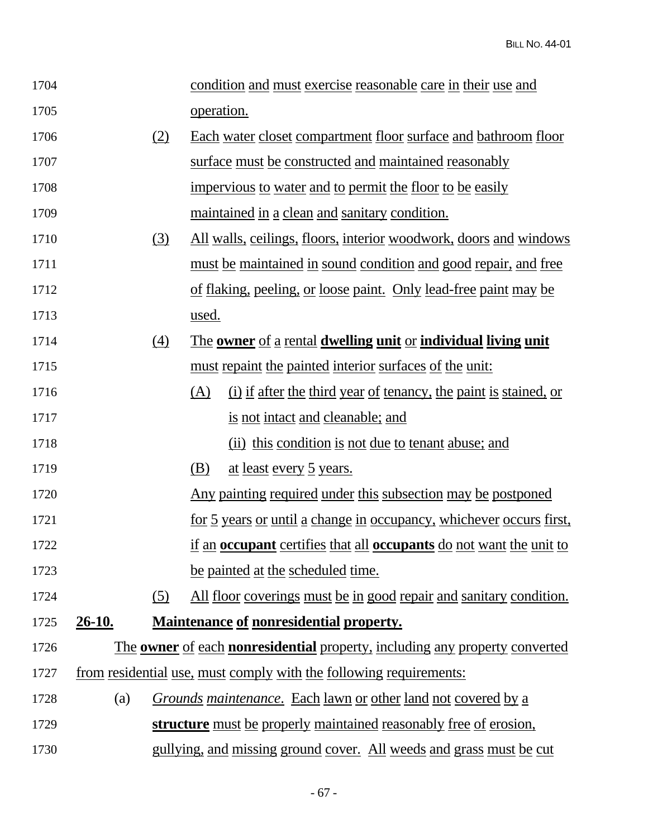| 1704 |          |                  | condition and must exercise reasonable care in their use and                              |
|------|----------|------------------|-------------------------------------------------------------------------------------------|
| 1705 |          |                  | operation.                                                                                |
| 1706 |          | (2)              | Each water closet compartment floor surface and bathroom floor                            |
| 1707 |          |                  | surface must be constructed and maintained reasonably                                     |
| 1708 |          |                  | impervious to water and to permit the floor to be easily                                  |
| 1709 |          |                  | maintained in a clean and sanitary condition.                                             |
| 1710 |          | <u>(3)</u>       | <u>All walls, ceilings, floors, interior woodwork, doors and windows</u>                  |
| 1711 |          |                  | must be maintained in sound condition and good repair, and free                           |
| 1712 |          |                  | of flaking, peeling, or loose paint. Only lead-free paint may be                          |
| 1713 |          |                  | used.                                                                                     |
| 1714 |          | $\left(4\right)$ | The owner of a rental dwelling unit or individual living unit                             |
| 1715 |          |                  | must repaint the painted interior surfaces of the unit:                                   |
| 1716 |          |                  | (A)<br>(i) if after the third year of tenancy, the paint is stained, or                   |
| 1717 |          |                  | is not intact and cleanable; and                                                          |
| 1718 |          |                  | (ii) this condition is not due to tenant abuse; and                                       |
| 1719 |          |                  | (B)<br><u>at least every 5 years.</u>                                                     |
| 1720 |          |                  | Any painting required under this subsection may be postponed                              |
| 1721 |          |                  | <u>for 5 years or until a change in occupancy, whichever occurs first,</u>                |
| 1722 |          |                  | if an <b>occupant</b> certifies that all <b>occupants</b> do not want the unit to         |
| 1723 |          |                  | be painted at the scheduled time.                                                         |
| 1724 |          | (5)              | <u>All floor coverings must be in good repair and sanitary condition.</u>                 |
| 1725 | $26-10.$ |                  | <b>Maintenance of nonresidential property.</b>                                            |
| 1726 |          |                  | The <b>owner</b> of each <b>nonresidential</b> property, including any property converted |
| 1727 |          |                  | <u>from residential use, must comply with the following requirements:</u>                 |
| 1728 | (a)      |                  | <i><u>Grounds maintenance. Each lawn or other land not covered by a</u></i>               |
| 1729 |          |                  | <b>structure</b> must be properly maintained reasonably free of erosion,                  |
| 1730 |          |                  | <u>gullying, and missing ground cover. All weeds and grass must be cut</u>                |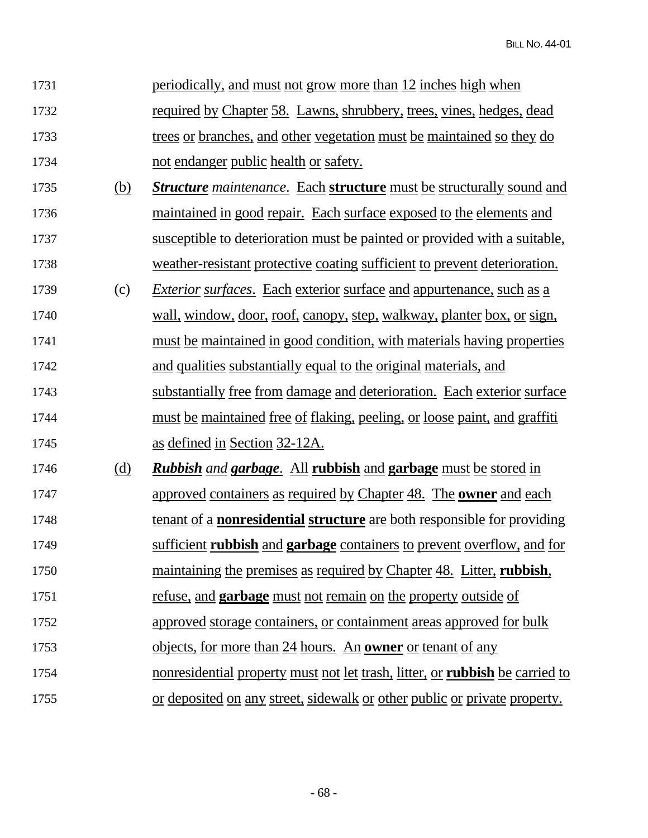| 1731 |            | <u>periodically, and must not grow more than 12 inches high when</u>                |
|------|------------|-------------------------------------------------------------------------------------|
| 1732 |            | <u>required by Chapter 58. Lawns, shrubbery, trees, vines, hedges, dead</u>         |
| 1733 |            | trees or branches, and other vegetation must be maintained so they do               |
| 1734 |            | not endanger public health or safety.                                               |
| 1735 | (b)        | <b>Structure</b> maintenance. Each structure must be structurally sound and         |
| 1736 |            | maintained in good repair. Each surface exposed to the elements and                 |
| 1737 |            | susceptible to deterioration must be painted or provided with a suitable,           |
| 1738 |            | weather-resistant protective coating sufficient to prevent deterioration.           |
| 1739 | (c)        | <i>Exterior surfaces.</i> Each exterior surface and appurtenance, such as a         |
| 1740 |            | wall, window, door, roof, canopy, step, walkway, planter box, or sign,              |
| 1741 |            | must be maintained in good condition, with materials having properties              |
| 1742 |            | and qualities substantially equal to the original materials, and                    |
| 1743 |            | substantially free from damage and deterioration. Each exterior surface             |
| 1744 |            | <u>must be maintained free of flaking, peeling, or loose paint, and graffiti</u>    |
| 1745 |            | as defined in Section 32-12A.                                                       |
| 1746 | <u>(d)</u> | <b>Rubbish</b> and <b>garbage.</b> All rubbish and <b>garbage</b> must be stored in |
| 1747 |            | approved containers as required by Chapter 48. The <b>owner</b> and each            |
| 1748 |            | <u>tenant of a nonresidential structure are both responsible for providing</u>      |
| 1749 |            | sufficient rubbish and garbage containers to prevent overflow, and for              |
| 1750 |            | <u>maintaining the premises as required by Chapter 48. Litter, rubbish,</u>         |
| 1751 |            | refuse, and <b>garbage</b> must not remain on the property outside of               |
| 1752 |            | approved storage containers, or containment areas approved for bulk                 |
| 1753 |            | objects, for more than 24 hours. An <b>owner</b> or tenant of any                   |
| 1754 |            | <u>nonresidential property must not let trash, litter, or rubbish be carried to</u> |
| 1755 |            | or deposited on any street, sidewalk or other public or private property.           |

- 68 -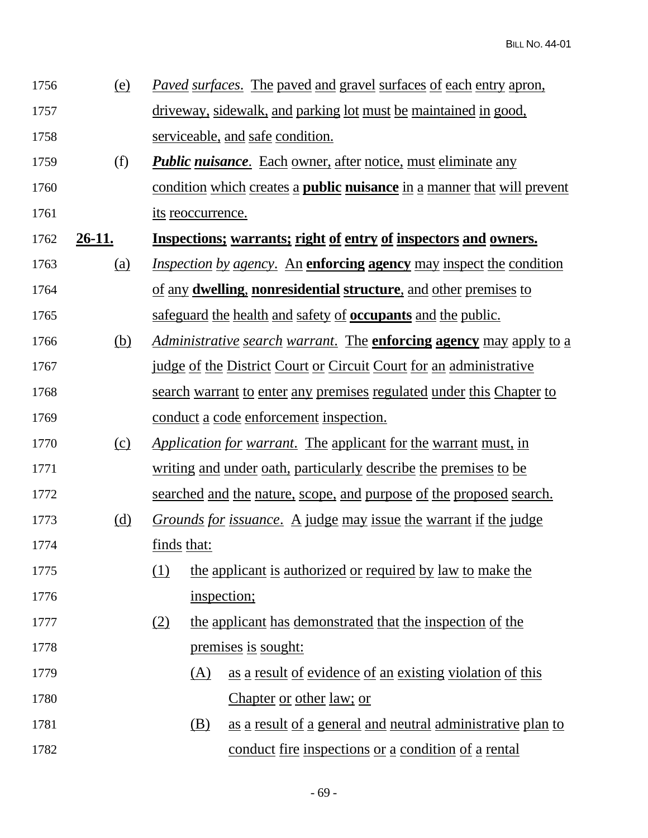| 1756 | (e) | <i>Paved surfaces.</i> The paved and gravel surfaces of each entry apron, |
|------|-----|---------------------------------------------------------------------------|
| 1757 |     | driveway, sidewalk, and parking lot must be maintained in good,           |
| 1758 |     | serviceable, and safe condition.                                          |

- 1759 (f) *Public nuisance*. Each owner, after notice, must eliminate any 1760 condition which creates a **public nuisance** in a manner that will prevent 1761 its reoccurrence.
- 1762 **26-11. Inspections; warrants; right of entry of inspectors and owners.**
- 1763 (a) *Inspection by agency*. An **enforcing agency** may inspect the condition 1764 of any **dwelling**, **nonresidential structure**, and other premises to 1765 safeguard the health and safety of **occupants** and the public.
- 1766 (b) *Administrative search warrant*. The **enforcing agency** may apply to a 1767 judge of the District Court or Circuit Court for an administrative 1768 search warrant to enter any premises regulated under this Chapter to 1769 conduct a code enforcement inspection.
- 1770 (c) *Application for warrant*. The applicant for the warrant must, in 1771 writing and under oath, particularly describe the premises to be 1772 searched and the nature, scope, and purpose of the proposed search.
- 1773 (d) *Grounds for issuance*. A judge may issue the warrant if the judge 1774 finds that:
- 1775 (1) the applicant is authorized or required by law to make the 1776 inspection;
- 1777 (2) the applicant has demonstrated that the inspection of the 1778 premises is sought:
- 1779 (A) as a result of evidence of an existing violation of this 1780 Chapter or other law; or
- 1781 (B) as a result of a general and neutral administrative plan to 1782 conduct fire inspections or a condition of a rental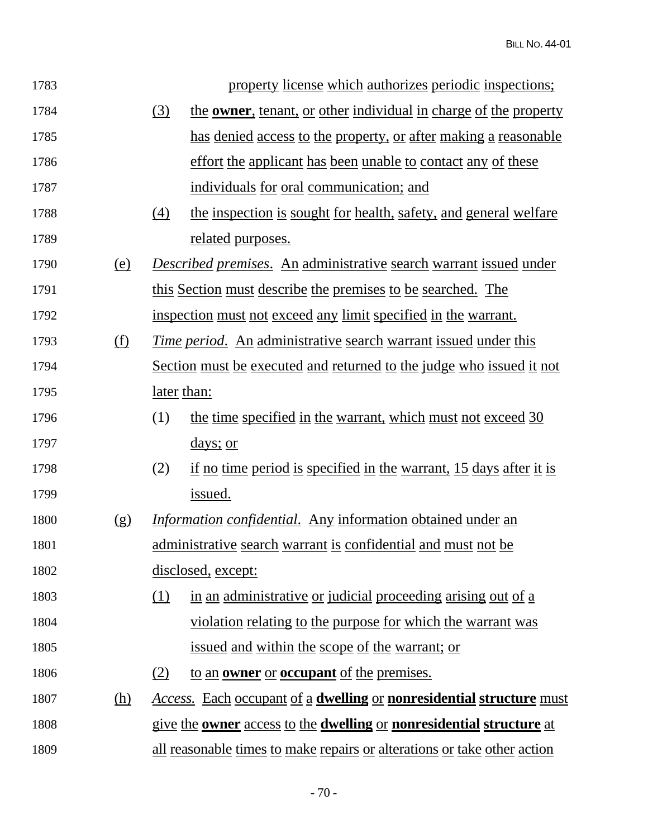| 1783 |            | property license which authorizes periodic inspections;                                   |
|------|------------|-------------------------------------------------------------------------------------------|
| 1784 |            | the <b>owner</b> , tenant, or other individual in charge of the property<br>(3)           |
| 1785 |            | has denied access to the property, or after making a reasonable                           |
| 1786 |            | effort the applicant has been unable to contact any of these                              |
| 1787 |            | individuals for oral communication; and                                                   |
| 1788 |            | the inspection is sought for health, safety, and general welfare<br>(4)                   |
| 1789 |            | <u>related</u> purposes.                                                                  |
| 1790 | <u>(e)</u> | Described premises. An administrative search warrant issued under                         |
| 1791 |            | this Section must describe the premises to be searched. The                               |
| 1792 |            | inspection must not exceed any limit specified in the warrant.                            |
| 1793 | <u>(f)</u> | <u>Time period. An administrative search warrant issued under this</u>                    |
| 1794 |            | Section must be executed and returned to the judge who issued it not                      |
| 1795 |            | <u>later</u> than:                                                                        |
| 1796 |            | (1)<br>the time specified in the warrant, which must not exceed 30                        |
| 1797 |            | <u>days; or</u>                                                                           |
| 1798 |            | if no time period is specified in the warrant, 15 days after it is<br>(2)                 |
| 1799 |            | issued.                                                                                   |
| 1800 | (g)        | <i>Information confidential.</i> Any information obtained under an                        |
| 1801 |            | administrative search warrant is confidential and must not be                             |
| 1802 |            | disclosed, except:                                                                        |
| 1803 |            | (1)<br>in an administrative or judicial proceeding arising out of a                       |
| 1804 |            | <u>violation relating to the purpose for which the warrant was</u>                        |
| 1805 |            | <u>issued and within the scope of the warrant; or</u>                                     |
| 1806 |            | to an <b>owner</b> or <b>occupant</b> of the premises.<br>(2)                             |
| 1807 | (h)        | <b>Access.</b> Each occupant of a <b>dwelling</b> or <b>nonresidential structure</b> must |
| 1808 |            | give the <b>owner</b> access to the <b>dwelling</b> or <b>nonresidential structure</b> at |
| 1809 |            | all reasonable times to make repairs or alterations or take other action                  |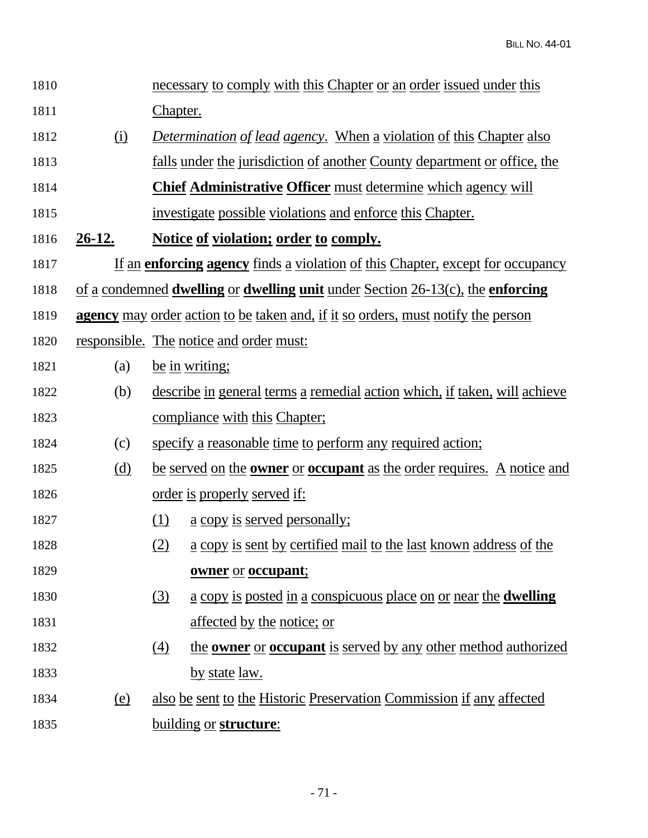| 1810 |               |                 | necessary to comply with this Chapter or an order issued under this                         |
|------|---------------|-----------------|---------------------------------------------------------------------------------------------|
| 1811 |               | <u>Chapter.</u> |                                                                                             |
| 1812 | <u>(i)</u>    |                 | Determination of lead agency. When a violation of this Chapter also                         |
| 1813 |               |                 | <u>falls under the jurisdiction of another County department or office, the</u>             |
| 1814 |               |                 | <b>Chief Administrative Officer must determine which agency will</b>                        |
| 1815 |               |                 | investigate possible violations and enforce this Chapter.                                   |
| 1816 | <u>26-12.</u> |                 | Notice of violation; order to comply.                                                       |
| 1817 |               |                 | If an enforcing agency finds a violation of this Chapter, except for occupancy              |
| 1818 |               |                 | <u>of a condemned dwelling or dwelling unit under Section 26-13(c), the enforcing</u>       |
| 1819 |               |                 | <b>agency</b> may order action to be taken and, if it so orders, must notify the person     |
| 1820 |               |                 | responsible. The notice and order must:                                                     |
| 1821 | (a)           |                 | be in writing;                                                                              |
| 1822 | (b)           |                 | describe in general terms a remedial action which, if taken, will achieve                   |
| 1823 |               |                 | <u>compliance with this Chapter:</u>                                                        |
| 1824 | (c)           |                 | specify a reasonable time to perform any required action;                                   |
| 1825 | <u>(d)</u>    |                 | <u>be served on the <b>owner</b> or <b>occupant</b> as the order requires. A notice and</u> |
| 1826 |               |                 | <u>order is properly served if:</u>                                                         |
| 1827 |               | (1)             | <u>a copy is served personally;</u>                                                         |
| 1828 |               | <u>(2)</u>      | a copy is sent by certified mail to the last known address of the                           |
| 1829 |               |                 | owner or occupant;                                                                          |
| 1830 |               | (3)             | <u>a copy is posted in a conspicuous place on or near the dwelling</u>                      |
| 1831 |               |                 | affected by the notice; or                                                                  |
| 1832 |               | (4)             | the <b>owner</b> or <b>occupant</b> is served by any other method authorized                |
| 1833 |               |                 | <u>by state law.</u>                                                                        |
| 1834 | (e)           |                 | also be sent to the Historic Preservation Commission if any affected                        |
| 1835 |               |                 | building or structure:                                                                      |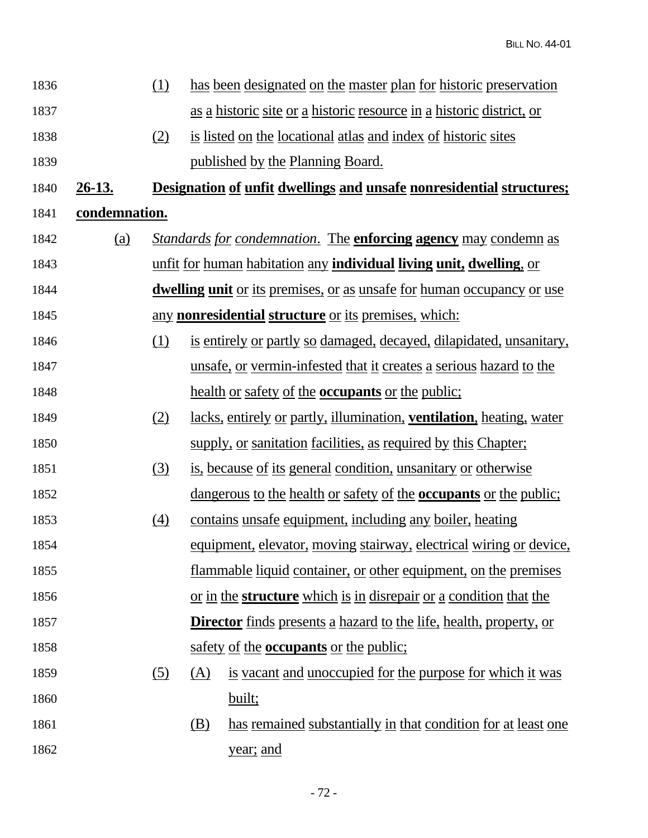| 1836 |               | <u>(1)</u>       | has been designated on the master plan for historic preservation                |
|------|---------------|------------------|---------------------------------------------------------------------------------|
| 1837 |               |                  | <u>as a historic site or a historic resource in a historic district, or</u>     |
| 1838 |               | (2)              | is listed on the locational atlas and index of historic sites                   |
| 1839 |               |                  | <u>published by the Planning Board.</u>                                         |
| 1840 | <u>26-13.</u> |                  | <b>Designation of unfit dwellings and unsafe nonresidential structures;</b>     |
| 1841 | condemnation. |                  |                                                                                 |
| 1842 | <u>(a)</u>    |                  | <b>Standards for condemnation. The enforcing agency may condemn as</b>          |
| 1843 |               |                  | <u>unfit for human habitation any individual living unit, dwelling, or</u>      |
| 1844 |               |                  | <b>dwelling unit</b> or its premises, or as unsafe for human occupancy or use   |
| 1845 |               |                  | <u>any nonresidential structure or its premises, which:</u>                     |
| 1846 |               | (1)              | is entirely or partly so damaged, decayed, dilapidated, unsanitary,             |
| 1847 |               |                  | unsafe, or vermin-infested that it creates a serious hazard to the              |
| 1848 |               |                  | <u>health or safety of the <b>occupants</b> or the public;</u>                  |
| 1849 |               | (2)              | lacks, entirely or partly, illumination, ventilation, heating, water            |
| 1850 |               |                  | supply, or sanitation facilities, as required by this Chapter;                  |
| 1851 |               | $\left(3\right)$ | is, because of its general condition, unsanitary or otherwise                   |
| 1852 |               |                  | <u>dangerous to the health or safety of the <b>occupants</b> or the public;</u> |
| 1853 |               | $\left(4\right)$ | contains unsafe equipment, including any boiler, heating                        |
| 1854 |               |                  | equipment, elevator, moving stairway, electrical wiring or device,              |
| 1855 |               |                  | flammable liquid container, or other equipment, on the premises                 |
| 1856 |               |                  | or in the <b>structure</b> which is in disrepair or a condition that the        |
| 1857 |               |                  | <b>Director</b> finds presents a hazard to the life, health, property, or       |
| 1858 |               |                  | safety of the <b>occupants</b> or the public;                                   |
| 1859 |               | (5)              | is vacant and unoccupied for the purpose for which it was<br>(A)                |
| 1860 |               |                  | built;                                                                          |
| 1861 |               |                  | has remained substantially in that condition for at least one<br>(B)            |
| 1862 |               |                  | year; and                                                                       |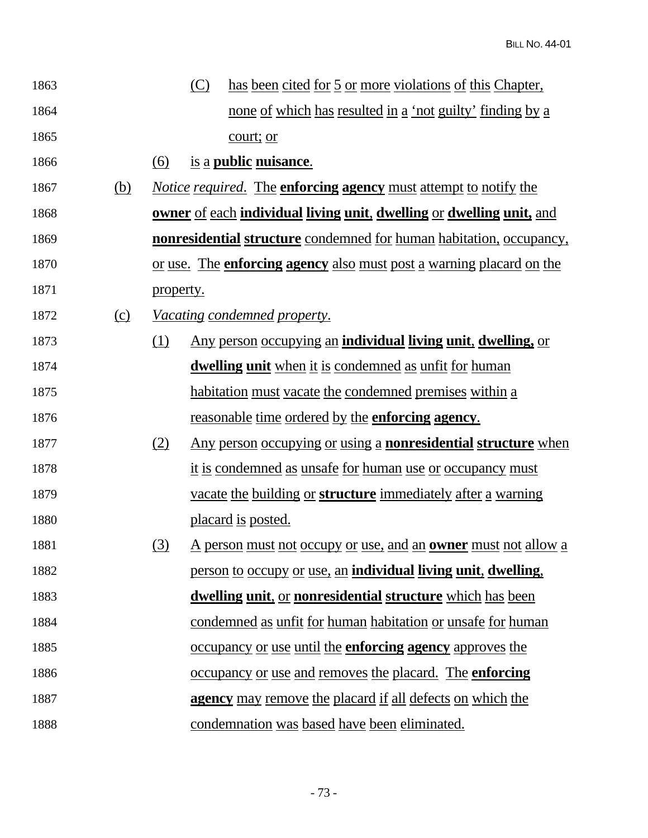| 1863 |            |                                                                      | (C)                                                                 | <u>has been cited for 5 or more violations of this Chapter,</u>                    |  |
|------|------------|----------------------------------------------------------------------|---------------------------------------------------------------------|------------------------------------------------------------------------------------|--|
| 1864 |            |                                                                      |                                                                     | <u>none of which has resulted in a 'not guilty' finding by a</u>                   |  |
| 1865 |            |                                                                      |                                                                     | court; or                                                                          |  |
| 1866 |            | (6)                                                                  |                                                                     | is a <b>public</b> nuisance.                                                       |  |
| 1867 | <u>(b)</u> |                                                                      |                                                                     | <i>Notice required.</i> The <b>enforcing agency</b> must attempt to notify the     |  |
| 1868 |            | owner of each individual living unit, dwelling or dwelling unit, and |                                                                     |                                                                                    |  |
| 1869 |            |                                                                      |                                                                     | <b>nonresidential structure</b> condemned for human habitation, occupancy,         |  |
| 1870 |            |                                                                      |                                                                     | <u>or use. The <b>enforcing agency</b> also must post a warning placard on the</u> |  |
| 1871 |            | property.                                                            |                                                                     |                                                                                    |  |
| 1872 | <u>(c)</u> |                                                                      |                                                                     | <u>Vacating condemned property.</u>                                                |  |
| 1873 |            | <u>(1)</u>                                                           |                                                                     | <u>Any person occupying an individual living unit, dwelling, or</u>                |  |
| 1874 |            |                                                                      |                                                                     | <b>dwelling unit</b> when it is condemned as unfit for human                       |  |
| 1875 |            |                                                                      |                                                                     | <u>habitation must vacate the condemned premises within a</u>                      |  |
| 1876 |            |                                                                      |                                                                     | <u>reasonable time ordered by the enforcing agency.</u>                            |  |
| 1877 |            | (2)                                                                  |                                                                     | Any person occupying or using a <b>nonresidential structure</b> when               |  |
| 1878 |            |                                                                      |                                                                     | <u>it is condemned as unsafe for human use or occupancy must</u>                   |  |
| 1879 |            |                                                                      | vacate the building or <b>structure</b> immediately after a warning |                                                                                    |  |
| 1880 |            |                                                                      | placard is posted.                                                  |                                                                                    |  |
| 1881 |            | (3)                                                                  |                                                                     | <u>A person must not occupy or use, and an <b>owner</b> must not allow a</u>       |  |
| 1882 |            |                                                                      |                                                                     | <u>person to occupy or use, an individual living unit, dwelling,</u>               |  |
| 1883 |            |                                                                      |                                                                     | <u>dwelling unit, or nonresidential structure which has been</u>                   |  |
| 1884 |            |                                                                      |                                                                     | condemned as unfit for human habitation or unsafe for human                        |  |
| 1885 |            |                                                                      |                                                                     | <u>occupancy or use until the enforcing agency approves the</u>                    |  |
| 1886 |            |                                                                      |                                                                     | <u>occupancy or use and removes the placard. The enforcing</u>                     |  |
| 1887 |            | <b>agency</b> may remove the placard if all defects on which the     |                                                                     |                                                                                    |  |
| 1888 |            |                                                                      |                                                                     | condemnation was based have been eliminated.                                       |  |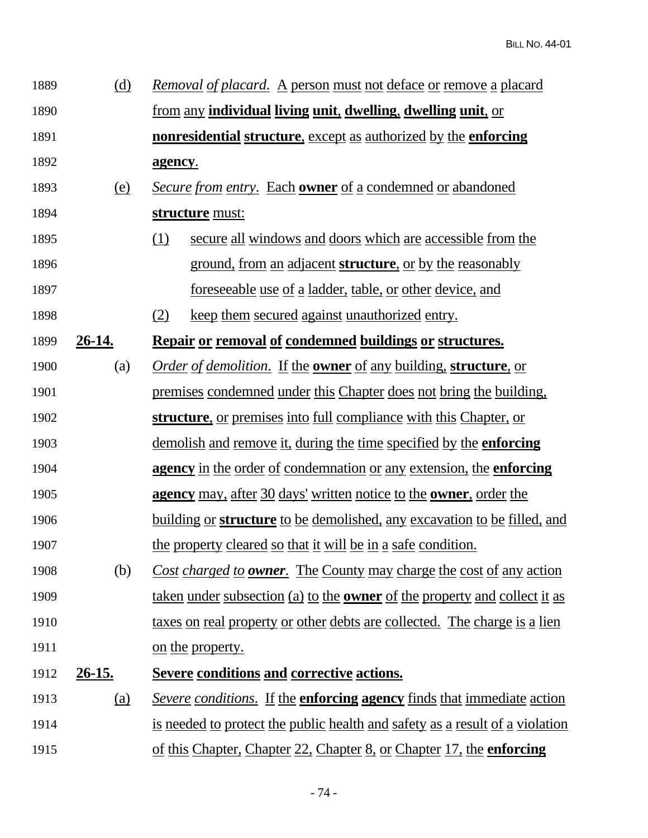| 1889 | (d)           | Removal of placard. A person must not deface or remove a placard                              |  |  |  |
|------|---------------|-----------------------------------------------------------------------------------------------|--|--|--|
| 1890 |               | <u>from any individual living unit, dwelling, dwelling unit, or</u>                           |  |  |  |
| 1891 |               | <b>nonresidential structure, except as authorized by the enforcing</b>                        |  |  |  |
| 1892 |               | agency.                                                                                       |  |  |  |
| 1893 | <u>(e)</u>    | <b>Secure from entry.</b> Each <b>owner</b> of a condemned or abandoned                       |  |  |  |
| 1894 |               | structure must:                                                                               |  |  |  |
| 1895 |               | secure all windows and doors which are accessible from the<br><u>(1)</u>                      |  |  |  |
| 1896 |               | <u>ground, from an adjacent structure, or by the reasonably</u>                               |  |  |  |
| 1897 |               | <u>foreseeable use of a ladder, table, or other device, and</u>                               |  |  |  |
| 1898 |               | <u>keep them secured against unauthorized entry.</u><br>(2)                                   |  |  |  |
| 1899 | <u>26-14.</u> | Repair or removal of condemned buildings or structures.                                       |  |  |  |
| 1900 | (a)           | <i><u>Order of demolition.</u></i> If the <b>owner</b> of any building, <b>structure</b> , or |  |  |  |
| 1901 |               | premises condemned under this Chapter does not bring the building,                            |  |  |  |
| 1902 |               | structure, or premises into full compliance with this Chapter, or                             |  |  |  |
| 1903 |               | <u>demolish and remove it, during the time specified by the enforcing</u>                     |  |  |  |
| 1904 |               | agency in the order of condemnation or any extension, the enforcing                           |  |  |  |
| 1905 |               | <b>agency</b> may, after 30 days' written notice to the <b>owner</b> , order the              |  |  |  |
| 1906 |               | <u>building or structure to be demolished, any excavation to be filled, and</u>               |  |  |  |
| 1907 |               | the property cleared so that it will be in a safe condition.                                  |  |  |  |
| 1908 | (b)           | Cost charged to <b>owner</b> . The County may charge the cost of any action                   |  |  |  |
| 1909 |               | <u>taken under subsection (a) to the <b>owner</b> of the property and collect it as</u>       |  |  |  |
| 1910 |               | taxes on real property or other debts are collected. The charge is a lien                     |  |  |  |
| 1911 |               | <u>on the property.</u>                                                                       |  |  |  |
| 1912 | $26 - 15.$    | <b>Severe conditions and corrective actions.</b>                                              |  |  |  |
| 1913 | <u>(a)</u>    | <i>Severe conditions.</i> If the <b>enforcing agency</b> finds that immediate action          |  |  |  |
| 1914 |               | is needed to protect the public health and safety as a result of a violation                  |  |  |  |
| 1915 |               | of this Chapter, Chapter 22, Chapter 8, or Chapter 17, the <b>enforcing</b>                   |  |  |  |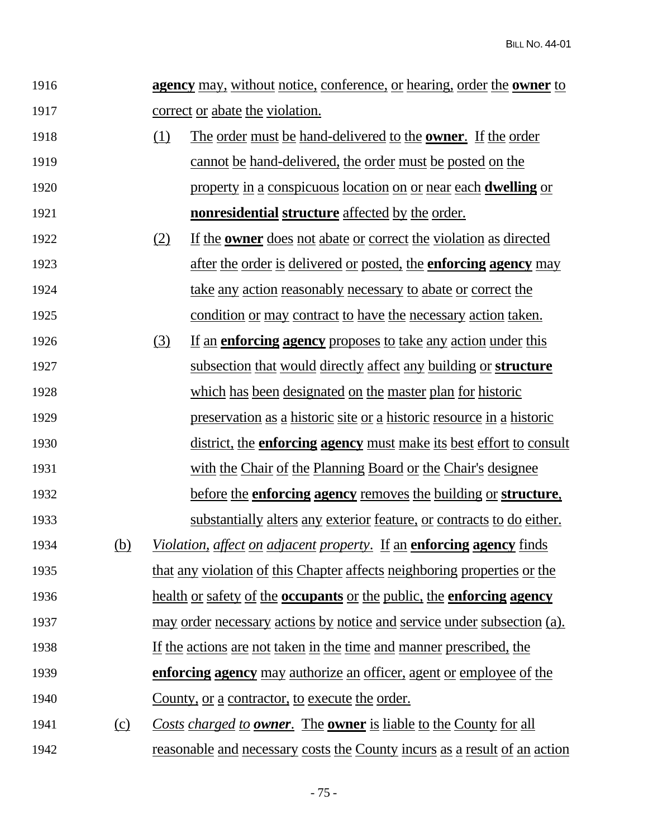| 1916 |            | <b>agency</b> may, without notice, conference, or hearing, order the <b>owner</b> to |                                                                                            |  |
|------|------------|--------------------------------------------------------------------------------------|--------------------------------------------------------------------------------------------|--|
| 1917 |            |                                                                                      | correct or abate the violation.                                                            |  |
| 1918 |            | (1)                                                                                  | The order must be hand-delivered to the <b>owner</b> . If the order                        |  |
| 1919 |            |                                                                                      | cannot be hand-delivered, the order must be posted on the                                  |  |
| 1920 |            |                                                                                      | property in a conspicuous location on or near each <b>dwelling</b> or                      |  |
| 1921 |            |                                                                                      | <b>nonresidential structure</b> affected by the order.                                     |  |
| 1922 |            | (2)                                                                                  | If the <b>owner</b> does not abate or correct the violation as directed                    |  |
| 1923 |            |                                                                                      | <u>after the order is delivered or posted, the enforcing agency may</u>                    |  |
| 1924 |            |                                                                                      | take any action reasonably necessary to abate or correct the                               |  |
| 1925 |            |                                                                                      | condition or may contract to have the necessary action taken.                              |  |
| 1926 |            | (3)                                                                                  | If an <b>enforcing agency</b> proposes to take any action under this                       |  |
| 1927 |            |                                                                                      | subsection that would directly affect any building or structure                            |  |
| 1928 |            |                                                                                      | which has been designated on the master plan for historic                                  |  |
| 1929 |            |                                                                                      | <u>preservation as a historic site or a historic resource in a historic</u>                |  |
| 1930 |            |                                                                                      | <u>district, the enforcing agency must make its best effort to consult</u>                 |  |
| 1931 |            |                                                                                      | with the Chair of the Planning Board or the Chair's designee                               |  |
| 1932 |            |                                                                                      | <u>before the enforcing agency removes the building or structure.</u>                      |  |
| 1933 |            |                                                                                      | <u>substantially alters any exterior feature, or contracts to do either.</u>               |  |
| 1934 | <u>(b)</u> |                                                                                      | <i>Violation, affect on adjacent property.</i> If an <b>enforcing agency</b> finds         |  |
| 1935 |            |                                                                                      | that any violation of this Chapter affects neighboring properties or the                   |  |
| 1936 |            |                                                                                      | <u>health or safety of the <b>occupants</b> or the public, the <b>enforcing agency</b></u> |  |
| 1937 |            |                                                                                      | may order necessary actions by notice and service under subsection (a).                    |  |
| 1938 |            |                                                                                      | If the actions are not taken in the time and manner prescribed, the                        |  |
| 1939 |            |                                                                                      | enforcing agency may authorize an officer, agent or employee of the                        |  |
| 1940 |            |                                                                                      | <u>County, or a contractor, to execute the order.</u>                                      |  |
| 1941 | $\Omega$   |                                                                                      | Costs charged to <b>owner</b> . The <b>owner</b> is liable to the County for all           |  |
| 1942 |            |                                                                                      | reasonable and necessary costs the County incurs as a result of an action                  |  |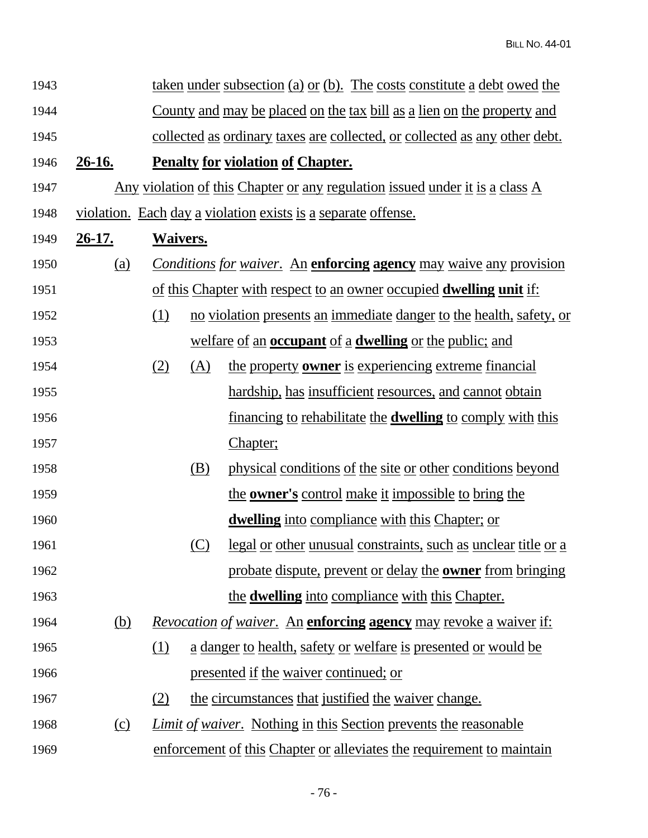| 1943 |               | <u>taken under subsection (a) or (b). The costs constitute a debt owed the</u>      |     |                                                                                   |  |  |
|------|---------------|-------------------------------------------------------------------------------------|-----|-----------------------------------------------------------------------------------|--|--|
| 1944 |               | <u>County and may be placed on the tax bill as a lien on the property and</u>       |     |                                                                                   |  |  |
| 1945 |               | collected as ordinary taxes are collected, or collected as any other debt.          |     |                                                                                   |  |  |
| 1946 | <u>26-16.</u> | <b>Penalty for violation of Chapter.</b>                                            |     |                                                                                   |  |  |
| 1947 |               | <u>Any violation of this Chapter or any regulation issued under it is a class A</u> |     |                                                                                   |  |  |
| 1948 |               |                                                                                     |     | violation. Each day a violation exists is a separate offense.                     |  |  |
| 1949 | <u>26-17.</u> | <b>Waivers.</b>                                                                     |     |                                                                                   |  |  |
| 1950 | <u>(a)</u>    |                                                                                     |     | <b>Conditions for waiver.</b> An <b>enforcing agency</b> may waive any provision  |  |  |
| 1951 |               |                                                                                     |     | <u>of this Chapter with respect to an owner occupied <b>dwelling unit</b> if:</u> |  |  |
| 1952 |               | (1)                                                                                 |     | no violation presents an immediate danger to the health, safety, or               |  |  |
| 1953 |               |                                                                                     |     | <u>welfare of an <b>occupant</b> of a</u> <b>dwelling</b> or the public; and      |  |  |
| 1954 |               | (2)                                                                                 | (A) | the property <b>owner</b> is experiencing extreme financial                       |  |  |
| 1955 |               |                                                                                     |     | hardship, has insufficient resources, and cannot obtain                           |  |  |
| 1956 |               |                                                                                     |     | <u>financing to rehabilitate the <b>dwelling</b> to comply with this</u>          |  |  |
| 1957 |               |                                                                                     |     | Chapter;                                                                          |  |  |
| 1958 |               |                                                                                     | (B) | physical conditions of the site or other conditions beyond                        |  |  |
| 1959 |               |                                                                                     |     | the <b>owner's</b> control make it impossible to bring the                        |  |  |
| 1960 |               |                                                                                     |     | dwelling into compliance with this Chapter; or                                    |  |  |
| 1961 |               |                                                                                     | (C) | <u>legal or other unusual constraints, such as unclear title or a</u>             |  |  |
| 1962 |               |                                                                                     |     | probate dispute, prevent or delay the <b>owner</b> from bringing                  |  |  |
| 1963 |               |                                                                                     |     | the <b>dwelling</b> into compliance with this Chapter.                            |  |  |
| 1964 | (b)           |                                                                                     |     | <i>Revocation of waiver.</i> An <b>enforcing agency</b> may revoke a waiver if:   |  |  |
| 1965 |               | (1)                                                                                 |     | <u>a danger to health, safety or welfare is presented or would be</u>             |  |  |
| 1966 |               |                                                                                     |     | presented if the waiver continued; or                                             |  |  |
| 1967 |               | (2)                                                                                 |     | the circumstances that justified the waiver change.                               |  |  |
| 1968 | $\Omega$      |                                                                                     |     | <i>Limit of waiver.</i> Nothing in this Section prevents the reasonable           |  |  |
| 1969 |               |                                                                                     |     | enforcement of this Chapter or alleviates the requirement to maintain             |  |  |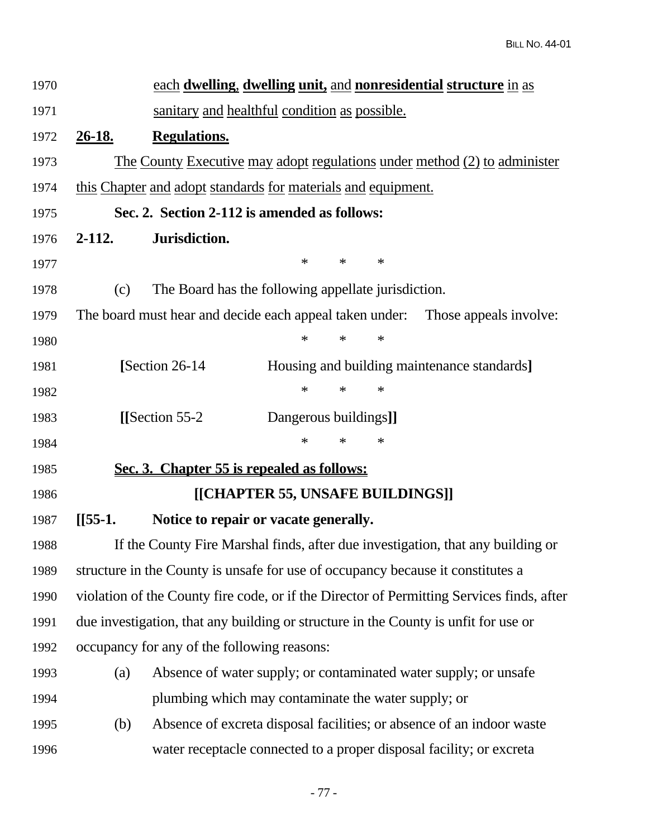| 1970 |                                                                                           | each dwelling, dwelling unit, and nonresidential structure in as                 |                                  |        |        |                                             |  |
|------|-------------------------------------------------------------------------------------------|----------------------------------------------------------------------------------|----------------------------------|--------|--------|---------------------------------------------|--|
| 1971 |                                                                                           | sanitary and healthful condition as possible.                                    |                                  |        |        |                                             |  |
| 1972 | <u>26-18.</u>                                                                             | <b>Regulations.</b>                                                              |                                  |        |        |                                             |  |
| 1973 |                                                                                           | <u>The County Executive may adopt regulations under method (2) to administer</u> |                                  |        |        |                                             |  |
| 1974 |                                                                                           | this Chapter and adopt standards for materials and equipment.                    |                                  |        |        |                                             |  |
| 1975 |                                                                                           | Sec. 2. Section 2-112 is amended as follows:                                     |                                  |        |        |                                             |  |
| 1976 | $2-112.$                                                                                  | Jurisdiction.                                                                    |                                  |        |        |                                             |  |
| 1977 |                                                                                           |                                                                                  | $\ast$                           | $\ast$ | $\ast$ |                                             |  |
| 1978 | (c)                                                                                       | The Board has the following appellate jurisdiction.                              |                                  |        |        |                                             |  |
| 1979 |                                                                                           | The board must hear and decide each appeal taken under: Those appeals involve:   |                                  |        |        |                                             |  |
| 1980 |                                                                                           |                                                                                  | $\ast$                           | $\ast$ | $\ast$ |                                             |  |
| 1981 |                                                                                           | [Section 26-14]                                                                  |                                  |        |        | Housing and building maintenance standards] |  |
| 1982 |                                                                                           |                                                                                  | $\ast$                           | $\ast$ | $\ast$ |                                             |  |
| 1983 |                                                                                           | [[Section $55-2$ ]                                                               | Dangerous buildings]]            |        |        |                                             |  |
| 1984 |                                                                                           |                                                                                  | $\ast$                           | $\ast$ | $\ast$ |                                             |  |
| 1985 |                                                                                           | Sec. 3. Chapter 55 is repealed as follows:                                       |                                  |        |        |                                             |  |
| 1986 |                                                                                           |                                                                                  | [[CHAPTER 55, UNSAFE BUILDINGS]] |        |        |                                             |  |
| 1987 | $[[55-1.$                                                                                 | Notice to repair or vacate generally.                                            |                                  |        |        |                                             |  |
| 1988 | If the County Fire Marshal finds, after due investigation, that any building or           |                                                                                  |                                  |        |        |                                             |  |
| 1989 | structure in the County is unsafe for use of occupancy because it constitutes a           |                                                                                  |                                  |        |        |                                             |  |
| 1990 | violation of the County fire code, or if the Director of Permitting Services finds, after |                                                                                  |                                  |        |        |                                             |  |
| 1991 | due investigation, that any building or structure in the County is unfit for use or       |                                                                                  |                                  |        |        |                                             |  |
| 1992 | occupancy for any of the following reasons:                                               |                                                                                  |                                  |        |        |                                             |  |
| 1993 | (a)                                                                                       | Absence of water supply; or contaminated water supply; or unsafe                 |                                  |        |        |                                             |  |
| 1994 |                                                                                           | plumbing which may contaminate the water supply; or                              |                                  |        |        |                                             |  |
| 1995 | (b)                                                                                       | Absence of excreta disposal facilities; or absence of an indoor waste            |                                  |        |        |                                             |  |
| 1996 |                                                                                           | water receptacle connected to a proper disposal facility; or excreta             |                                  |        |        |                                             |  |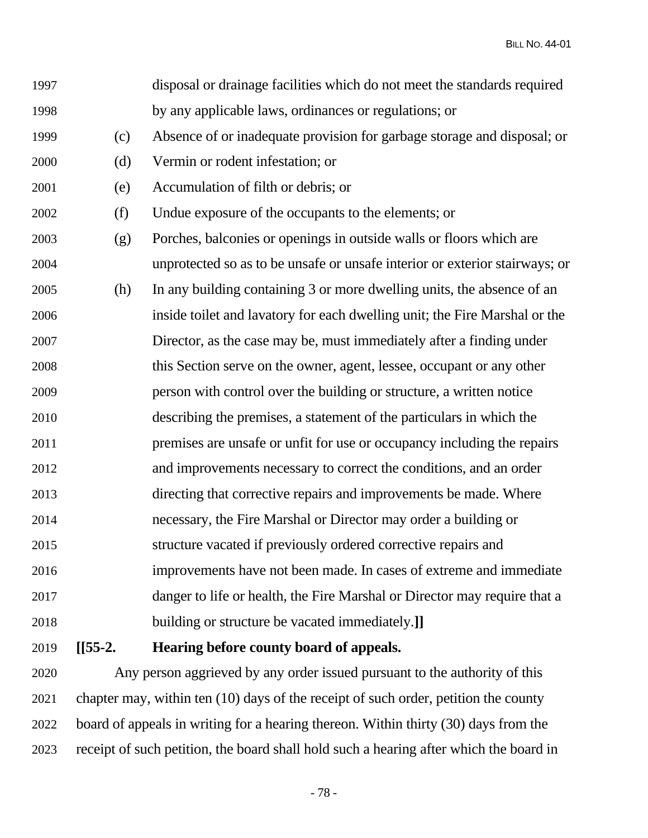BILL NO. 44-01

| 1997 |           | disposal or drainage facilities which do not meet the standards required    |
|------|-----------|-----------------------------------------------------------------------------|
| 1998 |           | by any applicable laws, ordinances or regulations; or                       |
| 1999 | (c)       | Absence of or inadequate provision for garbage storage and disposal; or     |
| 2000 | (d)       | Vermin or rodent infestation; or                                            |
| 2001 | (e)       | Accumulation of filth or debris; or                                         |
| 2002 | (f)       | Undue exposure of the occupants to the elements; or                         |
| 2003 | (g)       | Porches, balconies or openings in outside walls or floors which are         |
| 2004 |           | unprotected so as to be unsafe or unsafe interior or exterior stairways; or |
| 2005 | (h)       | In any building containing 3 or more dwelling units, the absence of an      |
| 2006 |           | inside toilet and lavatory for each dwelling unit; the Fire Marshal or the  |
| 2007 |           | Director, as the case may be, must immediately after a finding under        |
| 2008 |           | this Section serve on the owner, agent, lessee, occupant or any other       |
| 2009 |           | person with control over the building or structure, a written notice        |
| 2010 |           | describing the premises, a statement of the particulars in which the        |
| 2011 |           | premises are unsafe or unfit for use or occupancy including the repairs     |
| 2012 |           | and improvements necessary to correct the conditions, and an order          |
| 2013 |           | directing that corrective repairs and improvements be made. Where           |
| 2014 |           | necessary, the Fire Marshal or Director may order a building or             |
| 2015 |           | structure vacated if previously ordered corrective repairs and              |
| 2016 |           | improvements have not been made. In cases of extreme and immediate          |
| 2017 |           | danger to life or health, the Fire Marshal or Director may require that a   |
| 2018 |           | building or structure be vacated immediately.]                              |
| 2019 | $[[55-2.$ | Hearing before county board of appeals.                                     |

2020 Any person aggrieved by any order issued pursuant to the authority of this 2021 chapter may, within ten (10) days of the receipt of such order, petition the county 2022 board of appeals in writing for a hearing thereon. Within thirty (30) days from the 2023 receipt of such petition, the board shall hold such a hearing after which the board in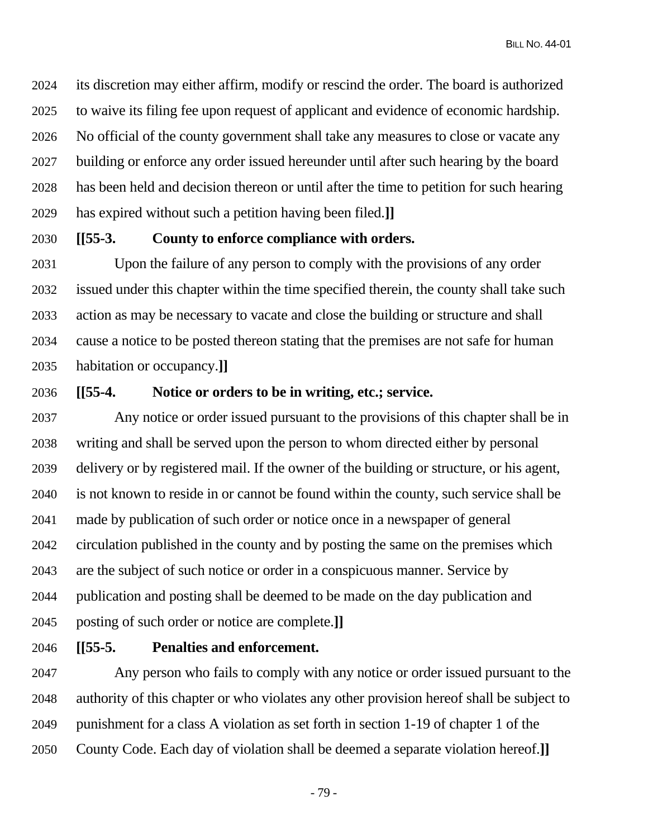BILL NO. 44-01

2024 its discretion may either affirm, modify or rescind the order. The board is authorized 2025 to waive its filing fee upon request of applicant and evidence of economic hardship. 2026 No official of the county government shall take any measures to close or vacate any 2027 building or enforce any order issued hereunder until after such hearing by the board 2028 has been held and decision thereon or until after the time to petition for such hearing 2029 has expired without such a petition having been filed.**]]**

## 2030 **[[55-3. County to enforce compliance with orders.**

2031 Upon the failure of any person to comply with the provisions of any order 2032 issued under this chapter within the time specified therein, the county shall take such 2033 action as may be necessary to vacate and close the building or structure and shall 2034 cause a notice to be posted thereon stating that the premises are not safe for human 2035 habitation or occupancy.**]]**

## 2036 **[[55-4. Notice or orders to be in writing, etc.; service.**

2037 Any notice or order issued pursuant to the provisions of this chapter shall be in 2038 writing and shall be served upon the person to whom directed either by personal 2039 delivery or by registered mail. If the owner of the building or structure, or his agent, 2040 is not known to reside in or cannot be found within the county, such service shall be 2041 made by publication of such order or notice once in a newspaper of general 2042 circulation published in the county and by posting the same on the premises which 2043 are the subject of such notice or order in a conspicuous manner. Service by 2044 publication and posting shall be deemed to be made on the day publication and 2045 posting of such order or notice are complete.**]]**

2046 **[[55-5. Penalties and enforcement.** 

2047 Any person who fails to comply with any notice or order issued pursuant to the 2048 authority of this chapter or who violates any other provision hereof shall be subject to 2049 punishment for a class A violation as set forth in section 1-19 of chapter 1 of the 2050 County Code. Each day of violation shall be deemed a separate violation hereof.**]]**

- 79 -